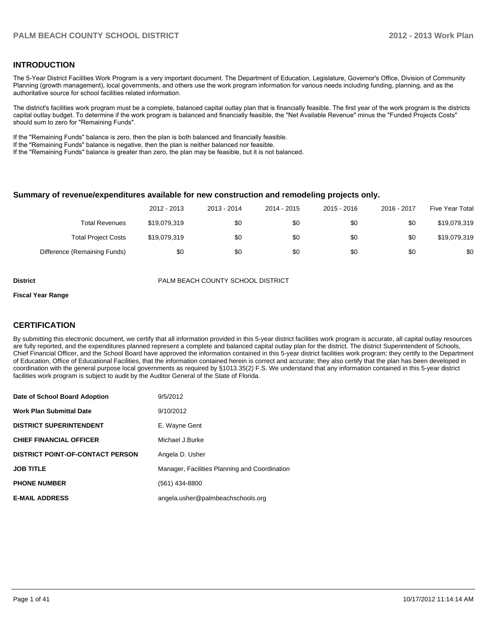#### **INTRODUCTION**

The 5-Year District Facilities Work Program is a very important document. The Department of Education, Legislature, Governor's Office, Division of Community Planning (growth management), local governments, and others use the work program information for various needs including funding, planning, and as the authoritative source for school facilities related information.

The district's facilities work program must be a complete, balanced capital outlay plan that is financially feasible. The first year of the work program is the districts capital outlay budget. To determine if the work program is balanced and financially feasible, the "Net Available Revenue" minus the "Funded Projects Costs" should sum to zero for "Remaining Funds".

If the "Remaining Funds" balance is zero, then the plan is both balanced and financially feasible.

If the "Remaining Funds" balance is negative, then the plan is neither balanced nor feasible.

If the "Remaining Funds" balance is greater than zero, the plan may be feasible, but it is not balanced.

#### **Summary of revenue/expenditures available for new construction and remodeling projects only.**

|                              | 2012 - 2013  | 2013 - 2014 | 2014 - 2015 | 2015 - 2016 | 2016 - 2017 | Five Year Total |
|------------------------------|--------------|-------------|-------------|-------------|-------------|-----------------|
| <b>Total Revenues</b>        | \$19.079.319 | \$0         | \$0         | \$0         | \$0         | \$19,079,319    |
| <b>Total Project Costs</b>   | \$19.079.319 | \$0         | \$0         | \$0         | \$0         | \$19,079,319    |
| Difference (Remaining Funds) | \$0          | \$0         | \$0         | \$0         | \$0         | \$0             |

**District** PALM BEACH COUNTY SCHOOL DISTRICT

#### **Fiscal Year Range**

#### **CERTIFICATION**

By submitting this electronic document, we certify that all information provided in this 5-year district facilities work program is accurate, all capital outlay resources are fully reported, and the expenditures planned represent a complete and balanced capital outlay plan for the district. The district Superintendent of Schools, Chief Financial Officer, and the School Board have approved the information contained in this 5-year district facilities work program; they certify to the Department of Education, Office of Educational Facilities, that the information contained herein is correct and accurate; they also certify that the plan has been developed in coordination with the general purpose local governments as required by §1013.35(2) F.S. We understand that any information contained in this 5-year district facilities work program is subject to audit by the Auditor General of the State of Florida.

| Date of School Board Adoption           | 9/5/2012                                      |
|-----------------------------------------|-----------------------------------------------|
| <b>Work Plan Submittal Date</b>         | 9/10/2012                                     |
| <b>DISTRICT SUPERINTENDENT</b>          | E. Wayne Gent                                 |
| <b>CHIEF FINANCIAL OFFICER</b>          | Michael J.Burke                               |
| <b>DISTRICT POINT-OF-CONTACT PERSON</b> | Angela D. Usher                               |
| <b>JOB TITLE</b>                        | Manager, Facilities Planning and Coordination |
| <b>PHONE NUMBER</b>                     | (561) 434-8800                                |
| <b>E-MAIL ADDRESS</b>                   | angela.usher@palmbeachschools.org             |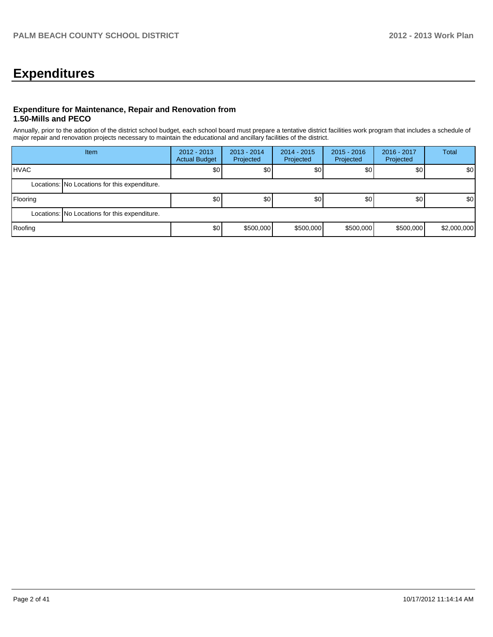# **Expenditures**

#### **Expenditure for Maintenance, Repair and Renovation from 1.50-Mills and PECO**

Annually, prior to the adoption of the district school budget, each school board must prepare a tentative district facilities work program that includes a schedule of major repair and renovation projects necessary to maintain the educational and ancillary facilities of the district.

|              | Item                                          |                  | $2014 - 2015$<br>$2012 - 2013$<br>$2013 - 2014$<br><b>Actual Budget</b><br>Projected<br>Projected |           | $2015 - 2016$<br>Projected | 2016 - 2017<br>Projected | <b>Total</b>     |  |  |
|--------------|-----------------------------------------------|------------------|---------------------------------------------------------------------------------------------------|-----------|----------------------------|--------------------------|------------------|--|--|
| <b>IHVAC</b> |                                               | \$0 <sub>1</sub> | \$0 <sub>1</sub>                                                                                  | \$0       | \$0                        | \$0                      | \$0 <sub>1</sub> |  |  |
|              | Locations: No Locations for this expenditure. |                  |                                                                                                   |           |                            |                          |                  |  |  |
| Flooring     |                                               | \$0 <sub>1</sub> | \$0                                                                                               | 30        | \$0                        | \$0                      | \$0 <sub>1</sub> |  |  |
|              | Locations: No Locations for this expenditure. |                  |                                                                                                   |           |                            |                          |                  |  |  |
| Roofing      |                                               | \$0 <sub>l</sub> | \$500,000                                                                                         | \$500,000 | \$500,000                  | \$500,000                | \$2,000,000      |  |  |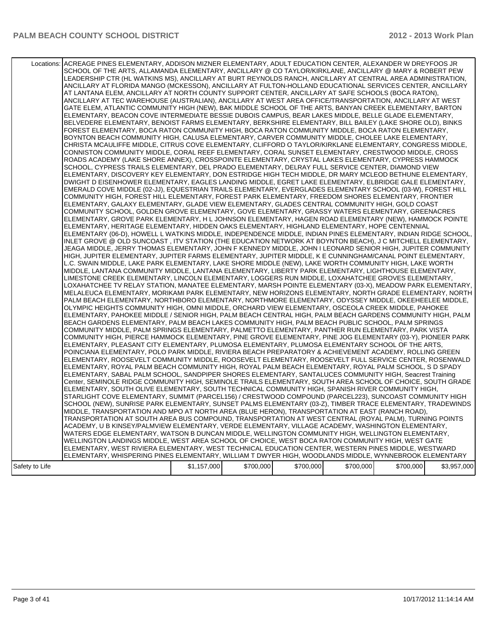| Locations:     | ACREAGE PINES ELEMENTARY, ADDISON MIZNER ELEMENTARY, ADULT EDUCATION CENTER, ALEXANDER W DREYFOOS JR<br>SCHOOL OF THE ARTS, ALLAMANDA ELEMENTARY, ANCILLARY @ CO TAYLOR/KIRKLANE, ANCILLARY @ MARY & ROBERT PEW<br>LEADERSHIP CTR (HL WATKINS MS), ANCILLARY AT BURT REYNOLDS RANCH, ANCILLARY AT CENTRAL AREA ADMINISTRATION,<br>ANCILLARY AT FLORIDA MANGO (MCKESSON), ANCILLARY AT FULTON-HOLLAND EDUCATIONAL SERVICES CENTER, ANCILLARY<br>AT LANTANA ELEM, ANCILLARY AT NORTH COUNTY SUPPORT CENTER, ANCILLARY AT SAFE SCHOOLS (BOCA RATON),<br>ANCILLARY AT TEC WAREHOUSE (AUSTRALIAN), ANCILLARY AT WEST AREA OFFICE/TRANSPORTATION, ANCILLARY AT WEST<br>GATE ELEM, ATLANTIC COMMUNITY HIGH (NEW), BAK MIDDLE SCHOOL OF THE ARTS, BANYAN CREEK ELEMENTARY, BARTON<br>ELEMENTARY, BEACON COVE INTERMEDIATE BESSIE DUBOIS CAMPUS, BEAR LAKES MIDDLE, BELLE GLADE ELEMENTARY,<br>BELVEDERE ELEMENTARY, BENOIST FARMS ELEMENTARY, BERKSHIRE ELEMENTARY, BILL BAILEY (LAKE SHORE OLD), BINKS<br>FOREST ELEMENTARY, BOCA RATON COMMUNITY HIGH, BOCA RATON COMMUNITY MIDDLE, BOCA RATON ELEMENTARY,<br>BOYNTON BEACH COMMUNITY HIGH, CALUSA ELEMENTARY, CARVER COMMUNITY MIDDLE, CHOLEE LAKE ELEMENTARY,<br>CHRISTA MCAULIFFE MIDDLE, CITRUS COVE ELEMENTARY, CLIFFORD O TAYLOR/KIRKLANE ELEMENTARY, CONGRESS MIDDLE,<br>CONNISTON COMMUNITY MIDDLE, CORAL REEF ELEMENTARY, CORAL SUNSET ELEMENTARY, CRESTWOOD MIDDLE, CROSS<br>ROADS ACADEMY (LAKE SHORE ANNEX), CROSSPOINTE ELEMENTARY, CRYSTAL LAKES ELEMENTARY, CYPRESS HAMMOCK<br>SCHOOL, CYPRESS TRAILS ELEMENTARY, DEL PRADO ELEMENTARY, DELRAY FULL SERVICE CENTER, DIAMOND VIEW<br>ELEMENTARY. DISCOVERY KEY ELEMENTARY. DON ESTRIDGE HIGH TECH MIDDLE. DR MARY MCLEOD BETHUNE ELEMENTARY.<br>DWIGHT D EISENHOWER ELEMENTARY, EAGLES LANDING MIDDLE, EGRET LAKE ELEMENTARY, ELBRIDGE GALE ELEMENTARY,<br>EMERALD COVE MIDDLE (02-JJ), EQUESTRIAN TRAILS ELEMENTARY, EVERGLADES ELEMENTARY SCHOOL (03-W), FOREST HILL<br>COMMUNITY HIGH, FOREST HILL ELEMENTARY, FOREST PARK ELEMENTARY, FREEDOM SHORES ELEMENTARY, FRONTIER<br>ELEMENTARY, GALAXY ELEMENTARY, GLADE VIEW ELEMENTARY, GLADES CENTRAL COMMUNITY HIGH, GOLD COAST<br>COMMUNITY SCHOOL, GOLDEN GROVE ELEMENTARY, GOVE ELEMENTARY, GRASSY WATERS ELEMENTARY, GREENACRES<br>ELEMENTARY, GROVE PARK ELEMENTARY, H L JOHNSON ELEMENTARY, HAGEN ROAD ELEMENTARY (NEW), HAMMOCK POINTE<br>ELEMENTARY, HERITAGE ELEMENTARY, HIDDEN OAKS ELEMENTARY, HIGHLAND ELEMENTARY, HOPE CENTENNIAL<br>ELEMENTARY (06-D), HOWELL L WATKINS MIDDLE, INDEPENDENCE MIDDLE, INDIAN PINES ELEMENTARY, INDIAN RIDGE SCHOOL,<br>INLET GROVE @ OLD SUNCOAST , ITV STATION (THE EDUCATION NETWORK AT BOYNTON BEACH), J C MITCHELL ELEMENTARY, ,<br>JEAGA MIDDLE, JERRY THOMAS ELEMENTARY, JOHN F KENNEDY MIDDLE, JOHN I LEONARD SENIOR HIGH, JUPITER COMMUNITY<br>HIGH, JUPITER ELEMENTARY, JUPITER FARMS ELEMENTARY, JUPITER MIDDLE, K E CUNNINGHAM/CANAL POINT ELEMENTARY,<br>L.C. SWAIN MIDDLE, LAKE PARK ELEMENTARY, LAKE SHORE MIDDLE (NEW), LAKE WORTH COMMUNITY HIGH, LAKE WORTH<br>MIDDLE, LANTANA COMMUNITY MIDDLE, LANTANA ELEMENTARY, LIBERTY PARK ELEMENTARY, LIGHTHOUSE ELEMENTARY,<br>LIMESTONE CREEK ELEMENTARY, LINCOLN ELEMENTARY, LOGGERS RUN MIDDLE, LOXAHATCHEE GROVES ELEMENTARY,<br>LOXAHATCHEE TV RELAY STATION, MANATEE ELEMENTARY, MARSH POINTE ELEMENTARY (03-X), MEADOW PARK ELEMENTARY,<br>MELALEUCA ELEMENTARY, MORIKAMI PARK ELEMENTARY, NEW HORIZONS ELEMENTARY, NORTH GRADE ELEMENTARY, NORTH |             |           |           |           |           |             |
|----------------|--------------------------------------------------------------------------------------------------------------------------------------------------------------------------------------------------------------------------------------------------------------------------------------------------------------------------------------------------------------------------------------------------------------------------------------------------------------------------------------------------------------------------------------------------------------------------------------------------------------------------------------------------------------------------------------------------------------------------------------------------------------------------------------------------------------------------------------------------------------------------------------------------------------------------------------------------------------------------------------------------------------------------------------------------------------------------------------------------------------------------------------------------------------------------------------------------------------------------------------------------------------------------------------------------------------------------------------------------------------------------------------------------------------------------------------------------------------------------------------------------------------------------------------------------------------------------------------------------------------------------------------------------------------------------------------------------------------------------------------------------------------------------------------------------------------------------------------------------------------------------------------------------------------------------------------------------------------------------------------------------------------------------------------------------------------------------------------------------------------------------------------------------------------------------------------------------------------------------------------------------------------------------------------------------------------------------------------------------------------------------------------------------------------------------------------------------------------------------------------------------------------------------------------------------------------------------------------------------------------------------------------------------------------------------------------------------------------------------------------------------------------------------------------------------------------------------------------------------------------------------------------------------------------------------------------------------------------------------------------------------------------------------------------------------------------------------------------------------------------------------------------------------------------------------------------------------------------------------------------------------------------------------------------------------------------------------------------------------------------------------------------------------------------------------------------------------------------------------------------------------------------------------|-------------|-----------|-----------|-----------|-----------|-------------|
|                |                                                                                                                                                                                                                                                                                                                                                                                                                                                                                                                                                                                                                                                                                                                                                                                                                                                                                                                                                                                                                                                                                                                                                                                                                                                                                                                                                                                                                                                                                                                                                                                                                                                                                                                                                                                                                                                                                                                                                                                                                                                                                                                                                                                                                                                                                                                                                                                                                                                                                                                                                                                                                                                                                                                                                                                                                                                                                                                                                                                                                                                                                                                                                                                                                                                                                                                                                                                                                                                                                                                          |             |           |           |           |           |             |
|                |                                                                                                                                                                                                                                                                                                                                                                                                                                                                                                                                                                                                                                                                                                                                                                                                                                                                                                                                                                                                                                                                                                                                                                                                                                                                                                                                                                                                                                                                                                                                                                                                                                                                                                                                                                                                                                                                                                                                                                                                                                                                                                                                                                                                                                                                                                                                                                                                                                                                                                                                                                                                                                                                                                                                                                                                                                                                                                                                                                                                                                                                                                                                                                                                                                                                                                                                                                                                                                                                                                                          |             |           |           |           |           |             |
|                |                                                                                                                                                                                                                                                                                                                                                                                                                                                                                                                                                                                                                                                                                                                                                                                                                                                                                                                                                                                                                                                                                                                                                                                                                                                                                                                                                                                                                                                                                                                                                                                                                                                                                                                                                                                                                                                                                                                                                                                                                                                                                                                                                                                                                                                                                                                                                                                                                                                                                                                                                                                                                                                                                                                                                                                                                                                                                                                                                                                                                                                                                                                                                                                                                                                                                                                                                                                                                                                                                                                          |             |           |           |           |           |             |
|                |                                                                                                                                                                                                                                                                                                                                                                                                                                                                                                                                                                                                                                                                                                                                                                                                                                                                                                                                                                                                                                                                                                                                                                                                                                                                                                                                                                                                                                                                                                                                                                                                                                                                                                                                                                                                                                                                                                                                                                                                                                                                                                                                                                                                                                                                                                                                                                                                                                                                                                                                                                                                                                                                                                                                                                                                                                                                                                                                                                                                                                                                                                                                                                                                                                                                                                                                                                                                                                                                                                                          |             |           |           |           |           |             |
|                |                                                                                                                                                                                                                                                                                                                                                                                                                                                                                                                                                                                                                                                                                                                                                                                                                                                                                                                                                                                                                                                                                                                                                                                                                                                                                                                                                                                                                                                                                                                                                                                                                                                                                                                                                                                                                                                                                                                                                                                                                                                                                                                                                                                                                                                                                                                                                                                                                                                                                                                                                                                                                                                                                                                                                                                                                                                                                                                                                                                                                                                                                                                                                                                                                                                                                                                                                                                                                                                                                                                          |             |           |           |           |           |             |
|                |                                                                                                                                                                                                                                                                                                                                                                                                                                                                                                                                                                                                                                                                                                                                                                                                                                                                                                                                                                                                                                                                                                                                                                                                                                                                                                                                                                                                                                                                                                                                                                                                                                                                                                                                                                                                                                                                                                                                                                                                                                                                                                                                                                                                                                                                                                                                                                                                                                                                                                                                                                                                                                                                                                                                                                                                                                                                                                                                                                                                                                                                                                                                                                                                                                                                                                                                                                                                                                                                                                                          |             |           |           |           |           |             |
|                | PALM BEACH ELEMENTARY, NORTHBORO ELEMENTARY, NORTHMORE ELEMENTARY, ODYSSEY MIDDLE, OKEEHEELEE MIDDLE,<br>OLYMPIC HEIGHTS COMMUNITY HIGH, OMNI MIDDLE, ORCHARD VIEW ELEMENTARY, OSCEOLA CREEK MIDDLE, PAHOKEE<br>ELEMENTARY, PAHOKEE MIDDLE / SENIOR HIGH, PALM BEACH CENTRAL HIGH, PALM BEACH GARDENS COMMUNITY HIGH, PALM                                                                                                                                                                                                                                                                                                                                                                                                                                                                                                                                                                                                                                                                                                                                                                                                                                                                                                                                                                                                                                                                                                                                                                                                                                                                                                                                                                                                                                                                                                                                                                                                                                                                                                                                                                                                                                                                                                                                                                                                                                                                                                                                                                                                                                                                                                                                                                                                                                                                                                                                                                                                                                                                                                                                                                                                                                                                                                                                                                                                                                                                                                                                                                                               |             |           |           |           |           |             |
|                | BEACH GARDENS ELEMENTARY, PALM BEACH LAKES COMMUNITY HIGH, PALM BEACH PUBLIC SCHOOL, PALM SPRINGS<br>COMMUNITY MIDDLE, PALM SPRINGS ELEMENTARY, PALMETTO ELEMENTARY, PANTHER RUN ELEMENTARY, PARK VISTA<br>COMMUNITY HIGH, PIERCE HAMMOCK ELEMENTARY, PINE GROVE ELEMENTARY, PINE JOG ELEMENTARY (03-Y), PIONEER PARK                                                                                                                                                                                                                                                                                                                                                                                                                                                                                                                                                                                                                                                                                                                                                                                                                                                                                                                                                                                                                                                                                                                                                                                                                                                                                                                                                                                                                                                                                                                                                                                                                                                                                                                                                                                                                                                                                                                                                                                                                                                                                                                                                                                                                                                                                                                                                                                                                                                                                                                                                                                                                                                                                                                                                                                                                                                                                                                                                                                                                                                                                                                                                                                                    |             |           |           |           |           |             |
|                | ELEMENTARY, PLEASANT CITY ELEMENTARY, PLUMOSA ELEMENTARY, PLUMOSA ELEMENTARY SCHOOL OF THE ARTS,<br>POINCIANA ELEMENTARY, POLO PARK MIDDLE, RIVIERA BEACH PREPARATORY & ACHIEVEMENT ACADEMY, ROLLING GREEN                                                                                                                                                                                                                                                                                                                                                                                                                                                                                                                                                                                                                                                                                                                                                                                                                                                                                                                                                                                                                                                                                                                                                                                                                                                                                                                                                                                                                                                                                                                                                                                                                                                                                                                                                                                                                                                                                                                                                                                                                                                                                                                                                                                                                                                                                                                                                                                                                                                                                                                                                                                                                                                                                                                                                                                                                                                                                                                                                                                                                                                                                                                                                                                                                                                                                                               |             |           |           |           |           |             |
|                | ELEMENTARY, ROOSEVELT COMMUNITY MIDDLE, ROOSEVELT ELEMENTARY, ROOSEVELT FULL SERVICE CENTER, ROSENWALD<br>ELEMENTARY, ROYAL PALM BEACH COMMUNITY HIGH, ROYAL PALM BEACH ELEMENTARY, ROYAL PALM SCHOOL, S D SPADY<br>ELEMENTARY, SABAL PALM SCHOOL, SANDPIPER SHORES ELEMENTARY, SANTALUCES COMMUNITY HIGH, Seacrest Training                                                                                                                                                                                                                                                                                                                                                                                                                                                                                                                                                                                                                                                                                                                                                                                                                                                                                                                                                                                                                                                                                                                                                                                                                                                                                                                                                                                                                                                                                                                                                                                                                                                                                                                                                                                                                                                                                                                                                                                                                                                                                                                                                                                                                                                                                                                                                                                                                                                                                                                                                                                                                                                                                                                                                                                                                                                                                                                                                                                                                                                                                                                                                                                             |             |           |           |           |           |             |
|                | Center, SEMINOLE RIDGE COMMUNITY HIGH, SEMINOLE TRAILS ELEMENTARY, SOUTH AREA SCHOOL OF CHOICE, SOUTH GRADE<br>ELEMENTARY, SOUTH OLIVE ELEMENTARY, SOUTH TECHNICAL COMMUNITY HIGH, SPANISH RIVER COMMUNITY HIGH,<br>STARLIGHT COVE ELEMENTARY, SUMMIT (PARCEL156) / CRESTWOOD COMPOUND (PARCEL223), SUNCOAST COMMUNITY HIGH                                                                                                                                                                                                                                                                                                                                                                                                                                                                                                                                                                                                                                                                                                                                                                                                                                                                                                                                                                                                                                                                                                                                                                                                                                                                                                                                                                                                                                                                                                                                                                                                                                                                                                                                                                                                                                                                                                                                                                                                                                                                                                                                                                                                                                                                                                                                                                                                                                                                                                                                                                                                                                                                                                                                                                                                                                                                                                                                                                                                                                                                                                                                                                                              |             |           |           |           |           |             |
|                | SCHOOL (NEW), SUNRISE PARK ELEMENTARY, SUNSET PALMS ELEMENTARY (03-Z), TIMBER TRACE ELEMENTARY, TRADEWINDS<br>MIDDLE, TRANSPORTATION AND MPO AT NORTH AREA (BLUE HERON), TRANSPORTATION AT EAST (RANCH ROAD),                                                                                                                                                                                                                                                                                                                                                                                                                                                                                                                                                                                                                                                                                                                                                                                                                                                                                                                                                                                                                                                                                                                                                                                                                                                                                                                                                                                                                                                                                                                                                                                                                                                                                                                                                                                                                                                                                                                                                                                                                                                                                                                                                                                                                                                                                                                                                                                                                                                                                                                                                                                                                                                                                                                                                                                                                                                                                                                                                                                                                                                                                                                                                                                                                                                                                                            |             |           |           |           |           |             |
|                | TRANSPORTATION AT SOUTH AREA BUS COMPOUND, TRANSPORTATION AT WEST CENTRAL (ROYAL PALM), TURNING POINTS<br>ACADEMY, U B KINSEY/PALMVIEW ELEMENTARY, VERDE ELEMENTARY, VILLAGE ACADEMY, WASHINGTON ELEMENTARY,<br>WATERS EDGE ELEMENTARY, WATSON B DUNCAN MIDDLE, WELLINGTON COMMUNITY HIGH, WELLINGTON ELEMENTARY,                                                                                                                                                                                                                                                                                                                                                                                                                                                                                                                                                                                                                                                                                                                                                                                                                                                                                                                                                                                                                                                                                                                                                                                                                                                                                                                                                                                                                                                                                                                                                                                                                                                                                                                                                                                                                                                                                                                                                                                                                                                                                                                                                                                                                                                                                                                                                                                                                                                                                                                                                                                                                                                                                                                                                                                                                                                                                                                                                                                                                                                                                                                                                                                                        |             |           |           |           |           |             |
|                | WELLINGTON LANDINGS MIDDLE, WEST AREA SCHOOL OF CHOICE, WEST BOCA RATON COMMUNITY HIGH, WEST GATE<br>ELEMENTARY, WEST RIVIERA ELEMENTARY, WEST TECHNICAL EDUCATION CENTER, WESTERN PINES MIDDLE, WESTWARD<br>ELEMENTARY, WHISPERING PINES ELEMENTARY, WILLIAM T DWYER HIGH, WOODLANDS MIDDLE, WYNNEBROOK ELEMENTARY                                                                                                                                                                                                                                                                                                                                                                                                                                                                                                                                                                                                                                                                                                                                                                                                                                                                                                                                                                                                                                                                                                                                                                                                                                                                                                                                                                                                                                                                                                                                                                                                                                                                                                                                                                                                                                                                                                                                                                                                                                                                                                                                                                                                                                                                                                                                                                                                                                                                                                                                                                                                                                                                                                                                                                                                                                                                                                                                                                                                                                                                                                                                                                                                      |             |           |           |           |           |             |
| Safety to Life |                                                                                                                                                                                                                                                                                                                                                                                                                                                                                                                                                                                                                                                                                                                                                                                                                                                                                                                                                                                                                                                                                                                                                                                                                                                                                                                                                                                                                                                                                                                                                                                                                                                                                                                                                                                                                                                                                                                                                                                                                                                                                                                                                                                                                                                                                                                                                                                                                                                                                                                                                                                                                                                                                                                                                                                                                                                                                                                                                                                                                                                                                                                                                                                                                                                                                                                                                                                                                                                                                                                          | \$1,157,000 | \$700,000 | \$700,000 | \$700,000 | \$700,000 | \$3,957,000 |
|                |                                                                                                                                                                                                                                                                                                                                                                                                                                                                                                                                                                                                                                                                                                                                                                                                                                                                                                                                                                                                                                                                                                                                                                                                                                                                                                                                                                                                                                                                                                                                                                                                                                                                                                                                                                                                                                                                                                                                                                                                                                                                                                                                                                                                                                                                                                                                                                                                                                                                                                                                                                                                                                                                                                                                                                                                                                                                                                                                                                                                                                                                                                                                                                                                                                                                                                                                                                                                                                                                                                                          |             |           |           |           |           |             |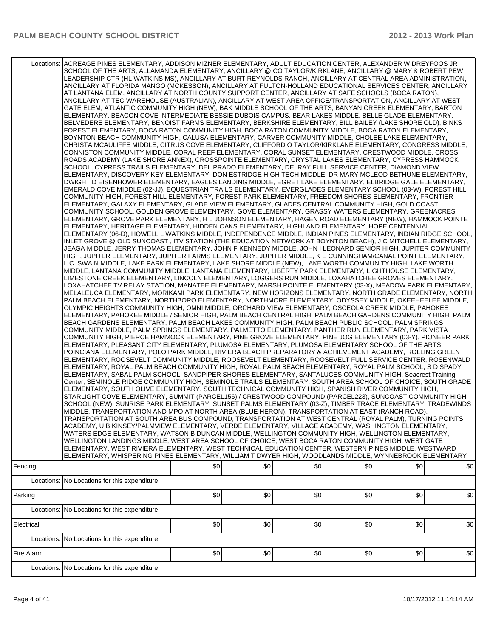|            | Locations: ACREAGE PINES ELEMENTARY, ADDISON MIZNER ELEMENTARY, ADULT EDUCATION CENTER, ALEXANDER W DREYFOOS JR<br>SCHOOL OF THE ARTS, ALLAMANDA ELEMENTARY, ANCILLARY @ CO TAYLOR/KIRKLANE, ANCILLARY @ MARY & ROBERT PEW<br>LEADERSHIP CTR (HL WATKINS MS), ANCILLARY AT BURT REYNOLDS RANCH, ANCILLARY AT CENTRAL AREA ADMINISTRATION,<br>ANCILLARY AT FLORIDA MANGO (MCKESSON), ANCILLARY AT FULTON-HOLLAND EDUCATIONAL SERVICES CENTER, ANCILLARY<br>AT LANTANA ELEM, ANCILLARY AT NORTH COUNTY SUPPORT CENTER, ANCILLARY AT SAFE SCHOOLS (BOCA RATON),<br>ANCILLARY AT TEC WAREHOUSE (AUSTRALIAN), ANCILLARY AT WEST AREA OFFICE/TRANSPORTATION, ANCILLARY AT WEST<br>GATE ELEM, ATLANTIC COMMUNITY HIGH (NEW), BAK MIDDLE SCHOOL OF THE ARTS, BANYAN CREEK ELEMENTARY, BARTON<br>ELEMENTARY, BEACON COVE INTERMEDIATE BESSIE DUBOIS CAMPUS, BEAR LAKES MIDDLE, BELLE GLADE ELEMENTARY,<br>BELVEDERE ELEMENTARY, BENOIST FARMS ELEMENTARY, BERKSHIRE ELEMENTARY, BILL BAILEY (LAKE SHORE OLD), BINKS<br>FOREST ELEMENTARY, BOCA RATON COMMUNITY HIGH, BOCA RATON COMMUNITY MIDDLE, BOCA RATON ELEMENTARY,<br>BOYNTON BEACH COMMUNITY HIGH, CALUSA ELEMENTARY, CARVER COMMUNITY MIDDLE, CHOLEE LAKE ELEMENTARY,<br>CHRISTA MCAULIFFE MIDDLE, CITRUS COVE ELEMENTARY, CLIFFORD O TAYLOR/KIRKLANE ELEMENTARY, CONGRESS MIDDLE,<br>CONNISTON COMMUNITY MIDDLE, CORAL REEF ELEMENTARY, CORAL SUNSET ELEMENTARY, CRESTWOOD MIDDLE, CROSS<br>ROADS ACADEMY (LAKE SHORE ANNEX), CROSSPOINTE ELEMENTARY, CRYSTAL LAKES ELEMENTARY, CYPRESS HAMMOCK<br>SCHOOL, CYPRESS TRAILS ELEMENTARY, DEL PRADO ELEMENTARY, DELRAY FULL SERVICE CENTER, DIAMOND VIEW<br>ELEMENTARY, DISCOVERY KEY ELEMENTARY, DON ESTRIDGE HIGH TECH MIDDLE, DR MARY MCLEOD BETHUNE ELEMENTARY,<br>DWIGHT D EISENHOWER ELEMENTARY, EAGLES LANDING MIDDLE, EGRET LAKE ELEMENTARY, ELBRIDGE GALE ELEMENTARY,<br>EMERALD COVE MIDDLE (02-JJ), EQUESTRIAN TRAILS ELEMENTARY, EVERGLADES ELEMENTARY SCHOOL (03-W), FOREST HILL<br>COMMUNITY HIGH, FOREST HILL ELEMENTARY, FOREST PARK ELEMENTARY, FREEDOM SHORES ELEMENTARY, FRONTIER<br>ELEMENTARY, GALAXY ELEMENTARY, GLADE VIEW ELEMENTARY, GLADES CENTRAL COMMUNITY HIGH, GOLD COAST<br>COMMUNITY SCHOOL, GOLDEN GROVE ELEMENTARY, GOVE ELEMENTARY, GRASSY WATERS ELEMENTARY, GREENACRES<br>ELEMENTARY, GROVE PARK ELEMENTARY, H L JOHNSON ELEMENTARY, HAGEN ROAD ELEMENTARY (NEW), HAMMOCK POINTE<br>ELEMENTARY, HERITAGE ELEMENTARY, HIDDEN OAKS ELEMENTARY, HIGHLAND ELEMENTARY, HOPE CENTENNIAL<br>ELEMENTARY (06-D), HOWELL L WATKINS MIDDLE, INDEPENDENCE MIDDLE, INDIAN PINES ELEMENTARY, INDIAN RIDGE SCHOOL,<br>INLET GROVE @ OLD SUNCOAST . ITV STATION (THE EDUCATION NETWORK AT BOYNTON BEACH). J C MITCHELL ELEMENTARY.<br>JEAGA MIDDLE, JERRY THOMAS ELEMENTARY, JOHN F KENNEDY MIDDLE, JOHN I LEONARD SENIOR HIGH, JUPITER COMMUNITY<br>HIGH, JUPITER ELEMENTARY, JUPITER FARMS ELEMENTARY, JUPITER MIDDLE, K E CUNNINGHAM/CANAL POINT ELEMENTARY,<br>L.C. SWAIN MIDDLE, LAKE PARK ELEMENTARY, LAKE SHORE MIDDLE (NEW), LAKE WORTH COMMUNITY HIGH, LAKE WORTH<br>MIDDLE, LANTANA COMMUNITY MIDDLE, LANTANA ELEMENTARY, LIBERTY PARK ELEMENTARY, LIGHTHOUSE ELEMENTARY,<br>LIMESTONE CREEK ELEMENTARY, LINCOLN ELEMENTARY, LOGGERS RUN MIDDLE, LOXAHATCHEE GROVES ELEMENTARY,<br>LOXAHATCHEE TV RELAY STATION, MANATEE ELEMENTARY, MARSH POINTE ELEMENTARY (03-X), MEADOW PARK ELEMENTARY,<br>MELALEUCA ELEMENTARY, MORIKAMI PARK ELEMENTARY, NEW HORIZONS ELEMENTARY, NORTH GRADE ELEMENTARY, NORTH<br>PALM BEACH ELEMENTARY, NORTHBORO ELEMENTARY, NORTHMORE ELEMENTARY, ODYSSEY MIDDLE, OKEEHEELEE MIDDLE,<br>OLYMPIC HEIGHTS COMMUNITY HIGH, OMNI MIDDLE, ORCHARD VIEW ELEMENTARY, OSCEOLA CREEK MIDDLE, PAHOKEE<br>ELEMENTARY, PAHOKEE MIDDLE / SENIOR HIGH, PALM BEACH CENTRAL HIGH, PALM BEACH GARDENS COMMUNITY HIGH, PALM<br>BEACH GARDENS ELEMENTARY, PALM BEACH LAKES COMMUNITY HIGH, PALM BEACH PUBLIC SCHOOL, PALM SPRINGS<br>COMMUNITY MIDDLE, PALM SPRINGS ELEMENTARY, PALMETTO ELEMENTARY, PANTHER RUN ELEMENTARY, PARK VISTA<br>COMMUNITY HIGH, PIERCE HAMMOCK ELEMENTARY, PINE GROVE ELEMENTARY, PINE JOG ELEMENTARY (03-Y), PIONEER PARK<br>ELEMENTARY, PLEASANT CITY ELEMENTARY, PLUMOSA ELEMENTARY, PLUMOSA ELEMENTARY SCHOOL OF THE ARTS,<br>POINCIANA ELEMENTARY, POLO PARK MIDDLE, RIVIERA BEACH PREPARATORY & ACHIEVEMENT ACADEMY, ROLLING GREEN<br>ELEMENTARY, ROOSEVELT COMMUNITY MIDDLE, ROOSEVELT ELEMENTARY, ROOSEVELT FULL SERVICE CENTER, ROSENWALD<br>ELEMENTARY, ROYAL PALM BEACH COMMUNITY HIGH, ROYAL PALM BEACH ELEMENTARY, ROYAL PALM SCHOOL, S D SPADY<br>ELEMENTARY, SABAL PALM SCHOOL, SANDPIPER SHORES ELEMENTARY, SANTALUCES COMMUNITY HIGH, Seacrest Training<br>Center, SEMINOLE RIDGE COMMUNITY HIGH, SEMINOLE TRAILS ELEMENTARY, SOUTH AREA SCHOOL OF CHOICE, SOUTH GRADE<br>ELEMENTARY. SOUTH OLIVE ELEMENTARY. SOUTH TECHNICAL COMMUNITY HIGH. SPANISH RIVER COMMUNITY HIGH.<br>STARLIGHT COVE ELEMENTARY, SUMMIT (PARCEL156) / CRESTWOOD COMPOUND (PARCEL223), SUNCOAST COMMUNITY HIGH<br>SCHOOL (NEW), SUNRISE PARK ELEMENTARY, SUNSET PALMS ELEMENTARY (03-Z), TIMBER TRACE ELEMENTARY, TRADEWINDS<br>MIDDLE, TRANSPORTATION AND MPO AT NORTH AREA (BLUE HERON), TRANSPORTATION AT EAST (RANCH ROAD),<br>TRANSPORTATION AT SOUTH AREA BUS COMPOUND, TRANSPORTATION AT WEST CENTRAL (ROYAL PALM), TURNING POINTS<br>ACADEMY, U B KINSEY/PALMVIEW ELEMENTARY, VERDE ELEMENTARY, VILLAGE ACADEMY, WASHINGTON ELEMENTARY,<br>WATERS EDGE ELEMENTARY, WATSON B DUNCAN MIDDLE, WELLINGTON COMMUNITY HIGH, WELLINGTON ELEMENTARY,<br>WELLINGTON LANDINGS MIDDLE, WEST AREA SCHOOL OF CHOICE, WEST BOCA RATON COMMUNITY HIGH, WEST GATE<br>ELEMENTARY, WEST RIVIERA ELEMENTARY, WEST TECHNICAL EDUCATION CENTER, WESTERN PINES MIDDLE, WESTWARD<br>ELEMENTARY, WHISPERING PINES ELEMENTARY, WILLIAM T DWYER HIGH, WOODLANDS MIDDLE, WYNNEBROOK ELEMENTARY |     |     |     |     |     |     |
|------------|------------------------------------------------------------------------------------------------------------------------------------------------------------------------------------------------------------------------------------------------------------------------------------------------------------------------------------------------------------------------------------------------------------------------------------------------------------------------------------------------------------------------------------------------------------------------------------------------------------------------------------------------------------------------------------------------------------------------------------------------------------------------------------------------------------------------------------------------------------------------------------------------------------------------------------------------------------------------------------------------------------------------------------------------------------------------------------------------------------------------------------------------------------------------------------------------------------------------------------------------------------------------------------------------------------------------------------------------------------------------------------------------------------------------------------------------------------------------------------------------------------------------------------------------------------------------------------------------------------------------------------------------------------------------------------------------------------------------------------------------------------------------------------------------------------------------------------------------------------------------------------------------------------------------------------------------------------------------------------------------------------------------------------------------------------------------------------------------------------------------------------------------------------------------------------------------------------------------------------------------------------------------------------------------------------------------------------------------------------------------------------------------------------------------------------------------------------------------------------------------------------------------------------------------------------------------------------------------------------------------------------------------------------------------------------------------------------------------------------------------------------------------------------------------------------------------------------------------------------------------------------------------------------------------------------------------------------------------------------------------------------------------------------------------------------------------------------------------------------------------------------------------------------------------------------------------------------------------------------------------------------------------------------------------------------------------------------------------------------------------------------------------------------------------------------------------------------------------------------------------------------------------------------------------------------------------------------------------------------------------------------------------------------------------------------------------------------------------------------------------------------------------------------------------------------------------------------------------------------------------------------------------------------------------------------------------------------------------------------------------------------------------------------------------------------------------------------------------------------------------------------------------------------------------------------------------------------------------------------------------------------------------------------------------------------------------------------------------------------------------------------------------------------------------------------------------------------------------------------------------------------------------------------------------------------------------------------------------------------------------------------------------------------------------------------------------------------------------------------------------------------------------------------------------------------------------------------------------------------------------------------------------------------------------------------------------------------------------------------------------------------------------------------------------------------------------------------------------------------------------------------------------------------------------------------------------------------------------------------------------------------------------------------------------------------------------------------------------------------------------------------------------------------------------------------------------------------------------------------------------------------------------------------------------------------------------------------------------------------------------------------------------------------------------------------------------------------------------------------------------------------------------------------------------------------------------------------------------------------------------------------------------------------------------------------|-----|-----|-----|-----|-----|-----|
| Fencing    |                                                                                                                                                                                                                                                                                                                                                                                                                                                                                                                                                                                                                                                                                                                                                                                                                                                                                                                                                                                                                                                                                                                                                                                                                                                                                                                                                                                                                                                                                                                                                                                                                                                                                                                                                                                                                                                                                                                                                                                                                                                                                                                                                                                                                                                                                                                                                                                                                                                                                                                                                                                                                                                                                                                                                                                                                                                                                                                                                                                                                                                                                                                                                                                                                                                                                                                                                                                                                                                                                                                                                                                                                                                                                                                                                                                                                                                                                                                                                                                                                                                                                                                                                                                                                                                                                                                                                                                                                                                                                                                                                                                                                                                                                                                                                                                                                                                                                                                                                                                                                                                                                                                                                                                                                                                                                                                                                                                                                                                                                                                                                                                                                                                                                                                                                                                                                                                                                                                                    | \$0 | \$0 | \$0 | \$0 | \$0 | \$0 |
|            | Locations: No Locations for this expenditure.                                                                                                                                                                                                                                                                                                                                                                                                                                                                                                                                                                                                                                                                                                                                                                                                                                                                                                                                                                                                                                                                                                                                                                                                                                                                                                                                                                                                                                                                                                                                                                                                                                                                                                                                                                                                                                                                                                                                                                                                                                                                                                                                                                                                                                                                                                                                                                                                                                                                                                                                                                                                                                                                                                                                                                                                                                                                                                                                                                                                                                                                                                                                                                                                                                                                                                                                                                                                                                                                                                                                                                                                                                                                                                                                                                                                                                                                                                                                                                                                                                                                                                                                                                                                                                                                                                                                                                                                                                                                                                                                                                                                                                                                                                                                                                                                                                                                                                                                                                                                                                                                                                                                                                                                                                                                                                                                                                                                                                                                                                                                                                                                                                                                                                                                                                                                                                                                                      |     |     |     |     |     |     |
| Parking    |                                                                                                                                                                                                                                                                                                                                                                                                                                                                                                                                                                                                                                                                                                                                                                                                                                                                                                                                                                                                                                                                                                                                                                                                                                                                                                                                                                                                                                                                                                                                                                                                                                                                                                                                                                                                                                                                                                                                                                                                                                                                                                                                                                                                                                                                                                                                                                                                                                                                                                                                                                                                                                                                                                                                                                                                                                                                                                                                                                                                                                                                                                                                                                                                                                                                                                                                                                                                                                                                                                                                                                                                                                                                                                                                                                                                                                                                                                                                                                                                                                                                                                                                                                                                                                                                                                                                                                                                                                                                                                                                                                                                                                                                                                                                                                                                                                                                                                                                                                                                                                                                                                                                                                                                                                                                                                                                                                                                                                                                                                                                                                                                                                                                                                                                                                                                                                                                                                                                    | \$0 | \$0 | \$0 | \$0 | \$0 | \$0 |
|            | Locations: No Locations for this expenditure.                                                                                                                                                                                                                                                                                                                                                                                                                                                                                                                                                                                                                                                                                                                                                                                                                                                                                                                                                                                                                                                                                                                                                                                                                                                                                                                                                                                                                                                                                                                                                                                                                                                                                                                                                                                                                                                                                                                                                                                                                                                                                                                                                                                                                                                                                                                                                                                                                                                                                                                                                                                                                                                                                                                                                                                                                                                                                                                                                                                                                                                                                                                                                                                                                                                                                                                                                                                                                                                                                                                                                                                                                                                                                                                                                                                                                                                                                                                                                                                                                                                                                                                                                                                                                                                                                                                                                                                                                                                                                                                                                                                                                                                                                                                                                                                                                                                                                                                                                                                                                                                                                                                                                                                                                                                                                                                                                                                                                                                                                                                                                                                                                                                                                                                                                                                                                                                                                      |     |     |     |     |     |     |
| Electrical |                                                                                                                                                                                                                                                                                                                                                                                                                                                                                                                                                                                                                                                                                                                                                                                                                                                                                                                                                                                                                                                                                                                                                                                                                                                                                                                                                                                                                                                                                                                                                                                                                                                                                                                                                                                                                                                                                                                                                                                                                                                                                                                                                                                                                                                                                                                                                                                                                                                                                                                                                                                                                                                                                                                                                                                                                                                                                                                                                                                                                                                                                                                                                                                                                                                                                                                                                                                                                                                                                                                                                                                                                                                                                                                                                                                                                                                                                                                                                                                                                                                                                                                                                                                                                                                                                                                                                                                                                                                                                                                                                                                                                                                                                                                                                                                                                                                                                                                                                                                                                                                                                                                                                                                                                                                                                                                                                                                                                                                                                                                                                                                                                                                                                                                                                                                                                                                                                                                                    | \$0 | \$0 | \$0 | \$0 | \$0 | \$0 |
|            | Locations: No Locations for this expenditure.                                                                                                                                                                                                                                                                                                                                                                                                                                                                                                                                                                                                                                                                                                                                                                                                                                                                                                                                                                                                                                                                                                                                                                                                                                                                                                                                                                                                                                                                                                                                                                                                                                                                                                                                                                                                                                                                                                                                                                                                                                                                                                                                                                                                                                                                                                                                                                                                                                                                                                                                                                                                                                                                                                                                                                                                                                                                                                                                                                                                                                                                                                                                                                                                                                                                                                                                                                                                                                                                                                                                                                                                                                                                                                                                                                                                                                                                                                                                                                                                                                                                                                                                                                                                                                                                                                                                                                                                                                                                                                                                                                                                                                                                                                                                                                                                                                                                                                                                                                                                                                                                                                                                                                                                                                                                                                                                                                                                                                                                                                                                                                                                                                                                                                                                                                                                                                                                                      |     |     |     |     |     |     |
| Fire Alarm |                                                                                                                                                                                                                                                                                                                                                                                                                                                                                                                                                                                                                                                                                                                                                                                                                                                                                                                                                                                                                                                                                                                                                                                                                                                                                                                                                                                                                                                                                                                                                                                                                                                                                                                                                                                                                                                                                                                                                                                                                                                                                                                                                                                                                                                                                                                                                                                                                                                                                                                                                                                                                                                                                                                                                                                                                                                                                                                                                                                                                                                                                                                                                                                                                                                                                                                                                                                                                                                                                                                                                                                                                                                                                                                                                                                                                                                                                                                                                                                                                                                                                                                                                                                                                                                                                                                                                                                                                                                                                                                                                                                                                                                                                                                                                                                                                                                                                                                                                                                                                                                                                                                                                                                                                                                                                                                                                                                                                                                                                                                                                                                                                                                                                                                                                                                                                                                                                                                                    | \$0 | \$0 | \$0 | \$0 | \$0 | \$0 |
|            | Locations: No Locations for this expenditure.                                                                                                                                                                                                                                                                                                                                                                                                                                                                                                                                                                                                                                                                                                                                                                                                                                                                                                                                                                                                                                                                                                                                                                                                                                                                                                                                                                                                                                                                                                                                                                                                                                                                                                                                                                                                                                                                                                                                                                                                                                                                                                                                                                                                                                                                                                                                                                                                                                                                                                                                                                                                                                                                                                                                                                                                                                                                                                                                                                                                                                                                                                                                                                                                                                                                                                                                                                                                                                                                                                                                                                                                                                                                                                                                                                                                                                                                                                                                                                                                                                                                                                                                                                                                                                                                                                                                                                                                                                                                                                                                                                                                                                                                                                                                                                                                                                                                                                                                                                                                                                                                                                                                                                                                                                                                                                                                                                                                                                                                                                                                                                                                                                                                                                                                                                                                                                                                                      |     |     |     |     |     |     |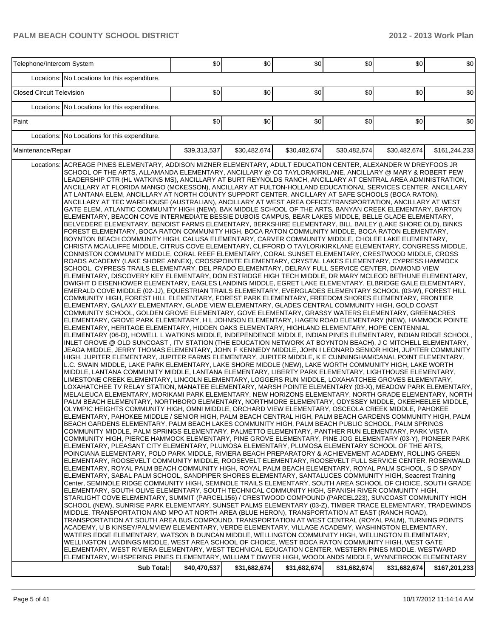| Telephone/Intercom System                                                                                                                                                                                                                                                                                                                                                                                                                                                                                                                                                                                                                                                                                                                                                                                                                                                                                                                                                                                                                                                                                                                                                                                                                                                                                                                                                                                                                                                                                                                                                                                                                                                                                                                                                                                                                                                                                                                                                                                                                                                                                                                                                                                                                                                                                                                                                                                                                                                                                                                                                                                                                                                                                                                                                                                                                                                                                                                                                                                                                                                                                                                                                                                                                                                                                                                                                                                                                                                                                                                                                                                                                                                                                                                                                                                                                                                                                                                                                                                                                                                                                                                                                                                                                                                                                                                                                                                                                                                                                                                                                                                                                                                                                                                                                                                                                                                                                                                                                                                                                                                                                                                                                                                                                                                                                                                                                                                                                                                                                                                                                                                                                                                                                                                                                                                                                                                                                                                           | \$0          | \$0          | \$0          | \$0          | \$0          | \$0           |
|-----------------------------------------------------------------------------------------------------------------------------------------------------------------------------------------------------------------------------------------------------------------------------------------------------------------------------------------------------------------------------------------------------------------------------------------------------------------------------------------------------------------------------------------------------------------------------------------------------------------------------------------------------------------------------------------------------------------------------------------------------------------------------------------------------------------------------------------------------------------------------------------------------------------------------------------------------------------------------------------------------------------------------------------------------------------------------------------------------------------------------------------------------------------------------------------------------------------------------------------------------------------------------------------------------------------------------------------------------------------------------------------------------------------------------------------------------------------------------------------------------------------------------------------------------------------------------------------------------------------------------------------------------------------------------------------------------------------------------------------------------------------------------------------------------------------------------------------------------------------------------------------------------------------------------------------------------------------------------------------------------------------------------------------------------------------------------------------------------------------------------------------------------------------------------------------------------------------------------------------------------------------------------------------------------------------------------------------------------------------------------------------------------------------------------------------------------------------------------------------------------------------------------------------------------------------------------------------------------------------------------------------------------------------------------------------------------------------------------------------------------------------------------------------------------------------------------------------------------------------------------------------------------------------------------------------------------------------------------------------------------------------------------------------------------------------------------------------------------------------------------------------------------------------------------------------------------------------------------------------------------------------------------------------------------------------------------------------------------------------------------------------------------------------------------------------------------------------------------------------------------------------------------------------------------------------------------------------------------------------------------------------------------------------------------------------------------------------------------------------------------------------------------------------------------------------------------------------------------------------------------------------------------------------------------------------------------------------------------------------------------------------------------------------------------------------------------------------------------------------------------------------------------------------------------------------------------------------------------------------------------------------------------------------------------------------------------------------------------------------------------------------------------------------------------------------------------------------------------------------------------------------------------------------------------------------------------------------------------------------------------------------------------------------------------------------------------------------------------------------------------------------------------------------------------------------------------------------------------------------------------------------------------------------------------------------------------------------------------------------------------------------------------------------------------------------------------------------------------------------------------------------------------------------------------------------------------------------------------------------------------------------------------------------------------------------------------------------------------------------------------------------------------------------------------------------------------------------------------------------------------------------------------------------------------------------------------------------------------------------------------------------------------------------------------------------------------------------------------------------------------------------------------------------------------------------------------------------------------------------------------------------------------------------------------------------------------|--------------|--------------|--------------|--------------|--------------|---------------|
| Locations: No Locations for this expenditure.                                                                                                                                                                                                                                                                                                                                                                                                                                                                                                                                                                                                                                                                                                                                                                                                                                                                                                                                                                                                                                                                                                                                                                                                                                                                                                                                                                                                                                                                                                                                                                                                                                                                                                                                                                                                                                                                                                                                                                                                                                                                                                                                                                                                                                                                                                                                                                                                                                                                                                                                                                                                                                                                                                                                                                                                                                                                                                                                                                                                                                                                                                                                                                                                                                                                                                                                                                                                                                                                                                                                                                                                                                                                                                                                                                                                                                                                                                                                                                                                                                                                                                                                                                                                                                                                                                                                                                                                                                                                                                                                                                                                                                                                                                                                                                                                                                                                                                                                                                                                                                                                                                                                                                                                                                                                                                                                                                                                                                                                                                                                                                                                                                                                                                                                                                                                                                                                                                       |              |              |              |              |              |               |
| <b>Closed Circuit Television</b>                                                                                                                                                                                                                                                                                                                                                                                                                                                                                                                                                                                                                                                                                                                                                                                                                                                                                                                                                                                                                                                                                                                                                                                                                                                                                                                                                                                                                                                                                                                                                                                                                                                                                                                                                                                                                                                                                                                                                                                                                                                                                                                                                                                                                                                                                                                                                                                                                                                                                                                                                                                                                                                                                                                                                                                                                                                                                                                                                                                                                                                                                                                                                                                                                                                                                                                                                                                                                                                                                                                                                                                                                                                                                                                                                                                                                                                                                                                                                                                                                                                                                                                                                                                                                                                                                                                                                                                                                                                                                                                                                                                                                                                                                                                                                                                                                                                                                                                                                                                                                                                                                                                                                                                                                                                                                                                                                                                                                                                                                                                                                                                                                                                                                                                                                                                                                                                                                                                    | \$0          | \$0          | \$0          | \$0          | \$0          | \$0           |
| Locations: No Locations for this expenditure.                                                                                                                                                                                                                                                                                                                                                                                                                                                                                                                                                                                                                                                                                                                                                                                                                                                                                                                                                                                                                                                                                                                                                                                                                                                                                                                                                                                                                                                                                                                                                                                                                                                                                                                                                                                                                                                                                                                                                                                                                                                                                                                                                                                                                                                                                                                                                                                                                                                                                                                                                                                                                                                                                                                                                                                                                                                                                                                                                                                                                                                                                                                                                                                                                                                                                                                                                                                                                                                                                                                                                                                                                                                                                                                                                                                                                                                                                                                                                                                                                                                                                                                                                                                                                                                                                                                                                                                                                                                                                                                                                                                                                                                                                                                                                                                                                                                                                                                                                                                                                                                                                                                                                                                                                                                                                                                                                                                                                                                                                                                                                                                                                                                                                                                                                                                                                                                                                                       |              |              |              |              |              |               |
| Paint                                                                                                                                                                                                                                                                                                                                                                                                                                                                                                                                                                                                                                                                                                                                                                                                                                                                                                                                                                                                                                                                                                                                                                                                                                                                                                                                                                                                                                                                                                                                                                                                                                                                                                                                                                                                                                                                                                                                                                                                                                                                                                                                                                                                                                                                                                                                                                                                                                                                                                                                                                                                                                                                                                                                                                                                                                                                                                                                                                                                                                                                                                                                                                                                                                                                                                                                                                                                                                                                                                                                                                                                                                                                                                                                                                                                                                                                                                                                                                                                                                                                                                                                                                                                                                                                                                                                                                                                                                                                                                                                                                                                                                                                                                                                                                                                                                                                                                                                                                                                                                                                                                                                                                                                                                                                                                                                                                                                                                                                                                                                                                                                                                                                                                                                                                                                                                                                                                                                               | \$0          | \$0          | \$0          | \$0          | \$0          | \$0           |
| Locations: No Locations for this expenditure.                                                                                                                                                                                                                                                                                                                                                                                                                                                                                                                                                                                                                                                                                                                                                                                                                                                                                                                                                                                                                                                                                                                                                                                                                                                                                                                                                                                                                                                                                                                                                                                                                                                                                                                                                                                                                                                                                                                                                                                                                                                                                                                                                                                                                                                                                                                                                                                                                                                                                                                                                                                                                                                                                                                                                                                                                                                                                                                                                                                                                                                                                                                                                                                                                                                                                                                                                                                                                                                                                                                                                                                                                                                                                                                                                                                                                                                                                                                                                                                                                                                                                                                                                                                                                                                                                                                                                                                                                                                                                                                                                                                                                                                                                                                                                                                                                                                                                                                                                                                                                                                                                                                                                                                                                                                                                                                                                                                                                                                                                                                                                                                                                                                                                                                                                                                                                                                                                                       |              |              |              |              |              |               |
| Maintenance/Repair                                                                                                                                                                                                                                                                                                                                                                                                                                                                                                                                                                                                                                                                                                                                                                                                                                                                                                                                                                                                                                                                                                                                                                                                                                                                                                                                                                                                                                                                                                                                                                                                                                                                                                                                                                                                                                                                                                                                                                                                                                                                                                                                                                                                                                                                                                                                                                                                                                                                                                                                                                                                                                                                                                                                                                                                                                                                                                                                                                                                                                                                                                                                                                                                                                                                                                                                                                                                                                                                                                                                                                                                                                                                                                                                                                                                                                                                                                                                                                                                                                                                                                                                                                                                                                                                                                                                                                                                                                                                                                                                                                                                                                                                                                                                                                                                                                                                                                                                                                                                                                                                                                                                                                                                                                                                                                                                                                                                                                                                                                                                                                                                                                                                                                                                                                                                                                                                                                                                  | \$39,313,537 | \$30,482,674 | \$30,482,674 | \$30,482,674 | \$30,482,674 | \$161,244,233 |
| ACREAGE PINES ELEMENTARY, ADDISON MIZNER ELEMENTARY, ADULT EDUCATION CENTER, ALEXANDER W DREYFOOS JR<br>Locations:<br>SCHOOL OF THE ARTS, ALLAMANDA ELEMENTARY, ANCILLARY @ CO TAYLOR/KIRKLANE, ANCILLARY @ MARY & ROBERT PEW<br>LEADERSHIP CTR (HL WATKINS MS), ANCILLARY AT BURT REYNOLDS RANCH, ANCILLARY AT CENTRAL AREA ADMINISTRATION,<br>ANCILLARY AT FLORIDA MANGO (MCKESSON), ANCILLARY AT FULTON-HOLLAND EDUCATIONAL SERVICES CENTER, ANCILLARY<br>AT LANTANA ELEM, ANCILLARY AT NORTH COUNTY SUPPORT CENTER, ANCILLARY AT SAFE SCHOOLS (BOCA RATON),<br>ANCILLARY AT TEC WAREHOUSE (AUSTRALIAN), ANCILLARY AT WEST AREA OFFICE/TRANSPORTATION, ANCILLARY AT WEST<br>GATE ELEM, ATLANTIC COMMUNITY HIGH (NEW), BAK MIDDLE SCHOOL OF THE ARTS, BANYAN CREEK ELEMENTARY, BARTON<br>ELEMENTARY, BEACON COVE INTERMEDIATE BESSIE DUBOIS CAMPUS, BEAR LAKES MIDDLE, BELLE GLADE ELEMENTARY,<br>BELVEDERE ELEMENTARY, BENOIST FARMS ELEMENTARY, BERKSHIRE ELEMENTARY, BILL BAILEY (LAKE SHORE OLD), BINKS<br>FOREST ELEMENTARY, BOCA RATON COMMUNITY HIGH, BOCA RATON COMMUNITY MIDDLE, BOCA RATON ELEMENTARY,<br>BOYNTON BEACH COMMUNITY HIGH, CALUSA ELEMENTARY, CARVER COMMUNITY MIDDLE, CHOLEE LAKE ELEMENTARY,<br>CHRISTA MCAULIFFE MIDDLE, CITRUS COVE ELEMENTARY, CLIFFORD O TAYLOR/KIRKLANE ELEMENTARY, CONGRESS MIDDLE,<br>CONNISTON COMMUNITY MIDDLE, CORAL REEF ELEMENTARY, CORAL SUNSET ELEMENTARY, CRESTWOOD MIDDLE, CROSS<br>ROADS ACADEMY (LAKE SHORE ANNEX), CROSSPOINTE ELEMENTARY, CRYSTAL LAKES ELEMENTARY, CYPRESS HAMMOCK<br>SCHOOL, CYPRESS TRAILS ELEMENTARY, DEL PRADO ELEMENTARY, DELRAY FULL SERVICE CENTER, DIAMOND VIEW<br>ELEMENTARY, DISCOVERY KEY ELEMENTARY, DON ESTRIDGE HIGH TECH MIDDLE, DR MARY MCLEOD BETHUNE ELEMENTARY,<br>DWIGHT D EISENHOWER ELEMENTARY, EAGLES LANDING MIDDLE, EGRET LAKE ELEMENTARY, ELBRIDGE GALE ELEMENTARY,<br>EMERALD COVE MIDDLE (02-JJ), EQUESTRIAN TRAILS ELEMENTARY, EVERGLADES ELEMENTARY SCHOOL (03-W), FOREST HILL<br>COMMUNITY HIGH, FOREST HILL ELEMENTARY, FOREST PARK ELEMENTARY, FREEDOM SHORES ELEMENTARY, FRONTIER<br>ELEMENTARY, GALAXY ELEMENTARY, GLADE VIEW ELEMENTARY, GLADES CENTRAL COMMUNITY HIGH, GOLD COAST<br>COMMUNITY SCHOOL, GOLDEN GROVE ELEMENTARY, GOVE ELEMENTARY, GRASSY WATERS ELEMENTARY, GREENACRES<br>ELEMENTARY, GROVE PARK ELEMENTARY, H L JOHNSON ELEMENTARY, HAGEN ROAD ELEMENTARY (NEW), HAMMOCK POINTE<br>ELEMENTARY, HERITAGE ELEMENTARY, HIDDEN OAKS ELEMENTARY, HIGHLAND ELEMENTARY, HOPE CENTENNIAL<br>ELEMENTARY (06-D), HOWELL L WATKINS MIDDLE, INDEPENDENCE MIDDLE, INDIAN PINES ELEMENTARY, INDIAN RIDGE SCHOOL,<br>INLET GROVE @ OLD SUNCOAST , ITV STATION (THE EDUCATION NETWORK AT BOYNTON BEACH), J C MITCHELL ELEMENTARY,<br>JEAGA MIDDLE, JERRY THOMAS ELEMENTARY, JOHN F KENNEDY MIDDLE, JOHN I LEONARD SENIOR HIGH, JUPITER COMMUNITY<br>HIGH, JUPITER ELEMENTARY, JUPITER FARMS ELEMENTARY, JUPITER MIDDLE, K E CUNNINGHAM/CANAL POINT ELEMENTARY,<br>L.C. SWAIN MIDDLE, LAKE PARK ELEMENTARY, LAKE SHORE MIDDLE (NEW), LAKE WORTH COMMUNITY HIGH, LAKE WORTH<br>MIDDLE, LANTANA COMMUNITY MIDDLE, LANTANA ELEMENTARY, LIBERTY PARK ELEMENTARY, LIGHTHOUSE ELEMENTARY,<br>LIMESTONE CREEK ELEMENTARY, LINCOLN ELEMENTARY, LOGGERS RUN MIDDLE, LOXAHATCHEE GROVES ELEMENTARY,<br>LOXAHATCHEE TV RELAY STATION, MANATEE ELEMENTARY, MARSH POINTE ELEMENTARY (03-X), MEADOW PARK ELEMENTARY,<br>MELALEUCA ELEMENTARY, MORIKAMI PARK ELEMENTARY, NEW HORIZONS ELEMENTARY, NORTH GRADE ELEMENTARY, NORTH<br>PALM BEACH ELEMENTARY, NORTHBORO ELEMENTARY, NORTHMORE ELEMENTARY, ODYSSEY MIDDLE, OKEEHEELEE MIDDLE,<br>OLYMPIC HEIGHTS COMMUNITY HIGH, OMNI MIDDLE, ORCHARD VIEW ELEMENTARY, OSCEOLA CREEK MIDDLE, PAHOKEE<br>ELEMENTARY, PAHOKEE MIDDLE / SENIOR HIGH, PALM BEACH CENTRAL HIGH, PALM BEACH GARDENS COMMUNITY HIGH, PALM<br>BEACH GARDENS ELEMENTARY, PALM BEACH LAKES COMMUNITY HIGH, PALM BEACH PUBLIC SCHOOL, PALM SPRINGS<br>COMMUNITY MIDDLE, PALM SPRINGS ELEMENTARY, PALMETTO ELEMENTARY, PANTHER RUN ELEMENTARY, PARK VISTA<br>COMMUNITY HIGH, PIERCE HAMMOCK ELEMENTARY, PINE GROVE ELEMENTARY, PINE JOG ELEMENTARY (03-Y), PIONEER PARK<br>ELEMENTARY, PLEASANT CITY ELEMENTARY, PLUMOSA ELEMENTARY, PLUMOSA ELEMENTARY SCHOOL OF THE ARTS,<br>POINCIANA ELEMENTARY, POLO PARK MIDDLE, RIVIERA BEACH PREPARATORY & ACHIEVEMENT ACADEMY, ROLLING GREEN<br>ELEMENTARY, ROOSEVELT COMMUNITY MIDDLE, ROOSEVELT ELEMENTARY, ROOSEVELT FULL SERVICE CENTER, ROSENWALD<br>ELEMENTARY, ROYAL PALM BEACH COMMUNITY HIGH, ROYAL PALM BEACH ELEMENTARY, ROYAL PALM SCHOOL, S D SPADY<br>ELEMENTARY, SABAL PALM SCHOOL, SANDPIPER SHORES ELEMENTARY, SANTALUCES COMMUNITY HIGH, Seacrest Training<br>Center, SEMINOLE RIDGE COMMUNITY HIGH, SEMINOLE TRAILS ELEMENTARY, SOUTH AREA SCHOOL OF CHOICE, SOUTH GRADE<br>ELEMENTARY, SOUTH OLIVE ELEMENTARY, SOUTH TECHNICAL COMMUNITY HIGH, SPANISH RIVER COMMUNITY HIGH,<br>STARLIGHT COVE ELEMENTARY, SUMMIT (PARCEL156) / CRESTWOOD COMPOUND (PARCEL223), SUNCOAST COMMUNITY HIGH<br>SCHOOL (NEW), SUNRISE PARK ELEMENTARY, SUNSET PALMS ELEMENTARY (03-Z), TIMBER TRACE ELEMENTARY, TRADEWINDS<br>MIDDLE, TRANSPORTATION AND MPO AT NORTH AREA (BLUE HERON), TRANSPORTATION AT EAST (RANCH ROAD),<br>TRANSPORTATION AT SOUTH AREA BUS COMPOUND, TRANSPORTATION AT WEST CENTRAL (ROYAL PALM), TURNING POINTS<br>ACADEMY, U B KINSEY/PALMVIEW ELEMENTARY, VERDE ELEMENTARY, VILLAGE ACADEMY, WASHINGTON ELEMENTARY,<br>WATERS EDGE ELEMENTARY, WATSON B DUNCAN MIDDLE, WELLINGTON COMMUNITY HIGH, WELLINGTON ELEMENTARY,<br>WELLINGTON LANDINGS MIDDLE, WEST AREA SCHOOL OF CHOICE, WEST BOCA RATON COMMUNITY HIGH, WEST GATE<br>ELEMENTARY, WEST RIVIERA ELEMENTARY, WEST TECHNICAL EDUCATION CENTER, WESTERN PINES MIDDLE, WESTWARD<br>ELEMENTARY, WHISPERING PINES ELEMENTARY, WILLIAM T DWYER HIGH, WOODLANDS MIDDLE, WYNNEBROOK ELEMENTARY<br>Sub Total: | \$40,470,537 | \$31,682,674 | \$31,682,674 | \$31,682,674 | \$31,682,674 | \$167,201,233 |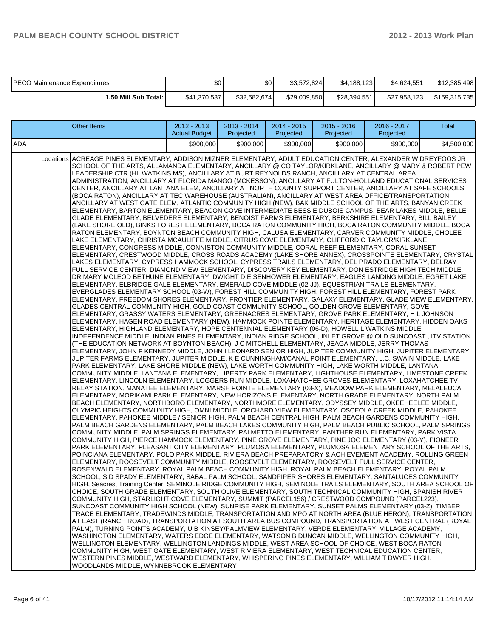| IPECO Maintenance Expenditures | \$0          | \$0          | \$3.572.824  | \$4,188,123  | \$4.624.551  | \$12,385,498  |
|--------------------------------|--------------|--------------|--------------|--------------|--------------|---------------|
| 1.50 Mill Sub Total: I         | \$41,370,537 | \$32,582,674 | \$29,009,850 | \$28,394,551 | \$27,958,123 | \$159,315,735 |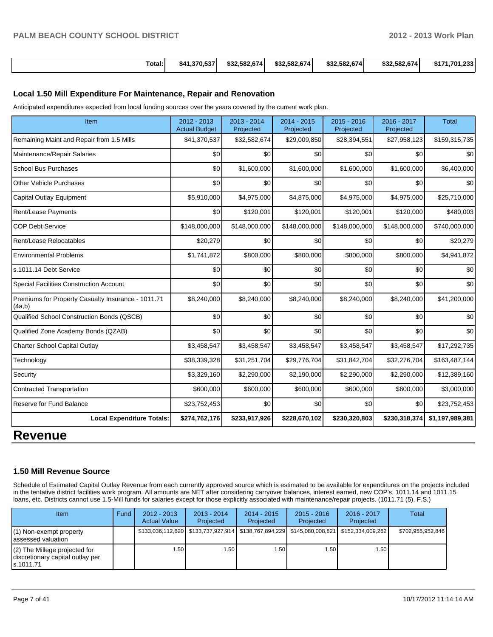| Total: | \$41.370.537 | \$32.582.674 | \$32,582,674 | \$32,582,674 | \$32,582,674 | \$171.701.233 |
|--------|--------------|--------------|--------------|--------------|--------------|---------------|
|--------|--------------|--------------|--------------|--------------|--------------|---------------|

#### **Local 1.50 Mill Expenditure For Maintenance, Repair and Renovation**

Anticipated expenditures expected from local funding sources over the years covered by the current work plan.

| Item                                                         | 2012 - 2013<br><b>Actual Budget</b> | $2013 - 2014$<br>Projected | $2014 - 2015$<br>Projected | $2015 - 2016$<br>Projected | 2016 - 2017<br>Projected | <b>Total</b>    |
|--------------------------------------------------------------|-------------------------------------|----------------------------|----------------------------|----------------------------|--------------------------|-----------------|
| Remaining Maint and Repair from 1.5 Mills                    | \$41,370,537                        | \$32,582,674               | \$29,009,850               | \$28,394,551               | \$27,958,123             | \$159,315,735   |
| Maintenance/Repair Salaries                                  | \$0                                 | \$0                        | \$0                        | \$0                        | \$0                      | \$0             |
| <b>School Bus Purchases</b>                                  | \$0                                 | \$1,600,000                | \$1,600,000                | \$1,600,000                | \$1,600,000              | \$6,400,000     |
| <b>Other Vehicle Purchases</b>                               | \$0                                 | \$0                        | \$0                        | \$0                        | \$0                      | \$0             |
| Capital Outlay Equipment                                     | \$5,910,000                         | \$4,975,000                | \$4,875,000                | \$4,975,000                | \$4,975,000              | \$25,710,000    |
| Rent/Lease Payments                                          | \$0                                 | \$120,001                  | \$120,001                  | \$120,001                  | \$120,000                | \$480,003       |
| <b>COP Debt Service</b>                                      | \$148,000,000                       | \$148,000,000              | \$148,000,000              | \$148,000,000              | \$148,000,000            | \$740,000,000   |
| Rent/Lease Relocatables                                      | \$20,279                            | \$0                        | \$0                        | \$0                        | \$0                      | \$20,279        |
| <b>Environmental Problems</b>                                | \$1,741,872                         | \$800,000                  | \$800,000                  | \$800,000                  | \$800,000                | \$4,941,872     |
| s.1011.14 Debt Service                                       | \$0                                 | \$0                        | \$0                        | \$0                        | \$0                      | \$0             |
| <b>Special Facilities Construction Account</b>               | \$0                                 | \$0                        | \$0                        | \$0                        | \$0                      | \$0             |
| Premiums for Property Casualty Insurance - 1011.71<br>(4a,b) | \$8,240,000                         | \$8,240,000                | \$8,240,000                | \$8,240,000                | \$8,240,000              | \$41,200,000    |
| Qualified School Construction Bonds (QSCB)                   | 30                                  | \$0                        | \$0                        | \$0                        | \$0                      | \$0             |
| Qualified Zone Academy Bonds (QZAB)                          | \$0                                 | 30                         | \$0                        | \$0                        | \$0                      | \$0             |
| Charter School Capital Outlay                                | \$3,458,547                         | \$3,458,547                | \$3,458,547                | \$3,458,547                | \$3,458,547              | \$17,292,735    |
| Technology                                                   | \$38,339,328                        | \$31,251,704               | \$29,776,704               | \$31,842,704               | \$32,276,704             | \$163,487,144   |
| Security                                                     | \$3,329,160                         | \$2,290,000                | \$2,190,000                | \$2,290,000                | \$2,290,000              | \$12,389,160    |
| <b>Contracted Transportation</b>                             | \$600,000                           | \$600,000                  | \$600,000                  | \$600,000                  | \$600,000                | \$3,000,000     |
| Reserve for Fund Balance                                     | \$23,752,453                        | \$0                        | \$0                        | \$0                        | \$0                      | \$23,752,453    |
| <b>Local Expenditure Totals:</b>                             | \$274,762,176                       | \$233,917,926              | \$228,670,102              | \$230,320,803              | \$230,318,374            | \$1,197,989,381 |
| <b>Revenue</b>                                               |                                     |                            |                            |                            |                          |                 |

## **1.50 Mill Revenue Source**

Schedule of Estimated Capital Outlay Revenue from each currently approved source which is estimated to be available for expenditures on the projects included in the tentative district facilities work program. All amounts are NET after considering carryover balances, interest earned, new COP's, 1011.14 and 1011.15 loans, etc. Districts cannot use 1.5-Mill funds for salaries except for those explicitly associated with maintenance/repair projects. (1011.71 (5), F.S.)

| <b>Item</b>                                                                       | Fund | $2012 - 2013$<br><b>Actual Value</b> | $2013 - 2014$<br>Projected                                                    | 2014 - 2015<br>Projected | $2015 - 2016$<br>Projected | $2016 - 2017$<br>Projected | Total             |
|-----------------------------------------------------------------------------------|------|--------------------------------------|-------------------------------------------------------------------------------|--------------------------|----------------------------|----------------------------|-------------------|
| $(1)$ Non-exempt property<br>lassessed valuation                                  |      |                                      | \$133,036,112,620   \$133,737,927,914   \$138,767,894,229   \$145,080,008,821 |                          |                            | \$152.334.009.262          | \$702,955,952,846 |
| $(2)$ The Millege projected for<br>discretionary capital outlay per<br>ls.1011.71 |      | 1.50                                 | ⊧.50 l                                                                        | .50 <sub>1</sub>         | . 50 l                     | 1.50 I                     |                   |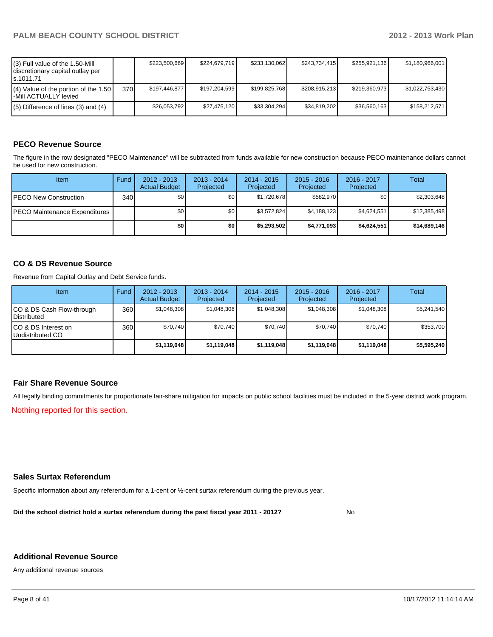| (3) Full value of the 1.50-Mill<br>discretionary capital outlay per<br>ls.1011.71 |       | \$223,500,669 | \$224.679.719 | \$233,130,062 | \$243.734.415 | \$255,921,136 | \$1,180,966,001 |
|-----------------------------------------------------------------------------------|-------|---------------|---------------|---------------|---------------|---------------|-----------------|
| $(4)$ Value of the portion of the 1.50<br>-Mill ACTUALLY levied                   | 370 l | \$197.446.877 | \$197.204.599 | \$199,825,768 | \$208,915,213 | \$219,360,973 | \$1,022,753,430 |
| $(5)$ Difference of lines (3) and (4)                                             |       | \$26,053,792  | \$27,475,120  | \$33,304,294  | \$34.819.202  | \$36,560,163  | \$158,212.571   |

#### **PECO Revenue Source**

The figure in the row designated "PECO Maintenance" will be subtracted from funds available for new construction because PECO maintenance dollars cannot be used for new construction.

| Item                                  | Fund  | $2012 - 2013$<br><b>Actual Budget</b> | $2013 - 2014$<br>Projected | 2014 - 2015<br>Projected | $2015 - 2016$<br>Projected | $2016 - 2017$<br>Projected | Total        |
|---------------------------------------|-------|---------------------------------------|----------------------------|--------------------------|----------------------------|----------------------------|--------------|
| <b>IPECO New Construction</b>         | 340 l | \$0                                   | \$0                        | \$1,720,678              | \$582,970                  | \$0 I                      | \$2,303,648  |
| <b>IPECO Maintenance Expenditures</b> |       | \$0 <sub>1</sub>                      | \$0 <sub>1</sub>           | \$3.572.824              | \$4,188,123                | \$4.624.551                | \$12,385,498 |
|                                       |       | \$0                                   | \$0                        | \$5,293,502              | \$4,771,093                | \$4,624,551                | \$14,689,146 |

#### **CO & DS Revenue Source**

Revenue from Capital Outlay and Debt Service funds.

| <b>Item</b>                                        | Fund | $2012 - 2013$<br><b>Actual Budget</b> | $2013 - 2014$<br>Projected | $2014 - 2015$<br>Projected | $2015 - 2016$<br>Projected | $2016 - 2017$<br>Projected | Total       |
|----------------------------------------------------|------|---------------------------------------|----------------------------|----------------------------|----------------------------|----------------------------|-------------|
| ICO & DS Cash Flow-through<br><b>I</b> Distributed | 360  | \$1,048,308                           | \$1,048,308                | \$1,048,308                | \$1,048,308                | \$1,048,308                | \$5,241,540 |
| ICO & DS Interest on<br>Undistributed CO           | 360  | \$70,740                              | \$70.740                   | \$70,740                   | \$70,740                   | \$70.740                   | \$353,700   |
|                                                    |      | \$1,119,048                           | \$1,119,048                | \$1,119,048                | \$1,119,048                | \$1,119,048                | \$5,595,240 |

#### **Fair Share Revenue Source**

All legally binding commitments for proportionate fair-share mitigation for impacts on public school facilities must be included in the 5-year district work program.

Nothing reported for this section.

#### **Sales Surtax Referendum**

Specific information about any referendum for a 1-cent or ½-cent surtax referendum during the previous year.

**Did the school district hold a surtax referendum during the past fiscal year 2011 - 2012?**

No

#### **Additional Revenue Source**

Any additional revenue sources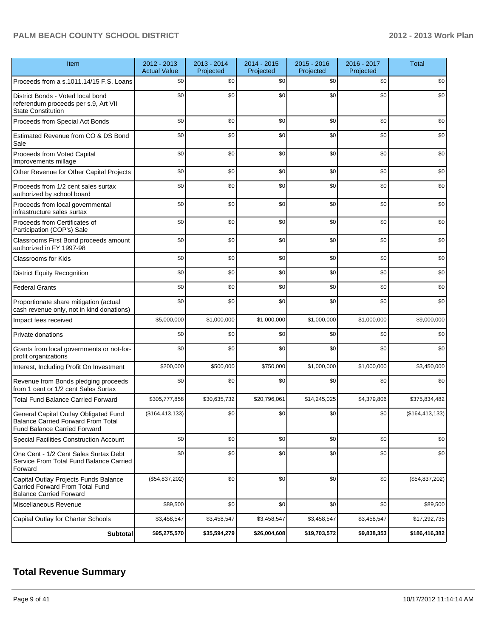| Item                                                                                                               | 2012 - 2013<br><b>Actual Value</b> | 2013 - 2014<br>Projected | 2014 - 2015<br>Projected | 2015 - 2016<br>Projected | 2016 - 2017<br>Projected | <b>Total</b>      |
|--------------------------------------------------------------------------------------------------------------------|------------------------------------|--------------------------|--------------------------|--------------------------|--------------------------|-------------------|
| Proceeds from a s.1011.14/15 F.S. Loans                                                                            | \$0                                | \$0                      | \$0                      | \$0                      | \$0                      | \$0               |
| District Bonds - Voted local bond<br>referendum proceeds per s.9, Art VII<br><b>State Constitution</b>             | \$0                                | \$0                      | \$0                      | \$0                      | \$0                      | \$0               |
| Proceeds from Special Act Bonds                                                                                    | \$0                                | \$0                      | \$0                      | \$0                      | \$0                      | \$0               |
| Estimated Revenue from CO & DS Bond<br>Sale                                                                        | \$0                                | \$0                      | \$0                      | \$0                      | \$0                      | \$0               |
| Proceeds from Voted Capital<br>Improvements millage                                                                | \$0                                | \$0                      | \$0                      | \$0                      | \$0                      | \$0               |
| Other Revenue for Other Capital Projects                                                                           | \$0                                | \$0                      | \$0                      | \$0                      | \$0                      | \$0               |
| Proceeds from 1/2 cent sales surtax<br>authorized by school board                                                  | \$0                                | \$0                      | \$0                      | \$0                      | \$0                      | \$0               |
| Proceeds from local governmental<br>infrastructure sales surtax                                                    | \$0                                | \$0                      | \$0                      | \$0                      | \$0                      | \$0               |
| Proceeds from Certificates of<br>Participation (COP's) Sale                                                        | \$0                                | \$0                      | \$0                      | \$0                      | \$0                      | \$0               |
| Classrooms First Bond proceeds amount<br>authorized in FY 1997-98                                                  | \$0                                | \$0                      | \$0                      | \$0                      | \$0                      | \$0               |
| <b>Classrooms for Kids</b>                                                                                         | \$0                                | \$0                      | \$0                      | \$0                      | \$0                      | \$0               |
| <b>District Equity Recognition</b>                                                                                 | \$0                                | \$0                      | \$0                      | \$0                      | \$0                      | \$0               |
| <b>Federal Grants</b>                                                                                              | \$0                                | \$0                      | \$0                      | \$0                      | \$0                      | \$0               |
| Proportionate share mitigation (actual<br>cash revenue only, not in kind donations)                                | \$0                                | \$0                      | \$0                      | \$0                      | \$0                      | \$0               |
| Impact fees received                                                                                               | \$5,000,000                        | \$1,000,000              | \$1,000,000              | \$1,000,000              | \$1,000,000              | \$9,000,000       |
| Private donations                                                                                                  | \$0                                | \$0                      | \$0                      | \$0                      | \$0                      | \$0               |
| Grants from local governments or not-for-<br>profit organizations                                                  | \$0                                | \$0                      | \$0                      | \$0                      | \$0                      | \$0               |
| Interest, Including Profit On Investment                                                                           | \$200,000                          | \$500,000                | \$750,000                | \$1,000,000              | \$1,000,000              | \$3,450,000       |
| Revenue from Bonds pledging proceeds<br>from 1 cent or 1/2 cent Sales Surtax                                       | \$0                                | \$0                      | \$0                      | \$0                      | \$0                      | \$0               |
| <b>Total Fund Balance Carried Forward</b>                                                                          | \$305,777,858                      | \$30,635,732             | \$20,796,061             | \$14,245,025             | \$4,379,806              | \$375,834,482     |
| General Capital Outlay Obligated Fund<br><b>Balance Carried Forward From Total</b><br>Fund Balance Carried Forward | (\$164, 413, 133)                  | \$0                      | \$0                      | \$0                      | \$0                      | (\$164, 413, 133) |
| Special Facilities Construction Account                                                                            | \$0                                | \$0                      | \$0                      | \$0                      | \$0                      | \$0               |
| One Cent - 1/2 Cent Sales Surtax Debt<br>Service From Total Fund Balance Carried<br>Forward                        | \$0                                | \$0                      | \$0                      | \$0                      | \$0                      | \$0               |
| Capital Outlay Projects Funds Balance<br>Carried Forward From Total Fund<br><b>Balance Carried Forward</b>         | (\$54,837,202)                     | \$0                      | \$0                      | \$0                      | \$0                      | (\$54,837,202)    |
| Miscellaneous Revenue                                                                                              | \$89,500                           | \$0                      | \$0                      | \$0                      | \$0                      | \$89,500          |
| Capital Outlay for Charter Schools                                                                                 | \$3,458,547                        | \$3,458,547              | \$3,458,547              | \$3,458,547              | \$3,458,547              | \$17,292,735      |
| <b>Subtotal</b>                                                                                                    | \$95,275,570                       | \$35,594,279             | \$26,004,608             | \$19,703,572             | \$9,838,353              | \$186,416,382     |

## **Total Revenue Summary**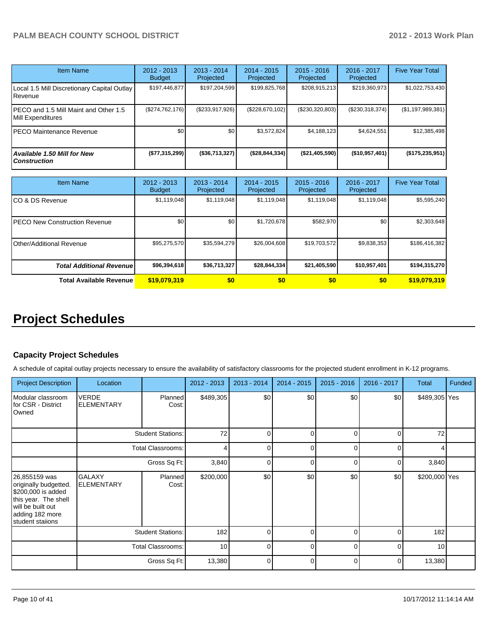| <b>Item Name</b>                                           | $2012 - 2013$<br><b>Budget</b> | $2013 - 2014$<br>Projected | $2014 - 2015$<br><b>Projected</b> | $2015 - 2016$<br>Projected | 2016 - 2017<br>Projected | <b>Five Year Total</b> |
|------------------------------------------------------------|--------------------------------|----------------------------|-----------------------------------|----------------------------|--------------------------|------------------------|
| Local 1.5 Mill Discretionary Capital Outlay<br>. Revenue   | \$197,446,877                  | \$197,204,599              | \$199,825,768                     | \$208,915,213              | \$219,360,973            | \$1,022,753,430        |
| PECO and 1.5 Mill Maint and Other 1.5<br>Mill Expenditures | (\$274,762,176)                | (\$233,917,926)            | (\$228,670,102)                   | (\$230,320,803)            | (\$230,318,374)          | (\$1,197,989,381)      |
| PECO Maintenance Revenue                                   | \$0                            | \$0                        | \$3,572,824                       | \$4,188,123                | \$4,624,551              | \$12,385,498           |
| Available 1.50 Mill for New<br><b>Construction</b>         | (\$77,315,299)                 | (\$36,713,327)             | (\$28,844,334)                    | (\$21,405,590)             | $($ \$10,957,401)        | $($ \$175,235,951)     |

| <b>Item Name</b>                      | 2012 - 2013<br><b>Budget</b> | $2013 - 2014$<br>Projected | $2014 - 2015$<br>Projected | $2015 - 2016$<br>Projected | 2016 - 2017<br>Projected | <b>Five Year Total</b> |
|---------------------------------------|------------------------------|----------------------------|----------------------------|----------------------------|--------------------------|------------------------|
| ICO & DS Revenue                      | \$1,119,048                  | \$1,119,048                | \$1,119,048                | \$1,119,048                | \$1,119,048              | \$5,595,240            |
| <b>IPECO New Construction Revenue</b> | \$0                          | \$0                        | \$1,720,678                | \$582,970                  | \$0                      | \$2,303,648            |
| <b>I</b> Other/Additional Revenue     | \$95,275,570                 | \$35,594,279               | \$26,004,608               | \$19,703,572               | \$9,838,353              | \$186,416,382          |
| <b>Total Additional Revenuel</b>      | \$96,394,618                 | \$36,713,327               | \$28,844,334               | \$21,405,590               | \$10,957,401             | \$194,315,270          |
| <b>Total Available Revenue</b>        | \$19,079,319                 | \$0                        | \$0                        | \$0                        | \$0                      | \$19,079,319           |

# **Project Schedules**

#### **Capacity Project Schedules**

A schedule of capital outlay projects necessary to ensure the availability of satisfactory classrooms for the projected student enrollment in K-12 programs.

| <b>Project Description</b>                                                                                                                       | Location                           |                          | 2012 - 2013 | 2013 - 2014  | 2014 - 2015 | $2015 - 2016$ | 2016 - 2017 | <b>Total</b>  | <b>Funded</b> |
|--------------------------------------------------------------------------------------------------------------------------------------------------|------------------------------------|--------------------------|-------------|--------------|-------------|---------------|-------------|---------------|---------------|
| Modular classroom<br>for CSR - District<br>Owned                                                                                                 | <b>VERDE</b><br><b>ELEMENTARY</b>  | <b>Planned</b><br>Cost:  | \$489,305   | \$0          | \$0         | \$0           | \$0         | \$489,305 Yes |               |
|                                                                                                                                                  |                                    | <b>Student Stations:</b> | 72          | 0            | $\Omega$    | 0             | $\Omega$    | 72            |               |
|                                                                                                                                                  |                                    | <b>Total Classrooms:</b> | 4           | $\Omega$     | $\Omega$    |               | C           |               |               |
|                                                                                                                                                  |                                    | Gross Sq Ft:             | 3,840       | n            | U           | ∩             | r           | 3,840         |               |
| 26,855159 was<br>originally budgetted.<br>\$200,000 is added<br>this year. The shell<br>will be built out<br>adding 182 more<br>student staiions | <b>GALAXY</b><br><b>ELEMENTARY</b> | <b>Planned</b><br>Cost:  | \$200,000   | \$0          | \$0         | \$0           | \$0         | \$200,000 Yes |               |
|                                                                                                                                                  |                                    | <b>Student Stations:</b> | 182         | $\mathbf{0}$ | $\Omega$    | 0             | 0           | 182           |               |
|                                                                                                                                                  |                                    | <b>Total Classrooms:</b> | 10          | ∩            | $\Omega$    |               | C           | 10            |               |
|                                                                                                                                                  |                                    | Gross Sq Ft:             | 13,380      | ∩            | $\Omega$    | ∩             | ŋ           | 13,380        |               |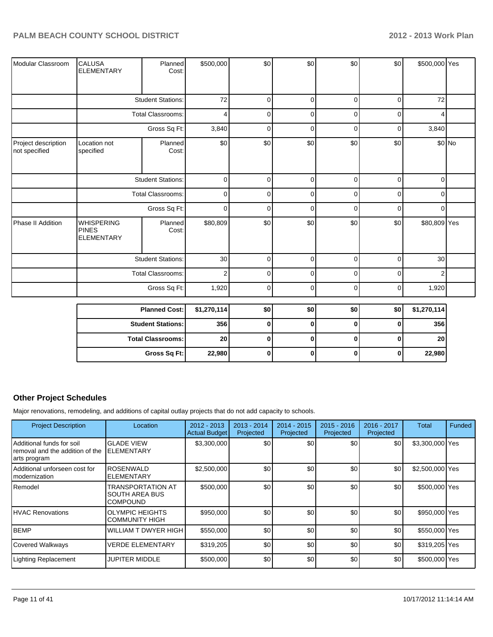| Modular Classroom                    | <b>CALUSA</b><br><b>ELEMENTARY</b>                     | Planned<br>Cost:         | \$500,000      | \$0      | \$0            | \$0            | \$0            | \$500,000 Yes  |         |
|--------------------------------------|--------------------------------------------------------|--------------------------|----------------|----------|----------------|----------------|----------------|----------------|---------|
|                                      |                                                        | <b>Student Stations:</b> | 72             | $\Omega$ | $\overline{0}$ | $\Omega$       | $\overline{0}$ | 72             |         |
|                                      |                                                        | <b>Total Classrooms:</b> | 4              | 0        | $\Omega$       | 0              | 0              | Δ              |         |
|                                      |                                                        |                          |                |          |                |                |                |                |         |
|                                      |                                                        | Gross Sq Ft:             | 3,840          | 0        | 0              | 0              | 0              | 3,840          |         |
| Project description<br>not specified | Location not<br>specified                              | Planned<br>Cost:         | \$0            | \$0      | \$0            | \$0            | \$0            |                | $$0$ No |
|                                      |                                                        | <b>Student Stations:</b> | $\overline{0}$ | $\Omega$ | $\overline{0}$ | $\overline{0}$ | $\overline{0}$ | οI             |         |
|                                      | <b>Total Classrooms:</b>                               |                          | $\overline{0}$ | $\Omega$ | $\Omega$       | $\Omega$       | $\overline{0}$ | $\overline{0}$ |         |
|                                      |                                                        | Gross Sq Ft:             | $\overline{0}$ | $\Omega$ | $\overline{0}$ | $\overline{0}$ | $\overline{0}$ | $\overline{0}$ |         |
| Phase II Addition                    | <b>WHISPERING</b><br><b>PINES</b><br><b>ELEMENTARY</b> | Planned<br>Cost:         | \$80,809       | \$0      | \$0            | \$0            | \$0            | \$80,809 Yes   |         |
|                                      |                                                        | <b>Student Stations:</b> | 30             | $\Omega$ | $\overline{0}$ | $\Omega$       | $\overline{0}$ | 30             |         |
|                                      |                                                        | <b>Total Classrooms:</b> | $\overline{2}$ | $\Omega$ | $\overline{0}$ | $\overline{0}$ | $\overline{0}$ | 2 <sub>1</sub> |         |
|                                      |                                                        | Gross Sq Ft:             | 1,920          | 0        | $\overline{0}$ | $\overline{0}$ | $\overline{0}$ | 1,920          |         |
|                                      |                                                        | <b>Planned Cost:</b>     | \$1,270,114    | \$0      | \$0            | \$0            | \$0            | \$1,270,114    |         |
|                                      |                                                        | Student Stations:        | 356            | 0        | $\Omega$       | $\Omega$       | $\Omega$       | 356            |         |

| ן ומווווסט טשטו.           | 41, 41, 117 | ΨΨ | ູນບ | ΨΨΙ | Ψυι | V, L, V, I, T   |
|----------------------------|-------------|----|-----|-----|-----|-----------------|
| <b>Student Stations: I</b> | 356         |    |     |     |     | 356             |
| <b>Total Classrooms:</b>   | 20          |    |     |     |     | 20 <sub>l</sub> |
| Gross Sq Ft:               | 22,980      |    |     |     |     | 22,980          |

## **Other Project Schedules**

Major renovations, remodeling, and additions of capital outlay projects that do not add capacity to schools.

| <b>Project Description</b>                                                    | Location                                                             | 2012 - 2013<br><b>Actual Budget</b> | $2013 - 2014$<br>Projected | 2014 - 2015<br>Projected | $2015 - 2016$<br>Projected | 2016 - 2017<br>Projected | Total           | Funded |
|-------------------------------------------------------------------------------|----------------------------------------------------------------------|-------------------------------------|----------------------------|--------------------------|----------------------------|--------------------------|-----------------|--------|
| Additional funds for soil<br>removal and the addition of the<br> arts program | <b>GLADE VIEW</b><br><b>ELEMENTARY</b>                               | \$3,300,000                         | \$0                        | \$0                      | \$0                        | \$0                      | \$3,300,000 Yes |        |
| Additional unforseen cost for<br>Imodernization                               | <b>ROSENWALD</b><br>ELEMENTARY                                       | \$2,500,000                         | \$0                        | \$0                      | \$0                        | \$0                      | \$2,500,000 Yes |        |
| <b>I</b> Remodel                                                              | <b>TRANSPORTATION AT</b><br><b>SOUTH AREA BUS</b><br><b>COMPOUND</b> | \$500,000                           | \$0                        | \$0                      | \$0                        | \$0                      | \$500,000 Yes   |        |
| <b>IHVAC Renovations</b>                                                      | <b>OLYMPIC HEIGHTS</b><br><b>COMMUNITY HIGH</b>                      | \$950,000                           | \$0                        | \$0                      | \$0                        | \$0                      | \$950,000 Yes   |        |
| <b>BEMP</b>                                                                   | <b>WILLIAM T DWYER HIGH</b>                                          | \$550,000                           | \$0                        | \$0                      | \$0                        | \$0                      | \$550,000 Yes   |        |
| Covered Walkways                                                              | <b>VERDE ELEMENTARY</b>                                              | \$319,205                           | \$0                        | \$0                      | \$0                        | \$0                      | \$319,205 Yes   |        |
| <b>Lighting Replacement</b>                                                   | JUPITER MIDDLE                                                       | \$500,000                           | \$0                        | \$0                      | \$0                        | \$0                      | \$500,000 Yes   |        |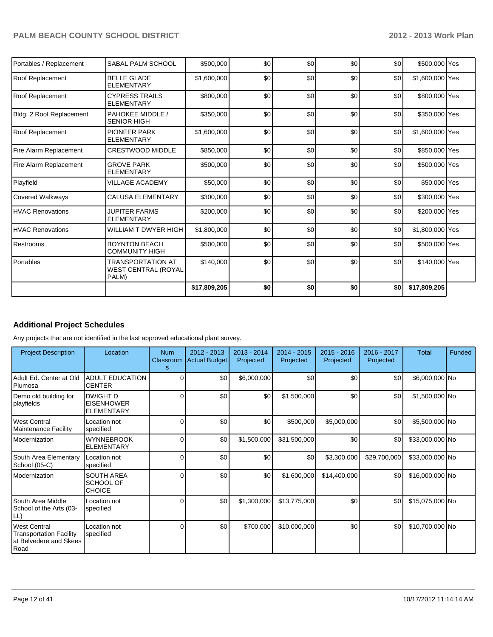| Portables / Replacement  | SABAL PALM SCHOOL                                               | \$500,000    | \$0 | \$0 | \$0 | \$0 | \$500,000 Yes   |  |
|--------------------------|-----------------------------------------------------------------|--------------|-----|-----|-----|-----|-----------------|--|
| <b>Roof Replacement</b>  | <b>BELLE GLADE</b><br><b>ELEMENTARY</b>                         | \$1,600,000  | \$0 | \$0 | \$0 | \$0 | \$1,600,000 Yes |  |
| Roof Replacement         | <b>CYPRESS TRAILS</b><br><b>ELEMENTARY</b>                      | \$800,000    | \$0 | \$0 | \$0 | \$0 | \$800,000 Yes   |  |
| Bldg. 2 Roof Replacement | PAHOKEE MIDDLE /<br><b>SENIOR HIGH</b>                          | \$350,000    | \$0 | \$0 | \$0 | \$0 | \$350,000 Yes   |  |
| <b>Roof Replacement</b>  | <b>PIONEER PARK</b><br><b>ELEMENTARY</b>                        | \$1,600,000  | \$0 | \$0 | \$0 | \$0 | \$1,600,000 Yes |  |
| Fire Alarm Replacement   | <b>CRESTWOOD MIDDLE</b>                                         | \$850,000    | \$0 | \$0 | \$0 | \$0 | \$850,000 Yes   |  |
| Fire Alarm Replacement   | <b>GROVE PARK</b><br><b>ELEMENTARY</b>                          | \$500,000    | \$0 | \$0 | \$0 | \$0 | \$500,000 Yes   |  |
| Playfield                | <b>VILLAGE ACADEMY</b>                                          | \$50,000     | \$0 | \$0 | \$0 | \$0 | \$50,000 Yes    |  |
| <b>Covered Walkways</b>  | <b>CALUSA ELEMENTARY</b>                                        | \$300,000    | \$0 | \$0 | \$0 | \$0 | \$300,000 Yes   |  |
| <b>HVAC Renovations</b>  | <b>JUPITER FARMS</b><br><b>ELEMENTARY</b>                       | \$200,000    | \$0 | \$0 | \$0 | \$0 | \$200,000 Yes   |  |
| <b>HVAC Renovations</b>  | WILLIAM T DWYER HIGH                                            | \$1,800,000  | \$0 | \$0 | \$0 | \$0 | \$1,800,000 Yes |  |
| Restrooms                | <b>BOYNTON BEACH</b><br><b>COMMUNITY HIGH</b>                   | \$500,000    | \$0 | \$0 | \$0 | \$0 | \$500,000 Yes   |  |
| Portables                | <b>TRANSPORTATION AT</b><br><b>WEST CENTRAL (ROYAL</b><br>PALM) | \$140,000    | \$0 | \$0 | \$0 | \$0 | \$140,000 Yes   |  |
|                          |                                                                 | \$17,809,205 | \$0 | \$0 | \$0 | \$0 | \$17,809,205    |  |

## **Additional Project Schedules**

Any projects that are not identified in the last approved educational plant survey.

| <b>Project Description</b>                                                              | Location                                                  | <b>Num</b><br>Classroom<br>s | $2012 - 2013$<br><b>Actual Budget</b> | $2013 - 2014$<br>Projected | $2014 - 2015$<br>Projected | $2015 - 2016$<br>Projected | 2016 - 2017<br>Projected | Total           | Funded |
|-----------------------------------------------------------------------------------------|-----------------------------------------------------------|------------------------------|---------------------------------------|----------------------------|----------------------------|----------------------------|--------------------------|-----------------|--------|
| Adult Ed. Center at Old<br>Plumosa                                                      | <b>ADULT EDUCATION</b><br><b>CENTER</b>                   |                              | \$0                                   | \$6,000,000                | \$0                        | \$0                        | \$0                      | \$6,000,000 No  |        |
| Demo old building for<br>playfields                                                     | <b>DWIGHT D</b><br><b>EISENHOWER</b><br><b>ELEMENTARY</b> | $\Omega$                     | \$0                                   | \$0                        | \$1,500,000                | \$0                        | \$0                      | \$1,500,000 No  |        |
| <b>West Central</b><br><b>Maintenance Facility</b>                                      | Location not<br>specified                                 |                              | \$0                                   | \$0                        | \$500,000                  | \$5,000,000                | \$0                      | \$5,500,000 No  |        |
| Modernization                                                                           | <b>WYNNEBROOK</b><br><b>ELEMENTARY</b>                    | 0                            | \$0                                   | \$1,500,000                | \$31,500,000               | \$0                        | \$0                      | \$33,000,000 No |        |
| South Area Elementary<br>School (05-C)                                                  | Location not<br>specified                                 | O                            | \$0                                   | \$0                        | \$0                        | \$3,300,000                | \$29,700,000             | \$33,000,000 No |        |
| Modernization                                                                           | <b>SOUTH AREA</b><br><b>SCHOOL OF</b><br><b>CHOICE</b>    | ሰ                            | \$0                                   | \$0                        | \$1,600,000                | \$14,400,000               | \$0                      | \$16,000,000 No |        |
| South Area Middle<br>School of the Arts (03-<br>LL)                                     | Location not<br>specified                                 | ሰ                            | \$0                                   | \$1,300,000                | \$13,775,000               | \$0                        | \$0                      | \$15,075,000 No |        |
| <b>West Central</b><br><b>Transportation Facility</b><br>at Belvedere and Skees<br>Road | Location not<br>specified                                 |                              | \$0                                   | \$700,000                  | \$10,000,000               | \$0                        | \$0                      | \$10,700,000 No |        |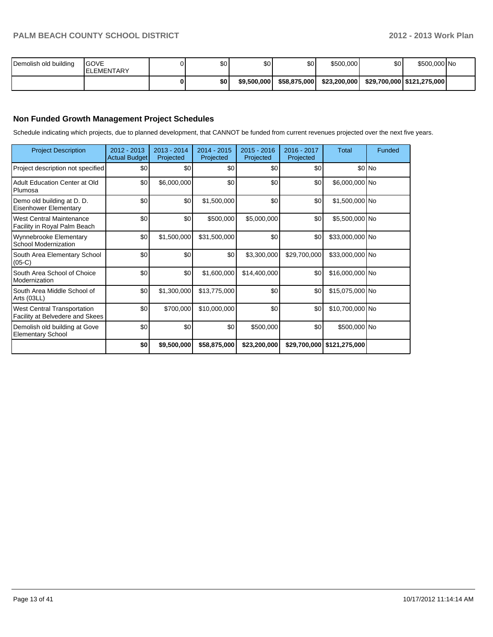| Demolish old building | <b>IGOVE</b><br><b>IELEMENTARY</b> | \$0 | \$0         | \$0          | \$500,000    | \$0 | \$500,000 No                 |  |
|-----------------------|------------------------------------|-----|-------------|--------------|--------------|-----|------------------------------|--|
|                       |                                    | \$0 | \$9,500,000 | \$58,875,000 | \$23.200.000 |     | \$29,700,000   \$121,275,000 |  |

## **Non Funded Growth Management Project Schedules**

Schedule indicating which projects, due to planned development, that CANNOT be funded from current revenues projected over the next five years.

| <b>Project Description</b>                                            | 2012 - 2013<br><b>Actual Budget</b> | $2013 - 2014$<br>Projected | $2014 - 2015$<br>Projected | $2015 - 2016$<br>Projected | 2016 - 2017<br>Projected | <b>Total</b>                 | Funded   |
|-----------------------------------------------------------------------|-------------------------------------|----------------------------|----------------------------|----------------------------|--------------------------|------------------------------|----------|
| Project description not specified                                     | \$0                                 | \$0                        | \$0                        | \$0                        | \$0                      |                              | $$0 $ No |
| Adult Education Center at Old<br>Plumosa                              | \$0                                 | \$6,000,000                | \$0                        | \$0                        | \$0                      | \$6,000,000 No               |          |
| Demo old building at D. D.<br><b>Eisenhower Elementary</b>            | \$0                                 | \$0                        | \$1,500,000                | \$0                        | \$0                      | \$1,500,000 No               |          |
| <b>West Central Maintenance</b><br>Facility in Royal Palm Beach       | \$0                                 | \$0                        | \$500,000                  | \$5,000,000                | \$0                      | \$5,500,000 No               |          |
| Wynnebrooke Elementary<br><b>School Modernization</b>                 | \$0                                 | \$1,500,000                | \$31,500,000               | \$0                        | \$0                      | \$33,000,000 No              |          |
| South Area Elementary School<br>$(05-C)$                              | \$0                                 | \$0                        | \$0                        | \$3,300,000                | \$29,700,000             | \$33,000,000 No              |          |
| South Area School of Choice<br>Modernization                          | \$0                                 | \$0                        | \$1,600,000                | \$14,400,000               | \$0                      | \$16,000,000 No              |          |
| South Area Middle School of<br>Arts (03LL)                            | \$0                                 | \$1,300,000                | \$13,775,000               | \$0                        | \$0                      | \$15,075,000 No              |          |
| <b>West Central Transportation</b><br>Facility at Belvedere and Skees | \$0                                 | \$700,000                  | \$10,000,000               | \$0                        | \$0                      | \$10,700,000 No              |          |
| Demolish old building at Gove<br><b>Elementary School</b>             | \$0                                 | \$0                        | \$0                        | \$500,000                  | \$0                      | \$500,000 No                 |          |
|                                                                       | \$0                                 | \$9,500,000                | \$58,875,000               | \$23,200,000               |                          | \$29,700,000   \$121,275,000 |          |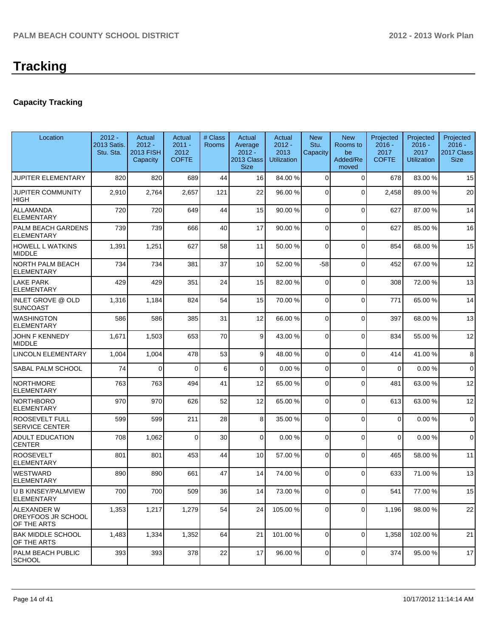# **Tracking**

## **Capacity Tracking**

| Location                                                | $2012 -$<br>2013 Satis.<br>Stu. Sta. | Actual<br>$2012 -$<br><b>2013 FISH</b><br>Capacity | Actual<br>$2011 -$<br>2012<br><b>COFTE</b> | # Class<br><b>Rooms</b> | Actual<br>Average<br>$2012 -$<br><b>2013 Class</b><br><b>Size</b> | Actual<br>$2012 -$<br>2013<br><b>Utilization</b> | <b>New</b><br>Stu.<br>Capacity | <b>New</b><br>Rooms to<br>be<br>Added/Re<br>moved | Projected<br>$2016 -$<br>2017<br><b>COFTE</b> | Projected<br>$2016 -$<br>2017<br><b>Utilization</b> | Projected<br>$2016 -$<br>2017 Class<br><b>Size</b> |
|---------------------------------------------------------|--------------------------------------|----------------------------------------------------|--------------------------------------------|-------------------------|-------------------------------------------------------------------|--------------------------------------------------|--------------------------------|---------------------------------------------------|-----------------------------------------------|-----------------------------------------------------|----------------------------------------------------|
| <b>JUPITER ELEMENTARY</b>                               | 820                                  | 820                                                | 689                                        | 44                      | 16                                                                | 84.00 %                                          | $\Omega$                       | $\Omega$                                          | 678                                           | 83.00 %                                             | 15                                                 |
| JUPITER COMMUNITY<br>HIGH                               | 2,910                                | 2,764                                              | 2,657                                      | 121                     | 22                                                                | 96.00 %                                          | $\Omega$                       | $\Omega$                                          | 2,458                                         | 89.00 %                                             | 20                                                 |
| <b>ALLAMANDA</b><br><b>ELEMENTARY</b>                   | 720                                  | 720                                                | 649                                        | 44                      | 15                                                                | 90.00 %                                          | 0                              | $\Omega$                                          | 627                                           | 87.00 %                                             | 14                                                 |
| PALM BEACH GARDENS<br><b>ELEMENTARY</b>                 | 739                                  | 739                                                | 666                                        | 40                      | 17                                                                | 90.00 %                                          | $\Omega$                       | $\Omega$                                          | 627                                           | 85.00 %                                             | 16                                                 |
| <b>HOWELL L WATKINS</b><br><b>MIDDLE</b>                | 1,391                                | 1,251                                              | 627                                        | 58                      | 11                                                                | 50.00 %                                          | 0                              | $\Omega$                                          | 854                                           | 68.00 %                                             | 15                                                 |
| <b>NORTH PALM BEACH</b><br><b>ELEMENTARY</b>            | 734                                  | 734                                                | 381                                        | 37                      | 10                                                                | 52.00 %                                          | $-58$                          | $\Omega$                                          | 452                                           | 67.00%                                              | 12                                                 |
| <b>LAKE PARK</b><br><b>ELEMENTARY</b>                   | 429                                  | 429                                                | 351                                        | 24                      | 15                                                                | 82.00 %                                          | $\Omega$                       | $\Omega$                                          | 308                                           | 72.00 %                                             | 13                                                 |
| <b>INLET GROVE @ OLD</b><br><b>SUNCOAST</b>             | 1,316                                | 1,184                                              | 824                                        | 54                      | 15                                                                | 70.00 %                                          | $\Omega$                       | $\Omega$                                          | 771                                           | 65.00 %                                             | 14                                                 |
| <b>WASHINGTON</b><br><b>ELEMENTARY</b>                  | 586                                  | 586                                                | 385                                        | 31                      | 12                                                                | 66.00 %                                          | $\overline{0}$                 | $\Omega$                                          | 397                                           | 68.00 %                                             | 13                                                 |
| JOHN F KENNEDY<br><b>MIDDLE</b>                         | 1,671                                | 1,503                                              | 653                                        | 70                      | 9                                                                 | 43.00 %                                          | 0                              | $\Omega$                                          | 834                                           | 55.00 %                                             | 12                                                 |
| <b>LINCOLN ELEMENTARY</b>                               | 1,004                                | 1,004                                              | 478                                        | 53                      | 9                                                                 | 48.00 %                                          | 0                              | $\Omega$                                          | 414                                           | 41.00%                                              | 8                                                  |
| <b>SABAL PALM SCHOOL</b>                                | 74                                   | 0                                                  | $\Omega$                                   | 6                       | 0                                                                 | 0.00%                                            | 0                              | $\Omega$                                          | $\Omega$                                      | 0.00%                                               | $\mathbf 0$                                        |
| <b>NORTHMORE</b><br><b>ELEMENTARY</b>                   | 763                                  | 763                                                | 494                                        | 41                      | 12                                                                | 65.00 %                                          | 0                              | $\Omega$                                          | 481                                           | 63.00 %                                             | 12                                                 |
| <b>NORTHBORO</b><br><b>ELEMENTARY</b>                   | 970                                  | 970                                                | 626                                        | 52                      | 12                                                                | 65.00 %                                          | $\Omega$                       | $\Omega$                                          | 613                                           | 63.00 %                                             | 12                                                 |
| ROOSEVELT FULL<br>SERVICE CENTER                        | 599                                  | 599                                                | 211                                        | 28                      | 8 <sup>1</sup>                                                    | 35.00 %                                          | 0                              | $\Omega$                                          | 0                                             | 0.00%                                               | $\mathbf 0$                                        |
| <b>ADULT EDUCATION</b><br><b>CENTER</b>                 | 708                                  | 1,062                                              | $\Omega$                                   | 30                      | $\overline{0}$                                                    | 0.00%                                            | 0                              | $\Omega$                                          | $\Omega$                                      | 0.00%                                               | $\mathbf 0$                                        |
| <b>ROOSEVELT</b><br><b>ELEMENTARY</b>                   | 801                                  | 801                                                | 453                                        | 44                      | 10                                                                | 57.00 %                                          | 0                              | $\Omega$                                          | 465                                           | 58.00 %                                             | 11                                                 |
| <b>WESTWARD</b><br><b>ELEMENTARY</b>                    | 890                                  | 890                                                | 661                                        | 47                      | 14                                                                | 74.00 %                                          | $\Omega$                       | $\Omega$                                          | 633                                           | 71.00%                                              | 13                                                 |
| U B KINSEY/PALMVIEW<br><b>ELEMENTARY</b>                | 700                                  | 700                                                | 509                                        | 36                      | 14                                                                | 73.00 %                                          | $\overline{0}$                 | $\Omega$                                          | 541                                           | 77.00 %                                             | 15                                                 |
| ALEXANDER W<br><b>DREYFOOS JR SCHOOL</b><br>OF THE ARTS | 1,353                                | 1,217                                              | 1,279                                      | 54                      | 24                                                                | 105.00 %                                         | 0                              | $\Omega$                                          | 1,196                                         | 98.00 %                                             | 22                                                 |
| <b>BAK MIDDLE SCHOOL</b><br><b>OF THE ARTS</b>          | 1,483                                | 1,334                                              | 1,352                                      | 64                      | 21                                                                | 101.00 %                                         | $\overline{0}$                 | $\Omega$                                          | 1,358                                         | 102.00%                                             | 21                                                 |
| PALM BEACH PUBLIC<br><b>SCHOOL</b>                      | 393                                  | 393                                                | 378                                        | 22                      | 17                                                                | 96.00 %                                          | $\overline{0}$                 | 0                                                 | 374                                           | 95.00 %                                             | 17                                                 |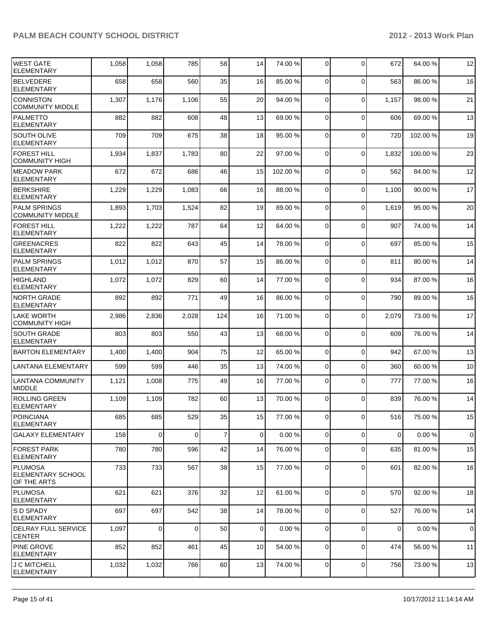| IWEST GATE<br><b>ELEMENTARY</b>                    | 1,058 | 1,058       | 785         | 58             | 14              | 74.00 % | $\overline{0}$ | $\Omega$       | 672         | 64.00%  | 12          |
|----------------------------------------------------|-------|-------------|-------------|----------------|-----------------|---------|----------------|----------------|-------------|---------|-------------|
| <b>BELVEDERE</b><br><b>ELEMENTARY</b>              | 658   | 658         | 560         | 35             | 16              | 85.00 % | $\Omega$       | $\Omega$       | 563         | 86.00 % | 16          |
| <b>CONNISTON</b><br><b>COMMUNITY MIDDLE</b>        | 1,307 | 1,176       | 1,106       | 55             | 20              | 94.00 % | $\overline{0}$ | $\mathbf 0$    | 1,157       | 98.00 % | 21          |
| <b>PALMETTO</b><br><b>ELEMENTARY</b>               | 882   | 882         | 608         | 48             | 13              | 69.00 % | $\overline{0}$ | 0              | 606         | 69.00 % | 13          |
| <b>SOUTH OLIVE</b><br><b>ELEMENTARY</b>            | 709   | 709         | 675         | 38             | 18              | 95.00 % | 0              | $\mathbf 0$    | 720         | 102.00% | 19          |
| <b>FOREST HILL</b><br><b>COMMUNITY HIGH</b>        | 1,934 | 1,837       | 1,783       | 80             | 22              | 97.00 % | $\Omega$       | $\mathbf 0$    | 1,832       | 100.00% | 23          |
| <b>MEADOW PARK</b><br><b>ELEMENTARY</b>            | 672   | 672         | 686         | 46             | 15              | 102.00% | $\Omega$       | $\overline{0}$ | 562         | 84.00%  | 12          |
| <b>BERKSHIRE</b><br><b>ELEMENTARY</b>              | 1,229 | 1,229       | 1,083       | 66             | 16              | 88.00 % | $\Omega$       | $\mathbf 0$    | 1,100       | 90.00%  | 17          |
| <b>PALM SPRINGS</b><br><b>COMMUNITY MIDDLE</b>     | 1,893 | 1,703       | 1,524       | 82             | 19              | 89.00 % | $\Omega$       | $\mathbf 0$    | 1,619       | 95.00%  | 20          |
| <b>FOREST HILL</b><br><b>ELEMENTARY</b>            | 1,222 | 1,222       | 787         | 64             | 12              | 64.00 % | $\Omega$       | $\mathbf 0$    | 907         | 74.00%  | 14          |
| <b>GREENACRES</b><br>ELEMENTARY                    | 822   | 822         | 643         | 45             | 14              | 78.00 % | $\Omega$       | 0              | 697         | 85.00 % | 15          |
| PALM SPRINGS<br><b>ELEMENTARY</b>                  | 1,012 | 1,012       | 870         | 57             | 15              | 86.00 % | $\Omega$       | 0              | 811         | 80.00%  | 14          |
| HIGHLAND<br><b>ELEMENTARY</b>                      | 1,072 | 1,072       | 829         | 60             | 14              | 77.00 % | $\Omega$       | $\mathbf 0$    | 934         | 87.00 % | 16          |
| <b>NORTH GRADE</b><br><b>ELEMENTARY</b>            | 892   | 892         | 771         | 49             | 16              | 86.00 % | $\Omega$       | 0              | 790         | 89.00 % | 16          |
| <b>LAKE WORTH</b><br><b>COMMUNITY HIGH</b>         | 2,986 | 2,836       | 2,028       | 124            | 16              | 71.00 % | $\Omega$       | 0              | 2,079       | 73.00 % | 17          |
| <b>SOUTH GRADE</b><br><b>ELEMENTARY</b>            | 803   | 803         | 550         | 43             | 13              | 68.00 % | $\overline{0}$ | $\mathbf{0}$   | 609         | 76.00 % | 14          |
| <b>BARTON ELEMENTARY</b>                           | 1,400 | 1,400       | 904         | 75             | 12              | 65.00 % | $\overline{0}$ | $\mathbf 0$    | 942         | 67.00%  | 13          |
| <b>LANTANA ELEMENTARY</b>                          | 599   | 599         | 446         | 35             | 13              | 74.00 % | $\overline{0}$ | $\Omega$       | 360         | 60.00 % | 10          |
| <b>LANTANA COMMUNITY</b><br><b>MIDDLE</b>          | 1,121 | 1,008       | 775         | 49             | 16              | 77.00 % | $\overline{0}$ | $\Omega$       | 777         | 77.00 % | 16          |
| <b>ROLLING GREEN</b><br><b>ELEMENTARY</b>          | 1,109 | 1,109       | 782         | 60             | 13              | 70.00 % | $\Omega$       | $\Omega$       | 839         | 76.00 % | 14          |
| POINCIANA<br><b>ELEMENTARY</b>                     | 685   | 685         | 529         | 35             | 15              | 77.00 % | $\overline{0}$ | 0              | 516         | 75.00 % | 15          |
| GALAXY ELEMENTARY                                  | 158   | $\mathbf 0$ | $\mathbf 0$ | $\overline{7}$ | $\overline{0}$  | 0.00%   | $\overline{0}$ | 0              | $\mathbf 0$ | 0.00%   | $\mathbf 0$ |
| <b>FOREST PARK</b><br><b>ELEMENTARY</b>            | 780   | 780         | 596         | 42             | 14              | 76.00 % | 0              | $\mathbf 0$    | 635         | 81.00%  | 15          |
| PLUMOSA<br><b>ELEMENTARY SCHOOL</b><br>OF THE ARTS | 733   | 733         | 567         | 38             | 15              | 77.00 % | $\overline{0}$ | 0              | 601         | 82.00 % | 16          |
| PLUMOSA<br><b>ELEMENTARY</b>                       | 621   | 621         | 376         | 32             | 12              | 61.00%  | 0              | $\overline{0}$ | 570         | 92.00 % | 18          |
| <b>S D SPADY</b><br><b>ELEMENTARY</b>              | 697   | 697         | 542         | 38             | 14              | 78.00 % | $\Omega$       | $\mathbf 0$    | 527         | 76.00 % | 14          |
| <b>IDELRAY FULL SERVICE</b><br><b>CENTER</b>       | 1,097 | $\mathbf 0$ | 0           | 50             | $\overline{0}$  | 0.00%   | $\overline{0}$ | 0              | $\mathbf 0$ | 0.00%   | $\mathbf 0$ |
| <b>PINE GROVE</b><br><b>ELEMENTARY</b>             | 852   | 852         | 461         | 45             | 10 <sup>1</sup> | 54.00 % | $\overline{0}$ | 0              | 474         | 56.00 % | 11          |
| <b>J C MITCHELL</b><br><b>ELEMENTARY</b>           | 1,032 | 1,032       | 766         | 60             | 13              | 74.00 % | 0              | 0              | 756         | 73.00 % | 13          |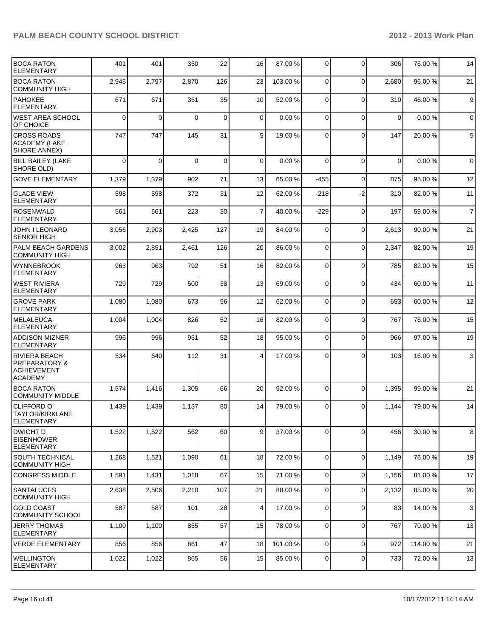| <b>BOCA RATON</b><br><b>ELEMENTARY</b>                                                   | 401         | 401      | 350      | 22          | 16              | 87.00 %  | $\overline{0}$ | $\Omega$    | 306         | 76.00 % | 14             |
|------------------------------------------------------------------------------------------|-------------|----------|----------|-------------|-----------------|----------|----------------|-------------|-------------|---------|----------------|
| <b>BOCA RATON</b><br><b>COMMUNITY HIGH</b>                                               | 2,945       | 2,797    | 2,870    | 126         | 23              | 103.00 % | 0              | $\mathbf 0$ | 2,680       | 96.00 % | 21             |
| <b>PAHOKEE</b><br>IELEMENTARY                                                            | 671         | 671      | 351      | 35          | 10 <sup>1</sup> | 52.00 %  | $\Omega$       | $\mathbf 0$ | 310         | 46.00%  | 9              |
| IWEST AREA SCHOOL<br><b>OF CHOICE</b>                                                    | $\mathbf 0$ | $\Omega$ | $\Omega$ | $\mathbf 0$ | $\Omega$        | 0.00%    | $\Omega$       | $\Omega$    | $\mathbf 0$ | 0.00%   | $\mathbf 0$    |
| <b>CROSS ROADS</b><br><b>ACADEMY (LAKE</b><br>SHORE ANNEX)                               | 747         | 747      | 145      | 31          | 5 <sup>1</sup>  | 19.00 %  | 0              | $\Omega$    | 147         | 20.00 % | $\,$ 5 $\,$    |
| BILL BAILEY (LAKE<br>SHORE OLD)                                                          | $\Omega$    | $\Omega$ | $\Omega$ | $\mathbf 0$ | $\Omega$        | 0.00%    | $\Omega$       | $\Omega$    | $\Omega$    | 0.00%   | $\mathbf 0$    |
| <b>GOVE ELEMENTARY</b>                                                                   | 1,379       | 1,379    | 902      | 71          | 13              | 65.00 %  | $-455$         | $\mathbf 0$ | 875         | 95.00 % | 12             |
| <b>GLADE VIEW</b><br><b>ELEMENTARY</b>                                                   | 598         | 598      | 372      | 31          | 12              | 62.00 %  | $-218$         | $-2$        | 310         | 82.00%  | 11             |
| <b>ROSENWALD</b><br><b>ELEMENTARY</b>                                                    | 561         | 561      | 223      | 30          | $\overline{7}$  | 40.00 %  | $-229$         | $\mathbf 0$ | 197         | 59.00 % | $\overline{7}$ |
| <b>JOHN I LEONARD</b><br><b>SENIOR HIGH</b>                                              | 3,056       | 2,903    | 2,425    | 127         | 19              | 84.00 %  | $\Omega$       | $\mathbf 0$ | 2,613       | 90.00%  | 21             |
| <b>PALM BEACH GARDENS</b><br><b>COMMUNITY HIGH</b>                                       | 3,002       | 2,851    | 2,461    | 126         | 20              | 86.00 %  | $\Omega$       | $\Omega$    | 2,347       | 82.00%  | 19             |
| <b>WYNNEBROOK</b><br><b>ELEMENTARY</b>                                                   | 963         | 963      | 792      | 51          | 16              | 82.00 %  | 0              | $\mathbf 0$ | 785         | 82.00%  | 15             |
| WEST RIVIERA<br><b>ELEMENTARY</b>                                                        | 729         | 729      | 500      | 38          | 13              | 69.00 %  | $\Omega$       | $\Omega$    | 434         | 60.00%  | 11             |
| <b>GROVE PARK</b><br>ELEMENTARY                                                          | 1,080       | 1,080    | 673      | 56          | 12              | 62.00 %  | $\overline{0}$ | $\Omega$    | 653         | 60.00 % | 12             |
| IMELALEUCA<br><b>ELEMENTARY</b>                                                          | 1,004       | 1,004    | 826      | 52          | 16              | 82.00 %  | $\overline{0}$ | $\Omega$    | 767         | 76.00 % | 15             |
| <b>ADDISON MIZNER</b><br>ELEMENTARY                                                      | 996         | 996      | 951      | 52          | 18              | 95.00 %  | 0              | $\Omega$    | 966         | 97.00 % | 19             |
| <b>RIVIERA BEACH</b><br><b>PREPARATORY &amp;</b><br><b>ACHIEVEMENT</b><br><b>ACADEMY</b> | 534         | 640      | 112      | 31          | 4               | 17.00 %  | 0              | $\Omega$    | 103         | 16.00%  | $\mathbf{3}$   |
| <b>BOCA RATON</b><br>COMMUNITY MIDDLE                                                    | 1,574       | 1,416    | 1,305    | 66          | 20              | 92.00 %  | $\Omega$       | $\mathbf 0$ | 1,395       | 99.00 % | 21             |
| <b>CLIFFORD O</b><br>TAYLOR/KIRKLANE<br> ELEMENTARY                                      | 1,439       | 1,439    | 1,137    | 80          | 14              | 79.00 %  | $\Omega$       | $\Omega$    | 1,144       | 79.00 % | 14             |
| <b>DWIGHT D</b><br><b>EISENHOWER</b><br><b>ELEMENTARY</b>                                | 1,522       | 1,522    | 562      | 60          | 9 <sub>l</sub>  | 37.00 %  | $\overline{0}$ | $\mathbf 0$ | 456         | 30.00 % | 8              |
| <b>SOUTH TECHNICAL</b><br><b>COMMUNITY HIGH</b>                                          | 1,268       | 1,521    | 1,090    | 61          | 18              | 72.00 %  | $\Omega$       | $\mathbf 0$ | 1,149       | 76.00 % | 19             |
| <b>CONGRESS MIDDLE</b>                                                                   | 1,591       | 1,431    | 1,018    | 67          | 15              | 71.00 %  | $\overline{0}$ | $\mathbf 0$ | 1,156       | 81.00 % | 17             |
| <b>SANTALUCES</b><br><b>COMMUNITY HIGH</b>                                               | 2,638       | 2,506    | 2,210    | 107         | 21              | 88.00 %  | $\overline{0}$ | 0           | 2,132       | 85.00 % | 20             |
| <b>GOLD COAST</b><br><b>COMMUNITY SCHOOL</b>                                             | 587         | 587      | 101      | 28          | $\vert 4 \vert$ | 17.00 %  | $\overline{0}$ | $\mathbf 0$ | 83          | 14.00 % | 3              |
| <b>JERRY THOMAS</b><br><b>ELEMENTARY</b>                                                 | 1,100       | 1,100    | 855      | 57          | 15              | 78.00 %  | 0              | $\mathbf 0$ | 767         | 70.00 % | 13             |
| <b>VERDE ELEMENTARY</b>                                                                  | 856         | 856      | 861      | 47          | 18              | 101.00 % | $\overline{0}$ | $\mathbf 0$ | 972         | 114.00% | 21             |
| <b>WELLINGTON</b><br>ELEMENTARY                                                          | 1,022       | 1,022    | 865      | 56          | 15              | 85.00 %  | $\overline{0}$ | $\mathbf 0$ | 733         | 72.00 % | 13             |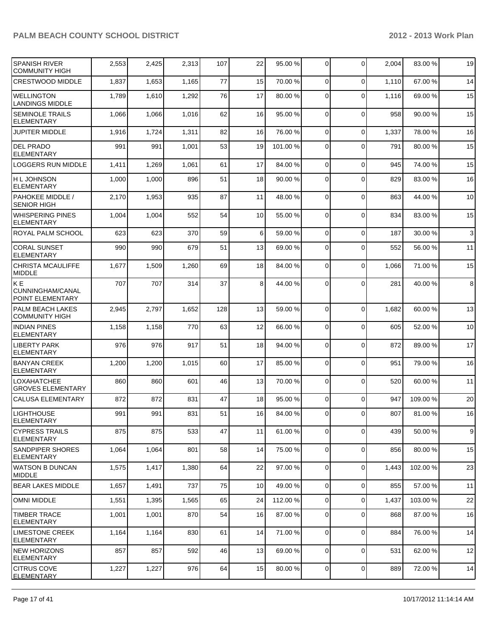| <b>SPANISH RIVER</b><br><b>COMMUNITY HIGH</b>    | 2,553 | 2,425 | 2,313 | 107 | 22 | 95.00 %  | 0              | $\mathbf 0$    | 2,004 | 83.00 %  | 19           |
|--------------------------------------------------|-------|-------|-------|-----|----|----------|----------------|----------------|-------|----------|--------------|
| <b>CRESTWOOD MIDDLE</b>                          | 1,837 | 1,653 | 1,165 | 77  | 15 | 70.00 %  | 0              | $\Omega$       | 1,110 | 67.00%   | 14           |
| <b>WELLINGTON</b><br><b>LANDINGS MIDDLE</b>      | 1,789 | 1,610 | 1,292 | 76  | 17 | 80.00 %  | $\Omega$       | $\Omega$       | 1,116 | 69.00 %  | 15           |
| <b>SEMINOLE TRAILS</b><br><b>ELEMENTARY</b>      | 1,066 | 1,066 | 1,016 | 62  | 16 | 95.00 %  | $\mathbf 0$    | $\Omega$       | 958   | 90.00%   | 15           |
| <b>JUPITER MIDDLE</b>                            | 1,916 | 1,724 | 1,311 | 82  | 16 | 76.00 %  | $\mathbf 0$    | $\Omega$       | 1,337 | 78.00 %  | 16           |
| <b>DEL PRADO</b><br><b>ELEMENTARY</b>            | 991   | 991   | 1,001 | 53  | 19 | 101.00 % | 0              | $\Omega$       | 791   | 80.00%   | 15           |
| <b>LOGGERS RUN MIDDLE</b>                        | 1,411 | 1,269 | 1,061 | 61  | 17 | 84.00 %  | 0              | $\Omega$       | 945   | 74.00 %  | 15           |
| <b>H L JOHNSON</b><br><b>ELEMENTARY</b>          | 1,000 | 1,000 | 896   | 51  | 18 | 90.00 %  | 0              | $\Omega$       | 829   | 83.00 %  | 16           |
| <b>PAHOKEE MIDDLE /</b><br><b>SENIOR HIGH</b>    | 2,170 | 1,953 | 935   | 87  | 11 | 48.00 %  | $\mathbf 0$    | $\Omega$       | 863   | 44.00%   | 10           |
| <b>WHISPERING PINES</b><br><b>ELEMENTARY</b>     | 1,004 | 1,004 | 552   | 54  | 10 | 55.00 %  | $\mathbf 0$    | $\Omega$       | 834   | 83.00 %  | 15           |
| <b>ROYAL PALM SCHOOL</b>                         | 623   | 623   | 370   | 59  | 6  | 59.00 %  | 0              | $\Omega$       | 187   | 30.00 %  | $\mathbf{3}$ |
| <b>CORAL SUNSET</b><br><b>ELEMENTARY</b>         | 990   | 990   | 679   | 51  | 13 | 69.00 %  | 0              | $\Omega$       | 552   | 56.00 %  | 11           |
| <b>CHRISTA MCAULIFFE</b><br><b>MIDDLE</b>        | 1,677 | 1,509 | 1,260 | 69  | 18 | 84.00 %  | 0              | $\Omega$       | 1,066 | 71.00 %  | 15           |
| KE<br>CUNNINGHAM/CANAL<br>POINT ELEMENTARY       | 707   | 707   | 314   | 37  | 8  | 44.00 %  | $\Omega$       | $\Omega$       | 281   | 40.00 %  | 8            |
| <b>PALM BEACH LAKES</b><br><b>COMMUNITY HIGH</b> | 2,945 | 2,797 | 1,652 | 128 | 13 | 59.00 %  | 0              | $\Omega$       | 1,682 | 60.00 %  | 13           |
| <b>INDIAN PINES</b><br><b>ELEMENTARY</b>         | 1,158 | 1,158 | 770   | 63  | 12 | 66.00 %  | 0              | $\Omega$       | 605   | 52.00 %  | 10           |
| <b>LIBERTY PARK</b><br><b>ELEMENTARY</b>         | 976   | 976   | 917   | 51  | 18 | 94.00 %  | 0              | $\mathbf 0$    | 872   | 89.00 %  | 17           |
| <b>BANYAN CREEK</b><br><b>ELEMENTARY</b>         | 1,200 | 1,200 | 1,015 | 60  | 17 | 85.00 %  | 0              | $\mathbf 0$    | 951   | 79.00 %  | 16           |
| <b>LOXAHATCHEE</b><br><b>GROVES ELEMENTARY</b>   | 860   | 860   | 601   | 46  | 13 | 70.00 %  | 0              | $\Omega$       | 520   | 60.00 %  | 11           |
| <b>CALUSA ELEMENTARY</b>                         | 872   | 872   | 831   | 47  | 18 | 95.00 %  | 0              | $\mathbf 0$    | 947   | 109.00 % | 20           |
| <b>LIGHTHOUSE</b><br> ELEMENTARY                 | 991   | 991   | 831   | 51  | 16 | 84.00 %  | $\overline{0}$ | $\overline{0}$ | 807   | 81.00%   | 16           |
| <b>CYPRESS TRAILS</b><br><b>ELEMENTARY</b>       | 875   | 875   | 533   | 47  | 11 | 61.00 %  | $\overline{0}$ | $\mathbf 0$    | 439   | 50.00 %  | 9            |
| <b>SANDPIPER SHORES</b><br>ELEMENTARY            | 1,064 | 1,064 | 801   | 58  | 14 | 75.00 %  | 0              | $\mathbf 0$    | 856   | 80.00%   | 15           |
| WATSON B DUNCAN<br><b>MIDDLE</b>                 | 1,575 | 1,417 | 1,380 | 64  | 22 | 97.00 %  | 0              | $\Omega$       | 1,443 | 102.00%  | 23           |
| <b>IBEAR LAKES MIDDLE</b>                        | 1,657 | 1,491 | 737   | 75  | 10 | 49.00 %  | $\mathbf 0$    | $\overline{0}$ | 855   | 57.00 %  | 11           |
| <b>OMNI MIDDLE</b>                               | 1,551 | 1,395 | 1,565 | 65  | 24 | 112.00 % | 0              | $\mathbf 0$    | 1,437 | 103.00%  | 22           |
| <b>TIMBER TRACE</b><br><b>ELEMENTARY</b>         | 1,001 | 1,001 | 870   | 54  | 16 | 87.00 %  | 0              | $\mathbf 0$    | 868   | 87.00 %  | 16           |
| <b>LIMESTONE CREEK</b><br><b>ELEMENTARY</b>      | 1,164 | 1,164 | 830   | 61  | 14 | 71.00 %  | $\mathbf 0$    | $\Omega$       | 884   | 76.00 %  | 14           |
| <b>NEW HORIZONS</b><br><b>ELEMENTARY</b>         | 857   | 857   | 592   | 46  | 13 | 69.00 %  | 0              | $\mathbf 0$    | 531   | 62.00 %  | 12           |
| <b>CITRUS COVE</b><br>ELEMENTARY                 | 1,227 | 1,227 | 976   | 64  | 15 | 80.00 %  | 0              | $\mathbf 0$    | 889   | 72.00 %  | 14           |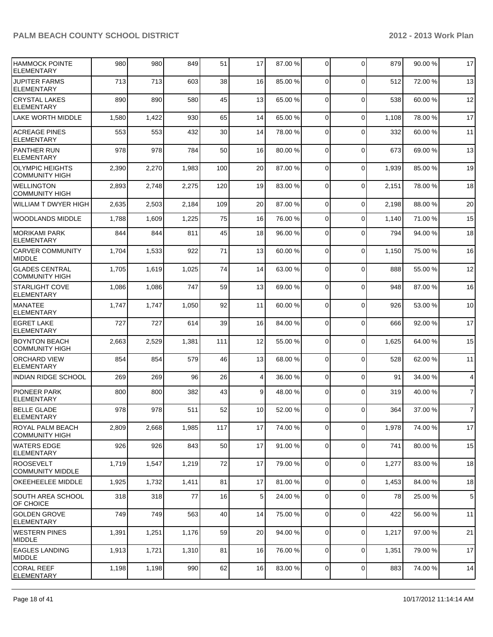| <b>HAMMOCK POINTE</b><br><b>ELEMENTARY</b>      | 980   | 980   | 849   | 51  | 17              | 87.00 % | $\overline{0}$ | $\Omega$    | 879   | 90.00%  | 17             |
|-------------------------------------------------|-------|-------|-------|-----|-----------------|---------|----------------|-------------|-------|---------|----------------|
| <b>JUPITER FARMS</b><br><b>ELEMENTARY</b>       | 713   | 713   | 603   | 38  | 16              | 85.00 % | $\Omega$       | $\Omega$    | 512   | 72.00 % | 13             |
| <b>CRYSTAL LAKES</b><br>ELEMENTARY              | 890   | 890   | 580   | 45  | 13              | 65.00 % | $\overline{0}$ | $\mathbf 0$ | 538   | 60.00%  | 12             |
| <b>LAKE WORTH MIDDLE</b>                        | 1,580 | 1,422 | 930   | 65  | 14              | 65.00 % | $\overline{0}$ | $\mathbf 0$ | 1,108 | 78.00 % | 17             |
| <b>ACREAGE PINES</b><br>ELEMENTARY              | 553   | 553   | 432   | 30  | 14              | 78.00 % | $\overline{0}$ | $\Omega$    | 332   | 60.00 % | 11             |
| <b>PANTHER RUN</b><br><b>ELEMENTARY</b>         | 978   | 978   | 784   | 50  | 16              | 80.00 % | 0              | $\mathbf 0$ | 673   | 69.00 % | 13             |
| <b>OLYMPIC HEIGHTS</b><br><b>COMMUNITY HIGH</b> | 2,390 | 2,270 | 1,983 | 100 | 20              | 87.00 % | $\Omega$       | $\mathbf 0$ | 1,939 | 85.00 % | 19             |
| <b>WELLINGTON</b><br><b>COMMUNITY HIGH</b>      | 2,893 | 2,748 | 2,275 | 120 | 19              | 83.00 % | $\Omega$       | $\mathbf 0$ | 2,151 | 78.00 % | 18             |
| WILLIAM T DWYER HIGH                            | 2,635 | 2,503 | 2,184 | 109 | 20              | 87.00 % | $\Omega$       | $\mathbf 0$ | 2,198 | 88.00 % | 20             |
| WOODLANDS MIDDLE                                | 1,788 | 1,609 | 1,225 | 75  | 16              | 76.00 % | $\Omega$       | $\mathbf 0$ | 1,140 | 71.00%  | 15             |
| MORIKAMI PARK<br>ELEMENTARY                     | 844   | 844   | 811   | 45  | 18              | 96.00 % | $\Omega$       | $\Omega$    | 794   | 94.00%  | 18             |
| <b>ICARVER COMMUNITY</b><br><b>MIDDLE</b>       | 1,704 | 1,533 | 922   | 71  | 13              | 60.00 % | $\Omega$       | $\mathbf 0$ | 1,150 | 75.00 % | 16             |
| <b>GLADES CENTRAL</b><br><b>COMMUNITY HIGH</b>  | 1,705 | 1,619 | 1,025 | 74  | 14              | 63.00 % | $\Omega$       | $\mathbf 0$ | 888   | 55.00 % | 12             |
| <b>STARLIGHT COVE</b><br>ELEMENTARY             | 1,086 | 1,086 | 747   | 59  | 13              | 69.00 % | $\Omega$       | $\mathbf 0$ | 948   | 87.00%  | 16             |
| <b>IMANATEE</b><br><b>ELEMENTARY</b>            | 1,747 | 1,747 | 1,050 | 92  | 11              | 60.00 % | $\Omega$       | $\Omega$    | 926   | 53.00 % | 10             |
| EGRET LAKE<br>ELEMENTARY                        | 727   | 727   | 614   | 39  | 16              | 84.00 % | $\Omega$       | $\mathbf 0$ | 666   | 92.00 % | 17             |
| <b>BOYNTON BEACH</b><br><b>COMMUNITY HIGH</b>   | 2,663 | 2,529 | 1,381 | 111 | 12              | 55.00 % | $\Omega$       | $\mathbf 0$ | 1,625 | 64.00%  | 15             |
| <b>ORCHARD VIEW</b><br>ELEMENTARY               | 854   | 854   | 579   | 46  | 13              | 68.00 % | $\overline{0}$ | $\mathbf 0$ | 528   | 62.00 % | 11             |
| INDIAN RIDGE SCHOOL                             | 269   | 269   | 96    | 26  | 4               | 36.00 % | $\Omega$       | $\Omega$    | 91    | 34.00 % | 4              |
| <b>PIONEER PARK</b><br><b>ELEMENTARY</b>        | 800   | 800   | 382   | 43  | $\vert 9 \vert$ | 48.00 % | $\Omega$       | $\Omega$    | 319   | 40.00%  | $\overline{7}$ |
| <b>BELLE GLADE</b><br><b>ELEMENTARY</b>         | 978   | 978   | 511   | 52  | 10 <sup>1</sup> | 52.00 % | $\overline{0}$ | $\Omega$    | 364   | 37.00 % | $\overline{7}$ |
| ROYAL PALM BEACH<br> COMMUNITY HIGH             | 2,809 | 2,668 | 1,985 | 117 | 17              | 74.00 % | $\Omega$       | $\mathbf 0$ | 1,978 | 74.00 % | 17             |
| <b>WATERS EDGE</b><br><b>ELEMENTARY</b>         | 926   | 926   | 843   | 50  | 17              | 91.00 % | $\overline{0}$ | $\mathbf 0$ | 741   | 80.00%  | 15             |
| ROOSEVELT<br><b>COMMUNITY MIDDLE</b>            | 1,719 | 1,547 | 1,219 | 72  | 17              | 79.00 % | $\overline{0}$ | $\mathbf 0$ | 1,277 | 83.00 % | 18             |
| OKEEHEELEE MIDDLE                               | 1,925 | 1,732 | 1,411 | 81  | 17              | 81.00 % | $\Omega$       | $\mathbf 0$ | 1,453 | 84.00%  | 18             |
| SOUTH AREA SCHOOL<br><b>OF CHOICE</b>           | 318   | 318   | 77    | 16  | 5 <sup>1</sup>  | 24.00 % | 0              | $\mathbf 0$ | 78    | 25.00 % | 5              |
| GOLDEN GROVE<br>ELEMENTARY                      | 749   | 749   | 563   | 40  | 14              | 75.00 % | $\overline{0}$ | $\mathbf 0$ | 422   | 56.00 % | 11             |
| WESTERN PINES<br>MIDDLE                         | 1,391 | 1,251 | 1,176 | 59  | 20 <sup>2</sup> | 94.00 % | $\overline{0}$ | $\mathbf 0$ | 1,217 | 97.00 % | 21             |
| <b>EAGLES LANDING</b><br>MIDDLE                 | 1,913 | 1,721 | 1,310 | 81  | 16              | 76.00 % | 0              | $\mathbf 0$ | 1,351 | 79.00 % | 17             |
| <b>CORAL REEF</b><br><b>ELEMENTARY</b>          | 1,198 | 1,198 | 990   | 62  | 16              | 83.00 % | $\overline{0}$ | $\mathbf 0$ | 883   | 74.00%  | 14             |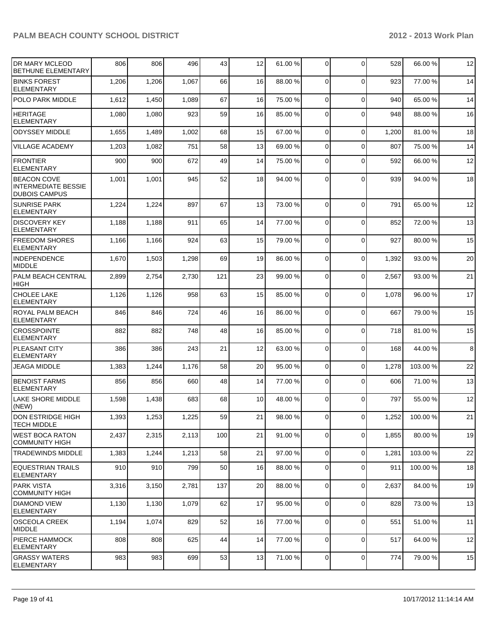| <b>IDR MARY MCLEOD</b><br>BETHUNE ELEMENTARY                             | 806   | 806   | 496   | 43  | 12 | 61.00 % | 0              | $\Omega$       | 528   | 66.00 %  | 12 |
|--------------------------------------------------------------------------|-------|-------|-------|-----|----|---------|----------------|----------------|-------|----------|----|
| <b>BINKS FOREST</b><br><b>ELEMENTARY</b>                                 | 1,206 | 1,206 | 1,067 | 66  | 16 | 88.00 % | $\Omega$       | $\Omega$       | 923   | 77.00 %  | 14 |
| POLO PARK MIDDLE                                                         | 1,612 | 1,450 | 1,089 | 67  | 16 | 75.00 % | 0              | $\mathbf 0$    | 940   | 65.00 %  | 14 |
| HERITAGE<br><b>ELEMENTARY</b>                                            | 1,080 | 1,080 | 923   | 59  | 16 | 85.00 % | 0              | $\Omega$       | 948   | 88.00 %  | 16 |
| <b>ODYSSEY MIDDLE</b>                                                    | 1,655 | 1,489 | 1,002 | 68  | 15 | 67.00 % | $\mathbf 0$    | $\mathbf 0$    | 1,200 | 81.00%   | 18 |
| VILLAGE ACADEMY                                                          | 1,203 | 1,082 | 751   | 58  | 13 | 69.00 % | 0              | $\Omega$       | 807   | 75.00 %  | 14 |
| <b>FRONTIER</b><br><b>ELEMENTARY</b>                                     | 900   | 900   | 672   | 49  | 14 | 75.00 % | 0              | $\Omega$       | 592   | 66.00 %  | 12 |
| <b>BEACON COVE</b><br><b>INTERMEDIATE BESSIE</b><br><b>DUBOIS CAMPUS</b> | 1,001 | 1,001 | 945   | 52  | 18 | 94.00 % | 0              | $\Omega$       | 939   | 94.00%   | 18 |
| <b>SUNRISE PARK</b><br><b>ELEMENTARY</b>                                 | 1,224 | 1,224 | 897   | 67  | 13 | 73.00 % | $\mathbf 0$    | $\Omega$       | 791   | 65.00 %  | 12 |
| <b>DISCOVERY KEY</b><br><b>ELEMENTARY</b>                                | 1,188 | 1,188 | 911   | 65  | 14 | 77.00 % | 0              | $\Omega$       | 852   | 72.00 %  | 13 |
| <b>FREEDOM SHORES</b><br><b>ELEMENTARY</b>                               | 1,166 | 1,166 | 924   | 63  | 15 | 79.00 % | $\Omega$       | $\Omega$       | 927   | 80.00%   | 15 |
| <b>INDEPENDENCE</b><br><b>MIDDLE</b>                                     | 1,670 | 1,503 | 1,298 | 69  | 19 | 86.00 % | 0              | $\Omega$       | 1,392 | 93.00 %  | 20 |
| <b>PALM BEACH CENTRAL</b><br><b>HIGH</b>                                 | 2,899 | 2,754 | 2,730 | 121 | 23 | 99.00 % | 0              | $\Omega$       | 2,567 | 93.00 %  | 21 |
| <b>CHOLEE LAKE</b><br><b>ELEMENTARY</b>                                  | 1,126 | 1,126 | 958   | 63  | 15 | 85.00 % | 0              | $\Omega$       | 1,078 | 96.00 %  | 17 |
| ROYAL PALM BEACH<br><b>ELEMENTARY</b>                                    | 846   | 846   | 724   | 46  | 16 | 86.00 % | 0              | $\Omega$       | 667   | 79.00 %  | 15 |
| <b>CROSSPOINTE</b><br><b>ELEMENTARY</b>                                  | 882   | 882   | 748   | 48  | 16 | 85.00 % | 0              | $\Omega$       | 718   | 81.00%   | 15 |
| <b>PLEASANT CITY</b><br><b>ELEMENTARY</b>                                | 386   | 386   | 243   | 21  | 12 | 63.00 % | 0              | $\mathbf 0$    | 168   | 44.00 %  | 8  |
| JEAGA MIDDLE                                                             | 1,383 | 1,244 | 1,176 | 58  | 20 | 95.00 % | 0              | $\mathbf 0$    | 1,278 | 103.00 % | 22 |
| <b>BENOIST FARMS</b><br><b>ELEMENTARY</b>                                | 856   | 856   | 660   | 48  | 14 | 77.00 % | 0              | $\Omega$       | 606   | 71.00 %  | 13 |
| <b>LAKE SHORE MIDDLE</b><br>(NEW)                                        | 1,598 | 1,438 | 683   | 68  | 10 | 48.00 % | 0              | $\Omega$       | 797   | 55.00 %  | 12 |
| DON ESTRIDGE HIGH<br><b>TECH MIDDLE</b>                                  | 1,393 | 1,253 | 1,225 | 59  | 21 | 98.00 % |                | $\overline{0}$ | 1,252 | 100.00%  | 21 |
| <b>WEST BOCA RATON</b><br><b>COMMUNITY HIGH</b>                          | 2,437 | 2,315 | 2,113 | 100 | 21 | 91.00 % | 0              | $\mathbf 0$    | 1,855 | 80.00%   | 19 |
| <b>TRADEWINDS MIDDLE</b>                                                 | 1,383 | 1,244 | 1,213 | 58  | 21 | 97.00 % | 0              | $\overline{0}$ | 1,281 | 103.00 % | 22 |
| EQUESTRIAN TRAILS<br><b>ELEMENTARY</b>                                   | 910   | 910   | 799   | 50  | 16 | 88.00 % | 0              | $\Omega$       | 911   | 100.00%  | 18 |
| <b>PARK VISTA</b><br><b>COMMUNITY HIGH</b>                               | 3,316 | 3,150 | 2,781 | 137 | 20 | 88.00 % | $\overline{0}$ | $\mathbf 0$    | 2,637 | 84.00%   | 19 |
| <b>DIAMOND VIEW</b><br><b>ELEMENTARY</b>                                 | 1,130 | 1,130 | 1,079 | 62  | 17 | 95.00 % | $\mathbf 0$    | $\Omega$       | 828   | 73.00 %  | 13 |
| <b>OSCEOLA CREEK</b><br>MIDDLE                                           | 1,194 | 1,074 | 829   | 52  | 16 | 77.00 % | 0              | $\mathbf 0$    | 551   | 51.00%   | 11 |
| <b>PIERCE HAMMOCK</b><br><b>ELEMENTARY</b>                               | 808   | 808   | 625   | 44  | 14 | 77.00 % | $\mathbf 0$    | $\mathbf 0$    | 517   | 64.00 %  | 12 |
| <b>GRASSY WATERS</b><br>ELEMENTARY                                       | 983   | 983   | 699   | 53  | 13 | 71.00 % | $\overline{0}$ | 0              | 774   | 79.00 %  | 15 |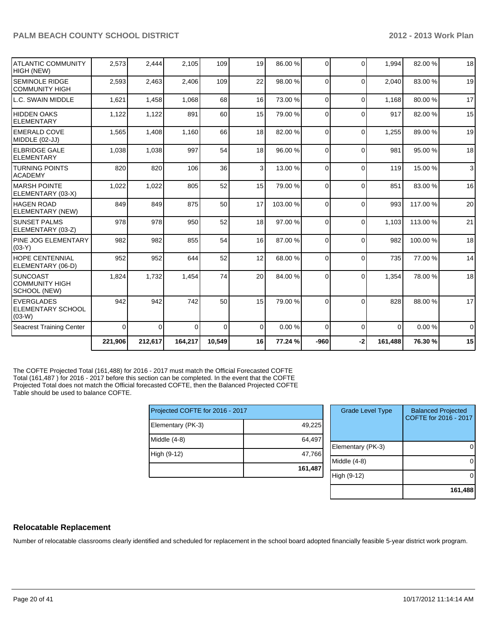|                                                            | 221,906  | 212,617  | 164,217  | 10,549   | 16              | 77.24 %  | $-960$   | $-2$     | 161,488  | 76.30 %  | 15       |
|------------------------------------------------------------|----------|----------|----------|----------|-----------------|----------|----------|----------|----------|----------|----------|
| <b>Seacrest Training Center</b>                            | $\Omega$ | $\Omega$ | $\Omega$ | $\Omega$ | $\Omega$        | 0.00 %   | $\Omega$ | $\Omega$ | $\Omega$ | 0.00%    | $\Omega$ |
| <b>LEVERGLADES</b><br><b>ELEMENTARY SCHOOL</b><br>$(03-W)$ | 942      | 942      | 742      | 50       | 15              | 79.00 %  | $\Omega$ | $\Omega$ | 828      | 88.00 %  | 17       |
| ISUNCOAST<br><b>COMMUNITY HIGH</b><br>SCHOOL (NEW)         | 1,824    | 1,732    | 1,454    | 74       | 20 <sup>1</sup> | 84.00 %  | $\Omega$ | $\Omega$ | 1,354    | 78.00 %  | 18       |
| <b>HOPE CENTENNIAL</b><br>ELEMENTARY (06-D)                | 952      | 952      | 644      | 52       | 12              | 68.00 %  | $\Omega$ | $\Omega$ | 735      | 77.00 %  | 14       |
| <b>PINE JOG ELEMENTARY</b><br>$(03-Y)$                     | 982      | 982      | 855      | 54       | 16 <sup>1</sup> | 87.00 %  | $\Omega$ | $\Omega$ | 982      | 100.00%  | 18       |
| <b>SUNSET PALMS</b><br>ELEMENTARY (03-Z)                   | 978      | 978      | 950      | 52       | 18              | 97.00 %  | 0        | $\Omega$ | 1,103    | 113.00 % | 21       |
| HAGEN ROAD<br>ELEMENTARY (NEW)                             | 849      | 849      | 875      | 50       | 17              | 103.00 % | $\Omega$ | $\Omega$ | 993      | 117.00%  | 20       |
| IMARSH POINTE<br>ELEMENTARY (03-X)                         | 1,022    | 1,022    | 805      | 52       | 15              | 79.00 %  | $\Omega$ | $\Omega$ | 851      | 83.00 %  | 16       |
| <b>ITURNING POINTS</b><br>IACADEMY                         | 820      | 820      | 106      | 36       | $\overline{3}$  | 13.00 %  | 0        | $\Omega$ | 119      | 15.00 %  | 3        |
| <b>ELBRIDGE GALE</b><br>IELEMENTARY                        | 1,038    | 1,038    | 997      | 54       | 18 <sup>1</sup> | 96.00 %  | $\Omega$ | $\Omega$ | 981      | 95.00 %  | 18       |
| <b>EMERALD COVE</b><br>MIDDLE (02-JJ)                      | 1,565    | 1,408    | 1,160    | 66       | 18              | 82.00 %  | $\Omega$ | $\Omega$ | 1,255    | 89.00 %  | 19       |
| HIDDEN OAKS<br><b>ELEMENTARY</b>                           | 1,122    | 1,122    | 891      | 60       | 15              | 79.00 %  | $\Omega$ | $\Omega$ | 917      | 82.00%   | 15       |
| L.C. SWAIN MIDDLE                                          | 1,621    | 1,458    | 1,068    | 68       | 16 <sup>1</sup> | 73.00 %  | $\Omega$ | $\Omega$ | 1,168    | 80.00%   | 17       |
| <b>SEMINOLE RIDGE</b><br><b>COMMUNITY HIGH</b>             | 2,593    | 2,463    | 2,406    | 109      | 22              | 98.00 %  | 0        | $\Omega$ | 2,040    | 83.00 %  | 19       |
| ATLANTIC COMMUNITY<br>HIGH (NEW)                           | 2,573    | 2,444    | 2,105    | 109      | 19              | 86.00 %  | $\Omega$ | $\Omega$ | 1,994    | 82.00%   | 18       |

The COFTE Projected Total (161,488) for 2016 - 2017 must match the Official Forecasted COFTE Total (161,487) for 2016 - 2017 before this section can be completed. In the event that the COFTE Projected Total does not match the Official forecasted COFTE, then the Balanced Projected COFTE Table should be used to balance COFTE.

| Projected COFTE for 2016 - 2017 |         | <b>Grade Leve</b> |
|---------------------------------|---------|-------------------|
| Elementary (PK-3)               | 49,225  |                   |
| Middle $(4-8)$                  | 64,497  |                   |
|                                 |         | Elementary (P)    |
| High (9-12)                     | 47,766  | Middle (4-8)      |
|                                 | 161,487 |                   |
|                                 |         | High (9-12)       |
|                                 |         |                   |

| <b>Grade Level Type</b> | <b>Balanced Projected</b><br>COFTE for 2016 - 2017 |
|-------------------------|----------------------------------------------------|
| Elementary (PK-3)       |                                                    |
| Middle $(4-8)$          |                                                    |
| High (9-12)             |                                                    |
|                         | 161,488                                            |

#### **Relocatable Replacement**

Number of relocatable classrooms clearly identified and scheduled for replacement in the school board adopted financially feasible 5-year district work program.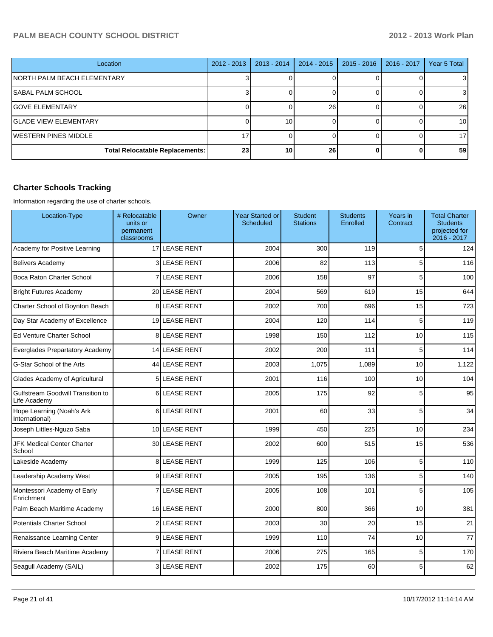| Location                               | $2012 - 2013$ | $2013 - 2014$ | 2014 - 2015 | $2015 - 2016$ | $2016 - 2017$ | <b>Year 5 Total</b> |
|----------------------------------------|---------------|---------------|-------------|---------------|---------------|---------------------|
| NORTH PALM BEACH ELEMENTARY            |               |               |             |               |               | 31                  |
| <b>SABAL PALM SCHOOL</b>               |               |               |             |               |               | 31                  |
| <b>GOVE ELEMENTARY</b>                 |               |               | 26          |               |               | 26                  |
| <b>l</b> GLADE VIEW ELEMENTARY         |               | 10            |             |               |               | 10 <sup>1</sup>     |
| IWESTERN PINES MIDDLE                  |               |               |             |               |               | 17 <sup>1</sup>     |
| <b>Total Relocatable Replacements:</b> | 23            | 10            | 26          |               |               | 59                  |

## **Charter Schools Tracking**

Information regarding the use of charter schools.

| Location-Type                                     | # Relocatable<br>units or<br>permanent<br>classrooms | Owner               | <b>Year Started or</b><br><b>Scheduled</b> | <b>Student</b><br><b>Stations</b> | <b>Students</b><br>Enrolled | Years in<br>Contract | <b>Total Charter</b><br><b>Students</b><br>projected for<br>2016 - 2017 |
|---------------------------------------------------|------------------------------------------------------|---------------------|--------------------------------------------|-----------------------------------|-----------------------------|----------------------|-------------------------------------------------------------------------|
| Academy for Positive Learning                     |                                                      | 17 LEASE RENT       | 2004                                       | 300                               | 119                         | 5                    | 124                                                                     |
| <b>Belivers Academy</b>                           |                                                      | 3 LEASE RENT        | 2006                                       | 82                                | 113                         | 5                    | 116                                                                     |
| Boca Raton Charter School                         | $\mathsf{z}$                                         | LEASE RENT          | 2006                                       | 158                               | 97                          | 5                    | 100                                                                     |
| <b>Bright Futures Academy</b>                     |                                                      | 20 LEASE RENT       | 2004                                       | 569                               | 619                         | 15                   | 644                                                                     |
| Charter School of Boynton Beach                   |                                                      | <b>8ILEASE RENT</b> | 2002                                       | 700                               | 696                         | 15                   | 723                                                                     |
| Day Star Academy of Excellence                    |                                                      | 19 LEASE RENT       | 2004                                       | 120                               | 114                         | 5                    | 119                                                                     |
| <b>Ed Venture Charter School</b>                  |                                                      | 8LEASE RENT         | 1998                                       | 150                               | 112                         | 10                   | 115                                                                     |
| Everglades Prepartatory Academy                   |                                                      | 14 LEASE RENT       | 2002                                       | 200                               | 111                         | 5                    | 114                                                                     |
| G-Star School of the Arts                         |                                                      | 44 LEASE RENT       | 2003                                       | 1,075                             | 1,089                       | 10                   | 1,122                                                                   |
| Glades Academy of Agricultural                    | 5 <sup>1</sup>                                       | <b>LEASE RENT</b>   | 2001                                       | 116                               | 100                         | 10                   | 104                                                                     |
| Gulfstream Goodwill Transition to<br>Life Academy |                                                      | 6LEASE RENT         | 2005                                       | 175                               | 92                          | 5                    | 95                                                                      |
| Hope Learning (Noah's Ark<br>International)       | 6                                                    | <b>LEASE RENT</b>   | 2001                                       | 60                                | 33                          | 5                    | 34                                                                      |
| Joseph Littles-Nguzo Saba                         |                                                      | 10 LEASE RENT       | 1999                                       | 450                               | 225                         | 10                   | 234                                                                     |
| <b>JFK Medical Center Charter</b><br>School       |                                                      | 30 LEASE RENT       | 2002                                       | 600                               | 515                         | 15                   | 536                                                                     |
| Lakeside Academy                                  |                                                      | 8 LEASE RENT        | 1999                                       | 125                               | 106                         | 5                    | 110                                                                     |
| Leadership Academy West                           |                                                      | 9LEASE RENT         | 2005                                       | 195                               | 136                         | 5                    | 140                                                                     |
| Montessori Academy of Early<br>Enrichment         | 7                                                    | LEASE RENT          | 2005                                       | 108                               | 101                         | 5                    | 105                                                                     |
| Palm Beach Maritime Academy                       |                                                      | 16 LEASE RENT       | 2000                                       | 800                               | 366                         | 10                   | 381                                                                     |
| <b>Potentials Charter School</b>                  |                                                      | 2 LEASE RENT        | 2003                                       | 30                                | 20                          | 15                   | 21                                                                      |
| Renaissance Learning Center                       |                                                      | 9LEASE RENT         | 1999                                       | 110                               | 74                          | 10                   | 77                                                                      |
| Riviera Beach Maritime Academy                    |                                                      | <b>7 LEASE RENT</b> | 2006                                       | 275                               | 165                         | 5                    | 170                                                                     |
| Seagull Academy (SAIL)                            |                                                      | 3 LEASE RENT        | 2002                                       | 175                               | 60                          | 5                    | 62                                                                      |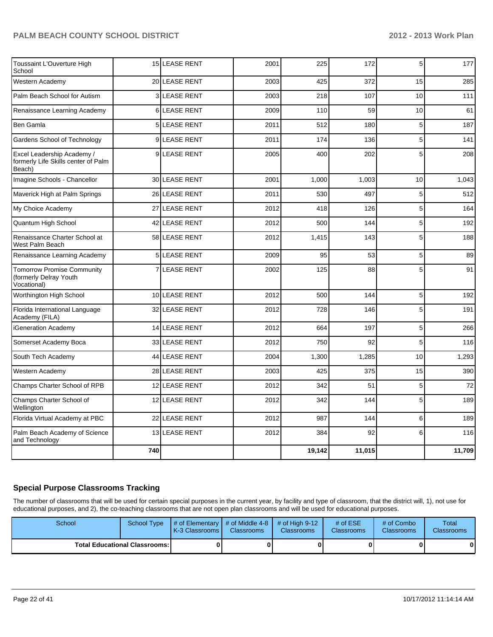| Toussaint L'Ouverture High<br>School                                        |     | <b>15 LEASE RENT</b> | 2001 | 225    | 172    | 5  | 177    |
|-----------------------------------------------------------------------------|-----|----------------------|------|--------|--------|----|--------|
| Western Academy                                                             |     | 20 LEASE RENT        | 2003 | 425    | 372    | 15 | 285    |
| Palm Beach School for Autism                                                |     | <b>3ILEASE RENT</b>  | 2003 | 218    | 107    | 10 | 111    |
| Renaissance Learning Academy                                                |     | 6 LEASE RENT         | 2009 | 110    | 59     | 10 | 61     |
| Ben Gamla                                                                   | 5   | <b>LEASE RENT</b>    | 2011 | 512    | 180    | 5  | 187    |
| Gardens School of Technology                                                |     | 9 LEASE RENT         | 2011 | 174    | 136    | 5  | 141    |
| Excel Leadership Academy /<br>formerly Life Skills center of Palm<br>Beach) |     | 9LEASE RENT          | 2005 | 400    | 202    | 5  | 208    |
| Imagine Schools - Chancellor                                                |     | 30 LEASE RENT        | 2001 | 1,000  | 1,003  | 10 | 1,043  |
| Maverick High at Palm Springs                                               |     | 26 LEASE RENT        | 2011 | 530    | 497    | 5  | 512    |
| My Choice Academy                                                           |     | 27 LEASE RENT        | 2012 | 418    | 126    | 5  | 164    |
| Quantum High School                                                         |     | 42 LEASE RENT        | 2012 | 500    | 144    | 5  | 192    |
| Renaissance Charter School at<br>West Palm Beach                            |     | 58 LEASE RENT        | 2012 | 1,415  | 143    | 5  | 188    |
| Renaissance Learning Academy                                                |     | <b>5 LEASE RENT</b>  | 2009 | 95     | 53     | 5  | 89     |
| <b>Tomorrow Promise Community</b><br>(formerly Delray Youth<br>Vocational)  |     | 7 LEASE RENT         | 2002 | 125    | 88     | 5  | 91     |
| Worthington High School                                                     |     | 10 LEASE RENT        | 2012 | 500    | 144    | 5  | 192    |
| Florida International Language<br>Academy (FILA)                            |     | 32 LEASE RENT        | 2012 | 728    | 146    | 5  | 191    |
| iGeneration Academy                                                         | 14  | LEASE RENT           | 2012 | 664    | 197    | 5  | 266    |
| Somerset Academy Boca                                                       |     | 33 LEASE RENT        | 2012 | 750    | 92     | 5  | 116    |
| South Tech Academy                                                          |     | 44 LEASE RENT        | 2004 | 1,300  | 1,285  | 10 | 1,293  |
| Western Academy                                                             |     | 28 LEASE RENT        | 2003 | 425    | 375    | 15 | 390    |
| Champs Charter School of RPB                                                |     | 12 LEASE RENT        | 2012 | 342    | 51     | 5  | 72     |
| Champs Charter School of<br>Wellington                                      |     | 12 LEASE RENT        | 2012 | 342    | 144    | 5  | 189    |
| Florida Virtual Academy at PBC                                              | 22  | LEASE RENT           | 2012 | 987    | 144    | 6  | 189    |
| Palm Beach Academy of Science<br>and Technology                             |     | 13 LEASE RENT        | 2012 | 384    | 92     | 6  | 116    |
|                                                                             | 740 |                      |      | 19,142 | 11,015 |    | 11,709 |

#### **Special Purpose Classrooms Tracking**

The number of classrooms that will be used for certain special purposes in the current year, by facility and type of classroom, that the district will, 1), not use for educational purposes, and 2), the co-teaching classrooms that are not open plan classrooms and will be used for educational purposes.

| School | School Type                            | # of Elementary  # of Middle 4-8  # of High 9-12<br><b>IK-3 Classrooms I</b> | <b>Classrooms</b> | <b>Classrooms</b> | # of $ESE$<br><b>Classrooms</b> | # of Combo<br><b>Classrooms</b> | Total<br><b>Classrooms</b> |
|--------|----------------------------------------|------------------------------------------------------------------------------|-------------------|-------------------|---------------------------------|---------------------------------|----------------------------|
|        | <b>Total Educational Classrooms: I</b> |                                                                              |                   | 0                 |                                 | 0                               | $\bf{0}$                   |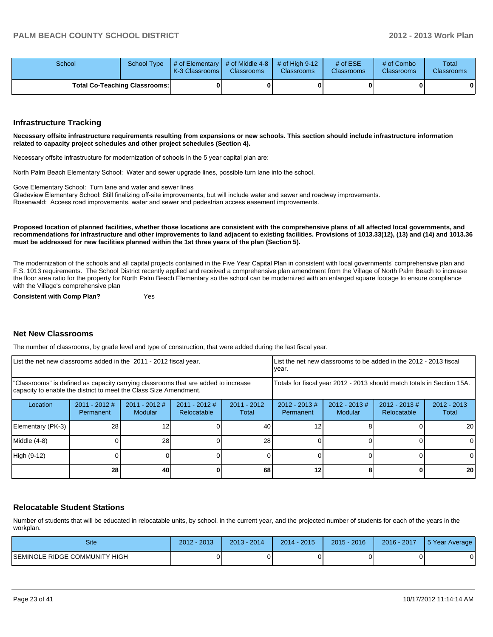| School | School Type                          | $\parallel$ # of Elementary $\parallel$ # of Middle 4-8 $\parallel$ # of High 9-12<br><b>IK-3 Classrooms I</b> | <b>Classrooms</b> | <b>Classrooms</b> | # of $ESE$<br><b>Classrooms</b> | # of Combo<br><b>Classrooms</b> | Total<br><b>Classrooms</b> |
|--------|--------------------------------------|----------------------------------------------------------------------------------------------------------------|-------------------|-------------------|---------------------------------|---------------------------------|----------------------------|
|        | <b>Total Co-Teaching Classrooms:</b> |                                                                                                                |                   |                   |                                 | 0                               | $\mathbf{0}$               |

#### **Infrastructure Tracking**

**Necessary offsite infrastructure requirements resulting from expansions or new schools. This section should include infrastructure information related to capacity project schedules and other project schedules (Section 4).**

Necessary offsite infrastructure for modernization of schools in the 5 year capital plan are:

North Palm Beach Elementary School: Water and sewer upgrade lines, possible turn lane into the school.

Gove Elementary School: Turn lane and water and sewer lines

Gladeview Elementary School: Still finalizing off-site improvements, but will include water and sewer and roadway improvements.

Rosenwald: Access road improvements, water and sewer and pedestrian access easement improvements.

**Proposed location of planned facilities, whether those locations are consistent with the comprehensive plans of all affected local governments, and recommendations for infrastructure and other improvements to land adjacent to existing facilities. Provisions of 1013.33(12), (13) and (14) and 1013.36 must be addressed for new facilities planned within the 1st three years of the plan (Section 5).**

The modernization of the schools and all capital projects contained in the Five Year Capital Plan in consistent with local governments' comprehensive plan and F.S. 1013 requirements. The School District recently applied and received a comprehensive plan amendment from the Village of North Palm Beach to increase the floor area ratio for the property for North Palm Beach Elementary so the school can be modernized with an enlarged square footage to ensure compliance with the Village's comprehensive plan

**Consistent with Comp Plan?** Yes

#### **Net New Classrooms**

The number of classrooms, by grade level and type of construction, that were added during the last fiscal year.

| List the net new classrooms added in the 2011 - 2012 fiscal year. |                                                                                                                                                         |                            |                              | LList the net new classrooms to be added in the 2012 - 2013 fiscal<br>vear. |                               |                            |                                |                        |
|-------------------------------------------------------------------|---------------------------------------------------------------------------------------------------------------------------------------------------------|----------------------------|------------------------------|-----------------------------------------------------------------------------|-------------------------------|----------------------------|--------------------------------|------------------------|
|                                                                   | "Classrooms" is defined as capacity carrying classrooms that are added to increase<br>capacity to enable the district to meet the Class Size Amendment. |                            |                              | Totals for fiscal year 2012 - 2013 should match totals in Section 15A.      |                               |                            |                                |                        |
| Location                                                          | $2011 - 2012$ #<br>Permanent                                                                                                                            | $2011 - 2012$ #<br>Modular | 2011 - 2012 #<br>Relocatable | $2011 - 2012$<br>Total                                                      | $2012 - 2013 \#$<br>Permanent | $2012 - 2013$ #<br>Modular | $2012 - 2013$ #<br>Relocatable | $2012 - 2013$<br>Total |
| Elementary (PK-3)                                                 | 28                                                                                                                                                      |                            |                              | 40                                                                          |                               |                            |                                | 20 <sub>l</sub>        |
| Middle (4-8)                                                      |                                                                                                                                                         | 28                         |                              | 28                                                                          |                               |                            |                                | 01                     |
| High (9-12)                                                       |                                                                                                                                                         |                            |                              |                                                                             |                               |                            |                                |                        |
|                                                                   | 28                                                                                                                                                      | 40                         |                              | 68                                                                          | 12                            |                            |                                | 20 <sub>l</sub>        |

#### **Relocatable Student Stations**

Number of students that will be educated in relocatable units, by school, in the current year, and the projected number of students for each of the years in the workplan.

| Site                          | 2012 - 2013 | 2014<br>$2013 -$ | 2014 - 2015 | $2015 - 2016$ | 2016 - 2017 | 5 Year Average |
|-------------------------------|-------------|------------------|-------------|---------------|-------------|----------------|
| SEMINOLE RIDGE COMMUNITY HIGH |             |                  |             |               |             |                |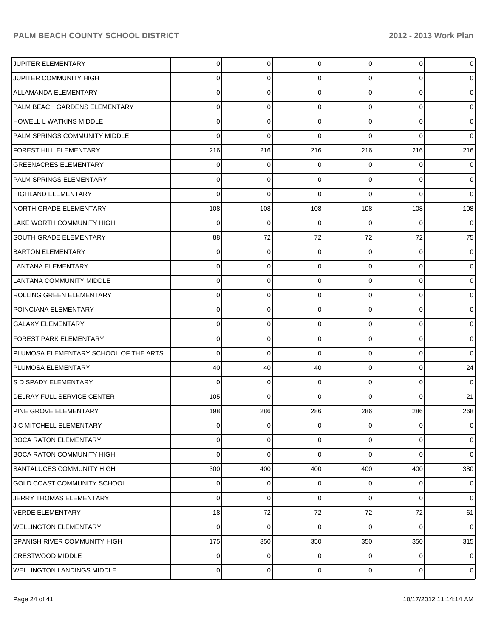| JUPITER ELEMENTARY                    | 0              | $\overline{0}$ | 0        | $\overline{0}$ | $\mathbf 0$ | $\overline{0}$ |
|---------------------------------------|----------------|----------------|----------|----------------|-------------|----------------|
| JUPITER COMMUNITY HIGH                | 0              | 0              | 0        | $\Omega$       | 0           | $\overline{0}$ |
| ALLAMANDA ELEMENTARY                  | 0              | $\mathbf 0$    | 0        | $\Omega$       | $\mathbf 0$ | $\overline{0}$ |
| PALM BEACH GARDENS ELEMENTARY         | 0              | $\mathbf 0$    | 0        | $\Omega$       | $\mathbf 0$ | $\overline{0}$ |
| HOWELL L WATKINS MIDDLE               | 0              | 0              | 0        | $\Omega$       | $\mathbf 0$ | $\overline{0}$ |
| PALM SPRINGS COMMUNITY MIDDLE         | 0              | $\mathbf 0$    | 0        | $\Omega$       | $\Omega$    | $\overline{0}$ |
| FOREST HILL ELEMENTARY                | 216            | 216            | 216      | 216            | 216         | 216            |
| <b>GREENACRES ELEMENTARY</b>          | 0              | 0              | 0        | $\Omega$       | 0           | $\overline{0}$ |
| <b>PALM SPRINGS ELEMENTARY</b>        | 0              | 0              | 0        | $\Omega$       | $\Omega$    | $\overline{0}$ |
| HIGHLAND ELEMENTARY                   | 0              | $\mathbf 0$    | 0        | $\Omega$       | $\Omega$    | $\overline{0}$ |
| NORTH GRADE ELEMENTARY                | 108            | 108            | 108      | 108            | 108         | 108            |
| LAKE WORTH COMMUNITY HIGH             | 0              | $\mathbf 0$    | 0        | $\Omega$       | $\Omega$    | $\overline{0}$ |
| <b>SOUTH GRADE ELEMENTARY</b>         | 88             | 72             | 72       | 72             | 72          | 75             |
| <b>BARTON ELEMENTARY</b>              | 0              | 0              | 0        | $\Omega$       | 0           | $\overline{0}$ |
| LANTANA ELEMENTARY                    | 0              | 0              | 0        | $\Omega$       | 0           | $\overline{0}$ |
| LANTANA COMMUNITY MIDDLE              | 0              | 0              | 0        | $\Omega$       | $\mathbf 0$ | $\overline{0}$ |
| ROLLING GREEN ELEMENTARY              | 0              | $\mathbf 0$    | $\Omega$ | $\Omega$       | $\mathbf 0$ | $\overline{0}$ |
| POINCIANA ELEMENTARY                  | 0              | 0              | 0        | $\Omega$       | 0           | $\overline{0}$ |
| <b>GALAXY ELEMENTARY</b>              | 0              | 0              | 0        | $\Omega$       | 0           | $\mathbf{O}$   |
| <b>FOREST PARK ELEMENTARY</b>         | 0              | $\mathbf 0$    | 0        | $\Omega$       | $\mathbf 0$ | $\overline{0}$ |
| PLUMOSA ELEMENTARY SCHOOL OF THE ARTS | 0              | $\mathbf 0$    | $\Omega$ | $\Omega$       | $\mathbf 0$ | $\overline{0}$ |
| <b>PLUMOSA ELEMENTARY</b>             | 40             | 40             | 40       | 0              | 0           | 24             |
| S D SPADY ELEMENTARY                  | 0              | 0              | 0        | $\Omega$       | $\Omega$    | $\overline{0}$ |
| <b>IDELRAY FULL SERVICE CENTER</b>    | 105            | $\Omega$       | $\Omega$ | $\Omega$       | $\Omega$    | 21             |
| PINE GROVE ELEMENTARY                 | 198            | 286            | 286      | 286            | 286         | 268            |
| J C MITCHELL ELEMENTARY               | 0              | $\mathbf 0$    | 0        | $\overline{0}$ | $\mathbf 0$ | $\overline{0}$ |
| BOCA RATON ELEMENTARY                 | 0              | $\mathbf 0$    | 0        | $\overline{0}$ | $\mathbf 0$ | $\overline{0}$ |
| <b>BOCA RATON COMMUNITY HIGH</b>      | 0              | $\mathbf 0$    | 0        | $\Omega$       | $\Omega$    | $\overline{0}$ |
| SANTALUCES COMMUNITY HIGH             | 300            | 400            | 400      | 400            | 400         | 380            |
| <b>GOLD COAST COMMUNITY SCHOOL</b>    | 0              | 0              | 0        | $\overline{0}$ | 0           | $\overline{0}$ |
| JERRY THOMAS ELEMENTARY               | 0              | $\mathbf 0$    | 0        | $\overline{0}$ | $\mathbf 0$ | $\overline{0}$ |
| <b>VERDE ELEMENTARY</b>               | 18             | 72             | 72       | 72             | 72          | 61             |
| <b>WELLINGTON ELEMENTARY</b>          | 0              | $\mathbf 0$    | 0        | 0              | $\Omega$    | $\overline{0}$ |
| <b>SPANISH RIVER COMMUNITY HIGH</b>   | 175            | 350            | 350      | 350            | 350         | 315            |
| <b>CRESTWOOD MIDDLE</b>               | 0              | 0              | 0        | $\overline{0}$ | 0           | $\overline{0}$ |
| <b>WELLINGTON LANDINGS MIDDLE</b>     | $\overline{0}$ | 0              | 0        | $\overline{0}$ | 0           | $\overline{0}$ |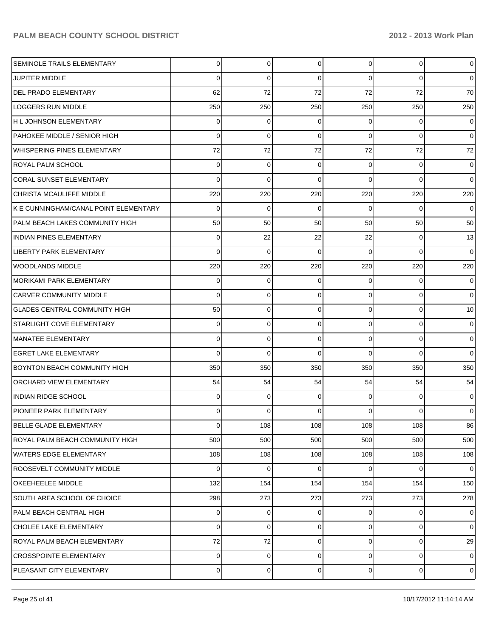| SEMINOLE TRAILS ELEMENTARY             | 0   | $\Omega$ | $\Omega$    | $\overline{0}$ | $\overline{0}$ | $\overline{0}$ |
|----------------------------------------|-----|----------|-------------|----------------|----------------|----------------|
| <b>JUPITER MIDDLE</b>                  | 0   | 0        | $\Omega$    | 0              | 0              | $\overline{0}$ |
| <b>DEL PRADO ELEMENTARY</b>            | 62  | 72       | 72          | 72             | 72             | 70             |
| <b>LOGGERS RUN MIDDLE</b>              | 250 | 250      | 250         | 250            | 250            | 250            |
| H L JOHNSON ELEMENTARY                 | 0   | 0        | $\Omega$    | 0              | 0              | $\overline{0}$ |
| PAHOKEE MIDDLE / SENIOR HIGH           | 0   | 0        | $\Omega$    | 0              | 0              | $\overline{0}$ |
| <b>WHISPERING PINES ELEMENTARY</b>     | 72  | 72       | 72          | 72             | 72             | 72             |
| <b>ROYAL PALM SCHOOL</b>               | 0   | 0        | $\Omega$    | 0              | 0              | $\overline{0}$ |
| <b>CORAL SUNSET ELEMENTARY</b>         | 0   | 0        | $\Omega$    | 0              | $\Omega$       | $\overline{0}$ |
| CHRISTA MCAULIFFE MIDDLE               | 220 | 220      | 220         | 220            | 220            | 220            |
| K E CUNNINGHAM/CANAL POINT ELEMENTARY  | 0   | 0        | $\Omega$    | $\Omega$       | 0              | $\overline{0}$ |
| <b>PALM BEACH LAKES COMMUNITY HIGH</b> | 50  | 50       | 50          | 50             | 50             | 50             |
| <b>INDIAN PINES ELEMENTARY</b>         | 0   | 22       | 22          | 22             | 0              | 13             |
| <b>LIBERTY PARK ELEMENTARY</b>         | 0   | 0        | $\Omega$    | 0              | 0              | $\overline{0}$ |
| WOODLANDS MIDDLE                       | 220 | 220      | 220         | 220            | 220            | 220            |
| <b>MORIKAMI PARK ELEMENTARY</b>        | 0   | 0        | $\Omega$    | 0              | 0              | $\overline{0}$ |
| <b>CARVER COMMUNITY MIDDLE</b>         | 0   | 0        | $\Omega$    | 0              | 0              | $\overline{0}$ |
| <b>GLADES CENTRAL COMMUNITY HIGH</b>   | 50  | 0        | $\Omega$    | 0              | $\overline{0}$ | 10             |
| <b>STARLIGHT COVE ELEMENTARY</b>       | 0   | 0        | $\Omega$    | 0              | 0              | $\overline{0}$ |
| <b>MANATEE ELEMENTARY</b>              | 0   | 0        | $\Omega$    | 0              | 0              | $\overline{0}$ |
| <b>EGRET LAKE ELEMENTARY</b>           | 0   | 0        | $\Omega$    | 0              | $\Omega$       | $\overline{0}$ |
| BOYNTON BEACH COMMUNITY HIGH           | 350 | 350      | 350         | 350            | 350            | 350            |
| <b>ORCHARD VIEW ELEMENTARY</b>         | 54  | 54       | 54          | 54             | 54             | 54             |
| <b>INDIAN RIDGE SCHOOL</b>             | 0   | 0        | $\Omega$    | 0              | 0              | $\overline{0}$ |
| <b>PIONEER PARK ELEMENTARY</b>         | 0   | 0        | $\Omega$    | 0              | 0              | $\overline{0}$ |
| <b>BELLE GLADE ELEMENTARY</b>          | 0   | 108      | 108         | 108            | 108            | 86             |
| ROYAL PALM BEACH COMMUNITY HIGH        | 500 | 500      | 500         | 500            | 500            | 500            |
| <b>WATERS EDGE ELEMENTARY</b>          | 108 | 108      | 108         | 108            | 108            | 108            |
| <b>ROOSEVELT COMMUNITY MIDDLE</b>      | 0   | 0        | $\mathbf 0$ | $\overline{0}$ | $\overline{0}$ | $\overline{0}$ |
| OKEEHEELEE MIDDLE                      | 132 | 154      | 154         | 154            | 154            | 150            |
| SOUTH AREA SCHOOL OF CHOICE            | 298 | 273      | 273         | 273            | 273            | 278            |
| PALM BEACH CENTRAL HIGH                | 0   | 0        | $\Omega$    | 0              | 0              | $\overline{0}$ |
| CHOLEE LAKE ELEMENTARY                 | 0   | 0        | 0           | $\overline{0}$ | $\overline{0}$ | $\overline{0}$ |
| ROYAL PALM BEACH ELEMENTARY            | 72  | 72       | 0           | 0              | $\overline{0}$ | 29             |
| <b>CROSSPOINTE ELEMENTARY</b>          | 0   | 0        | 0           | 0              | $\overline{0}$ | $\mathbf 0$    |
| PLEASANT CITY ELEMENTARY               | 0   | 0        | 0           | $\overline{0}$ | $\overline{0}$ | $\mathbf 0$    |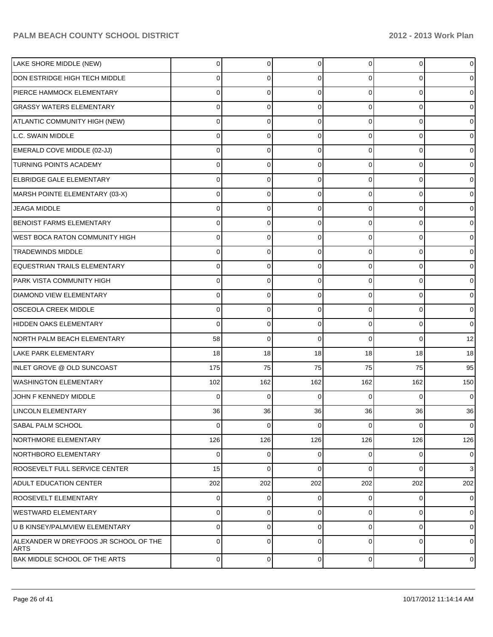| LAKE SHORE MIDDLE (NEW)                              | 0              | 0           | $\Omega$    | $\Omega$       | 0           | $\mathbf 0$    |
|------------------------------------------------------|----------------|-------------|-------------|----------------|-------------|----------------|
| DON ESTRIDGE HIGH TECH MIDDLE                        | 0              | 0           | 0           | 0              | $\Omega$    | 0              |
| PIERCE HAMMOCK ELEMENTARY                            | 0              | 0           | $\Omega$    | 0              | $\Omega$    | $\mathbf 0$    |
| <b>GRASSY WATERS ELEMENTARY</b>                      | 0              | 0           | $\Omega$    | 0              | 0           | $\mathbf 0$    |
| ATLANTIC COMMUNITY HIGH (NEW)                        | 0              | 0           | $\Omega$    | 0              | $\Omega$    | $\mathbf 0$    |
| L.C. SWAIN MIDDLE                                    | 0              | 0           | $\Omega$    | 0              | 0           | 0              |
| EMERALD COVE MIDDLE (02-JJ)                          | 0              | 0           | $\Omega$    | 0              | 0           | $\mathbf 0$    |
| <b>TURNING POINTS ACADEMY</b>                        | 0              | 0           | $\Omega$    | 0              | 0           | $\mathbf 0$    |
| ELBRIDGE GALE ELEMENTARY                             | 0              | 0           | $\Omega$    | 0              | 0           | $\mathbf 0$    |
| MARSH POINTE ELEMENTARY (03-X)                       | 0              | 0           | $\Omega$    | 0              | 0           | 0              |
| <b>JEAGA MIDDLE</b>                                  | 0              | 0           | $\Omega$    | 0              | 0           | $\mathbf 0$    |
| <b>BENOIST FARMS ELEMENTARY</b>                      | 0              | 0           | $\Omega$    | 0              | 0           | 0              |
| <b>WEST BOCA RATON COMMUNITY HIGH</b>                | 0              | 0           | 0           | 0              | 0           | $\mathbf 0$    |
| <b>TRADEWINDS MIDDLE</b>                             | 0              | 0           | 0           | $\Omega$       | 0           | $\mathbf 0$    |
| EQUESTRIAN TRAILS ELEMENTARY                         | 0              | 0           | $\Omega$    | 0              | 0           | $\mathbf 0$    |
| PARK VISTA COMMUNITY HIGH                            | 0              | 0           | $\Omega$    | 0              | 0           | 0              |
| <b>DIAMOND VIEW ELEMENTARY</b>                       | 0              | 0           | 0           | 0              | 0           | $\mathbf 0$    |
| <b>OSCEOLA CREEK MIDDLE</b>                          | 0              | 0           | $\Omega$    | $\Omega$       | 0           | 0              |
| HIDDEN OAKS ELEMENTARY                               | 0              | 0           | $\Omega$    | $\Omega$       | $\Omega$    | $\mathbf 0$    |
| NORTH PALM BEACH ELEMENTARY                          | 58             | $\mathbf 0$ | $\Omega$    | 0              | $\Omega$    | 12             |
| LAKE PARK ELEMENTARY                                 | 18             | 18          | 18          | 18             | 18          | 18             |
| INLET GROVE @ OLD SUNCOAST                           | 175            | 75          | 75          | 75             | 75          | 95             |
| <b>WASHINGTON ELEMENTARY</b>                         | 102            | 162         | 162         | 162            | 162         | 150            |
| JOHN F KENNEDY MIDDLE                                | 0              | $\Omega$    | 0           | $\Omega$       | $\Omega$    | $\mathbf 0$    |
| <b>LINCOLN ELEMENTARY</b>                            | 36             | 36          | 36          | 36             | 36          | 36             |
| <b>SABAL PALM SCHOOL</b>                             | 0              | $\mathbf 0$ | $\mathbf 0$ | $\overline{0}$ | $\Omega$    | $\overline{0}$ |
| <b>NORTHMORE ELEMENTARY</b>                          | 126            | 126         | 126         | 126            | 126         | 126            |
| NORTHBORO ELEMENTARY                                 | 0              | $\mathbf 0$ | 0           | $\Omega$       | 0           | $\overline{0}$ |
| ROOSEVELT FULL SERVICE CENTER                        | 15             | $\mathbf 0$ | 0           | $\Omega$       | $\Omega$    | 3              |
| <b>ADULT EDUCATION CENTER</b>                        | 202            | 202         | 202         | 202            | 202         | 202            |
| <b>ROOSEVELT ELEMENTARY</b>                          | 0              | 0           | 0           | $\overline{0}$ | 0           | $\overline{0}$ |
| WESTWARD ELEMENTARY                                  | 0              | 0           | 0           | $\Omega$       | 0           | $\overline{0}$ |
| U B KINSEY/PALMVIEW ELEMENTARY                       | 0              | 0           | $\Omega$    | $\Omega$       | $\mathbf 0$ | $\overline{0}$ |
| ALEXANDER W DREYFOOS JR SCHOOL OF THE<br><b>ARTS</b> | 0              | $\mathbf 0$ | $\Omega$    | $\Omega$       | 0           | $\overline{0}$ |
| BAK MIDDLE SCHOOL OF THE ARTS                        | $\overline{0}$ | $\pmb{0}$   | 0           | $\overline{0}$ | $\pmb{0}$   | $\overline{0}$ |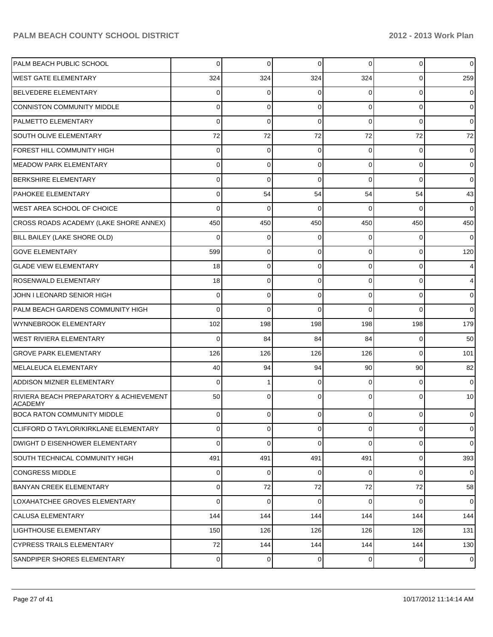| PALM BEACH PUBLIC SCHOOL                                  | 0        | $\mathbf 0$    | $\Omega$ | 0              | 0              | $\mathbf 0$ |
|-----------------------------------------------------------|----------|----------------|----------|----------------|----------------|-------------|
| <b>WEST GATE ELEMENTARY</b>                               | 324      | 324            | 324      | 324            | 0              | 259         |
| BELVEDERE ELEMENTARY                                      | 0        | 0              | $\Omega$ | 0              | 0              | 0           |
| CONNISTON COMMUNITY MIDDLE                                | 0        | 0              | $\Omega$ | 0              | 0              | 0           |
| <b>PALMETTO ELEMENTARY</b>                                | 0        | 0              | $\Omega$ | 0              | 0              | 0           |
| <b>SOUTH OLIVE ELEMENTARY</b>                             | 72       | 72             | 72       | 72             | 72             | 72          |
| FOREST HILL COMMUNITY HIGH                                | 0        | 0              | $\Omega$ | 0              | 0              | 0           |
| <b>MEADOW PARK ELEMENTARY</b>                             | 0        | 0              | $\Omega$ | 0              | 0              | 0           |
| <b>BERKSHIRE ELEMENTARY</b>                               | 0        | 0              | $\Omega$ | 0              | 0              | 0           |
| <b>PAHOKEE ELEMENTARY</b>                                 | 0        | 54             | 54       | 54             | 54             | 43          |
| <b>WEST AREA SCHOOL OF CHOICE</b>                         | 0        | 0              | $\Omega$ | 0              | 0              | 0           |
| CROSS ROADS ACADEMY (LAKE SHORE ANNEX)                    | 450      | 450            | 450      | 450            | 450            | 450         |
| BILL BAILEY (LAKE SHORE OLD)                              | 0        | 0              | $\Omega$ | 0              | 0              | 0           |
| <b>GOVE ELEMENTARY</b>                                    | 599      | 0              | $\Omega$ | 0              | 0              | 120         |
| <b>GLADE VIEW ELEMENTARY</b>                              | 18       | 0              | $\Omega$ | 0              | 0              | 4           |
| ROSENWALD ELEMENTARY                                      | 18       | 0              | $\Omega$ | 0              | 0              | 4           |
| JOHN I LEONARD SENIOR HIGH                                | 0        | 0              | $\Omega$ | 0              | 0              | 0           |
| PALM BEACH GARDENS COMMUNITY HIGH                         | 0        | 0              | $\Omega$ | 0              | 0              | 0           |
| <b>WYNNEBROOK ELEMENTARY</b>                              | 102      | 198            | 198      | 198            | 198            | 179         |
| <b>WEST RIVIERA ELEMENTARY</b>                            | 0        | 84             | 84       | 84             | 0              | 50          |
| <b>GROVE PARK ELEMENTARY</b>                              | 126      | 126            | 126      | 126            | 0              | 101         |
| <b>MELALEUCA ELEMENTARY</b>                               | 40       | 94             | 94       | 90             | 90             | 82          |
| <b>ADDISON MIZNER ELEMENTARY</b>                          | 0        |                | $\Omega$ | 0              | 0              | 0           |
| RIVIERA BEACH PREPARATORY & ACHIEVEMENT<br><b>ACADEMY</b> | 50       | 0              | $\Omega$ | 0              | 0              | 10          |
| BOCA RATON COMMUNITY MIDDLE                               | 0        | $\overline{0}$ | $\Omega$ | $\overline{0}$ | $\overline{0}$ | 0           |
| CLIFFORD O TAYLOR/KIRKLANE ELEMENTARY                     | 0        | $\Omega$       | $\Omega$ | 0              | $\overline{0}$ | $\mathbf 0$ |
| DWIGHT D EISENHOWER ELEMENTARY                            | $\Omega$ | 0              | $\Omega$ | 0              | $\overline{0}$ | $\mathbf 0$ |
| SOUTH TECHNICAL COMMUNITY HIGH                            | 491      | 491            | 491      | 491            | $\overline{0}$ | 393         |
| <b>CONGRESS MIDDLE</b>                                    | 0        | $\overline{0}$ | $\Omega$ | 0              | $\overline{0}$ | $\mathbf 0$ |
| BANYAN CREEK ELEMENTARY                                   | 0        | 72             | 72       | $72\,$         | 72             | 58          |
| LOXAHATCHEE GROVES ELEMENTARY                             | $\Omega$ | 0              | $\Omega$ | 0              | $\overline{0}$ | $\mathbf 0$ |
| <b>CALUSA ELEMENTARY</b>                                  | 144      | 144            | 144      | 144            | 144            | 144         |
| LIGHTHOUSE ELEMENTARY                                     | 150      | 126            | 126      | 126            | 126            | 131         |
| <b>CYPRESS TRAILS ELEMENTARY</b>                          | 72       | 144            | 144      | 144            | 144            | 130         |
| SANDPIPER SHORES ELEMENTARY                               | 0        | 0              | 0        | $\overline{0}$ | $\mathbf 0$    | $\mathbf 0$ |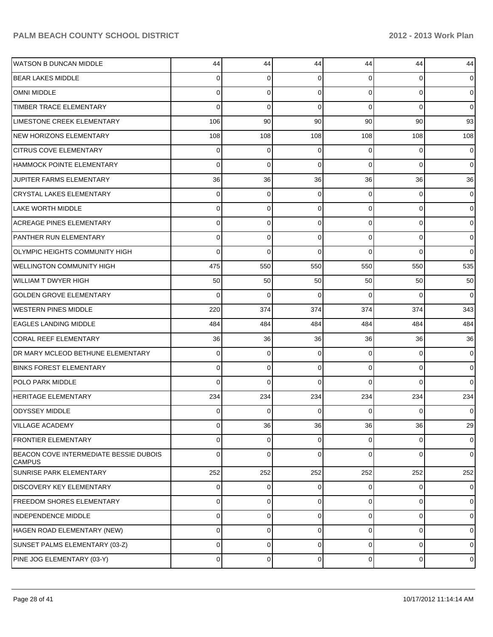| <b>WATSON B DUNCAN MIDDLE</b>                           | 44             | 44       | 44       | 44             | 44        | 44             |
|---------------------------------------------------------|----------------|----------|----------|----------------|-----------|----------------|
| <b>BEAR LAKES MIDDLE</b>                                | $\Omega$       | 0        | 0        | $\Omega$       | 0         | $\overline{0}$ |
| <b>OMNI MIDDLE</b>                                      | $\Omega$       | $\Omega$ | $\Omega$ | $\Omega$       | $\Omega$  | $\overline{0}$ |
| TIMBER TRACE ELEMENTARY                                 | $\Omega$       | $\Omega$ | $\Omega$ | $\Omega$       | $\Omega$  | $\overline{0}$ |
| LIMESTONE CREEK ELEMENTARY                              | 106            | 90       | 90       | 90             | 90        | 93             |
| <b>NEW HORIZONS ELEMENTARY</b>                          | 108            | 108      | 108      | 108            | 108       | 108            |
| <b>CITRUS COVE ELEMENTARY</b>                           | $\Omega$       | $\Omega$ | 0        | $\Omega$       | $\Omega$  | $\mathbf 0$    |
| <b>HAMMOCK POINTE ELEMENTARY</b>                        | $\Omega$       | $\Omega$ | $\Omega$ | $\Omega$       | $\Omega$  | $\overline{0}$ |
| JUPITER FARMS ELEMENTARY                                | 36             | 36       | 36       | 36             | 36        | 36             |
| <b>CRYSTAL LAKES ELEMENTARY</b>                         | $\Omega$       | 0        | $\Omega$ | $\Omega$       | $\Omega$  | $\overline{0}$ |
| <b>LAKE WORTH MIDDLE</b>                                | $\Omega$       | $\Omega$ | $\Omega$ | $\Omega$       | $\Omega$  | $\overline{0}$ |
| <b>ACREAGE PINES ELEMENTARY</b>                         | $\Omega$       | 0        | $\Omega$ | $\Omega$       | $\Omega$  | $\overline{0}$ |
| PANTHER RUN ELEMENTARY                                  | $\Omega$       | $\Omega$ | $\Omega$ | $\Omega$       | $\Omega$  | $\overline{0}$ |
| <b>OLYMPIC HEIGHTS COMMUNITY HIGH</b>                   | $\Omega$       | $\Omega$ | $\Omega$ | $\Omega$       | $\Omega$  | $\overline{0}$ |
| <b>WELLINGTON COMMUNITY HIGH</b>                        | 475            | 550      | 550      | 550            | 550       | 535            |
| <b>WILLIAM T DWYER HIGH</b>                             | 50             | 50       | 50       | 50             | 50        | 50             |
| <b>GOLDEN GROVE ELEMENTARY</b>                          | $\Omega$       | $\Omega$ | $\Omega$ | $\Omega$       | $\Omega$  | $\Omega$       |
| <b>WESTERN PINES MIDDLE</b>                             | 220            | 374      | 374      | 374            | 374       | 343            |
| <b>EAGLES LANDING MIDDLE</b>                            | 484            | 484      | 484      | 484            | 484       | 484            |
| <b>CORAL REEF ELEMENTARY</b>                            | 36             | 36       | 36       | 36             | 36        | 36             |
| DR MARY MCLEOD BETHUNE ELEMENTARY                       | $\Omega$       | 0        | 0        | $\Omega$       | $\Omega$  | $\overline{0}$ |
| <b>BINKS FOREST ELEMENTARY</b>                          | $\Omega$       | $\Omega$ | $\Omega$ | $\Omega$       | $\Omega$  | $\overline{0}$ |
| <b>POLO PARK MIDDLE</b>                                 | $\Omega$       | $\Omega$ | $\Omega$ | $\Omega$       | $\Omega$  | $\Omega$       |
| <b>HERITAGE ELEMENTARY</b>                              | 234            | 234      | 234      | 234            | 234       | 234            |
| <b>ODYSSEY MIDDLE</b>                                   | $\Omega$       | $\Omega$ | $\Omega$ | $\Omega$       | $\Omega$  | $\overline{0}$ |
| <b>VILLAGE ACADEMY</b>                                  | $\overline{0}$ | 36       | 36       | 36             | 36        | 29             |
| <b>FRONTIER ELEMENTARY</b>                              | $\Omega$       | 0        | 0        | $\Omega$       | 0         | $\overline{0}$ |
| BEACON COVE INTERMEDIATE BESSIE DUBOIS<br><b>CAMPUS</b> | $\Omega$       | 0        | $\Omega$ | $\Omega$       | $\Omega$  | $\overline{0}$ |
| SUNRISE PARK ELEMENTARY                                 | 252            | 252      | 252      | 252            | 252       | 252            |
| <b>DISCOVERY KEY ELEMENTARY</b>                         | $\overline{0}$ | 0        | 0        | $\overline{0}$ | 0         | $\overline{0}$ |
| <b>FREEDOM SHORES ELEMENTARY</b>                        | $\overline{0}$ | 0        | 0        | $\overline{0}$ | 0         | $\overline{0}$ |
| <b>INDEPENDENCE MIDDLE</b>                              | $\mathbf 0$    | 0        | 0        | $\overline{0}$ | 0         | $\overline{0}$ |
| HAGEN ROAD ELEMENTARY (NEW)                             | 0              | 0        | 0        | $\overline{0}$ | 0         | $\overline{0}$ |
| SUNSET PALMS ELEMENTARY (03-Z)                          | $\mathbf 0$    | 0        | 0        | $\overline{0}$ | 0         | $\overline{0}$ |
| PINE JOG ELEMENTARY (03-Y)                              | 0              | 0        | 0        | $\overline{0}$ | $\pmb{0}$ | $\overline{0}$ |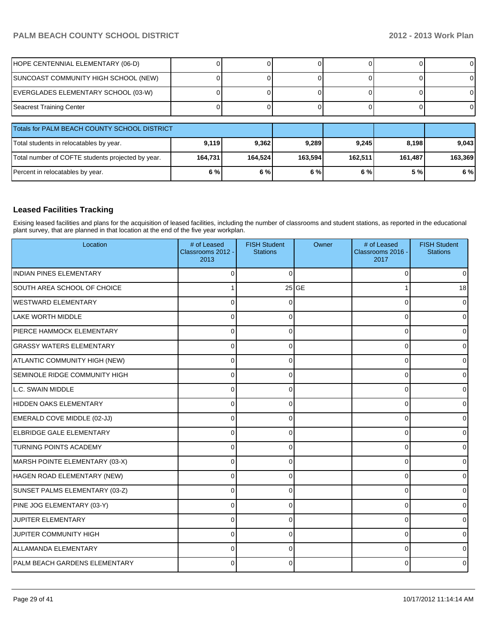### PALM BEACH COUNTY SCHOOL DISTRICT **1999 12012 - 2012 - 2013 Work Plan**

| HOPE CENTENNIAL ELEMENTARY (06-D)                 |         |         |         |         |         | ΟI      |
|---------------------------------------------------|---------|---------|---------|---------|---------|---------|
| SUNCOAST COMMUNITY HIGH SCHOOL (NEW)              |         |         |         |         |         | 0       |
| EVERGLADES ELEMENTARY SCHOOL (03-W)               |         |         |         |         |         |         |
| Seacrest Training Center                          |         |         |         |         |         | ΟI      |
|                                                   |         |         |         |         |         |         |
| Totals for PALM BEACH COUNTY SCHOOL DISTRICT      |         |         |         |         |         |         |
| Total students in relocatables by year.           | 9,119   | 9,362   | 9,289   | 9,245   | 8,198   | 9,043   |
|                                                   |         |         |         |         |         |         |
| Total number of COFTE students projected by year. | 164,731 | 164,524 | 163,594 | 162,511 | 161,487 | 163,369 |

#### **Leased Facilities Tracking**

Exising leased facilities and plans for the acquisition of leased facilities, including the number of classrooms and student stations, as reported in the educational plant survey, that are planned in that location at the end of the five year workplan.

| Location                             | # of Leased<br>Classrooms 2012 -<br>2013 | <b>FISH Student</b><br><b>Stations</b> | Owner   | # of Leased<br>Classrooms 2016 -<br>2017 | <b>FISH Student</b><br><b>Stations</b> |
|--------------------------------------|------------------------------------------|----------------------------------------|---------|------------------------------------------|----------------------------------------|
| <b>INDIAN PINES ELEMENTARY</b>       | U                                        | $\Omega$                               |         | $\Omega$                                 | $\overline{0}$                         |
| SOUTH AREA SCHOOL OF CHOICE          |                                          |                                        | $25$ GE |                                          | 18                                     |
| <b>WESTWARD ELEMENTARY</b>           |                                          | 0                                      |         | 0                                        | $\overline{0}$                         |
| LAKE WORTH MIDDLE                    |                                          | O                                      |         | 0                                        | ٥I                                     |
| PIERCE HAMMOCK ELEMENTARY            | 0                                        | $\Omega$                               |         | 0                                        | 01                                     |
| <b>GRASSY WATERS ELEMENTARY</b>      | 0                                        | 0                                      |         | 0                                        | 01                                     |
| ATLANTIC COMMUNITY HIGH (NEW)        | U                                        |                                        |         | 0                                        | 0                                      |
| <b>SEMINOLE RIDGE COMMUNITY HIGH</b> | 0                                        | 0                                      |         | $\Omega$                                 | 0                                      |
| L.C. SWAIN MIDDLE                    | U                                        | ∩                                      |         | $\Omega$                                 | 0                                      |
| HIDDEN OAKS ELEMENTARY               | U                                        | ∩                                      |         | $\Omega$                                 | 0                                      |
| EMERALD COVE MIDDLE (02-JJ)          | 0                                        | $\Omega$                               |         | 0                                        | 0                                      |
| <b>IELBRIDGE GALE ELEMENTARY</b>     | $\Omega$                                 | ∩                                      |         | 0                                        | 0l                                     |
| <b>TURNING POINTS ACADEMY</b>        | $\Omega$                                 | $\Omega$                               |         | $\Omega$                                 | 0                                      |
| MARSH POINTE ELEMENTARY (03-X)       | $\Omega$                                 | $\Omega$                               |         | 0                                        | $\overline{0}$                         |
| HAGEN ROAD ELEMENTARY (NEW)          | 0                                        | ∩                                      |         | 0                                        | ٥I                                     |
| SUNSET PALMS ELEMENTARY (03-Z)       | $\Omega$                                 | $\Omega$                               |         | 0                                        | 0                                      |
| PINE JOG ELEMENTARY (03-Y)           | $\Omega$                                 | $\Omega$                               |         | 0                                        | 0                                      |
| JUPITER ELEMENTARY                   | $\Omega$                                 | 0                                      |         | $\Omega$                                 | 0                                      |
| JUPITER COMMUNITY HIGH               | 0                                        | $\Omega$                               |         | 0                                        | 0                                      |
| <b>ALLAMANDA ELEMENTARY</b>          | $\Omega$                                 | 0                                      |         | 0                                        | 0                                      |
| <b>PALM BEACH GARDENS ELEMENTARY</b> | U                                        | ∩                                      |         | U                                        | 0                                      |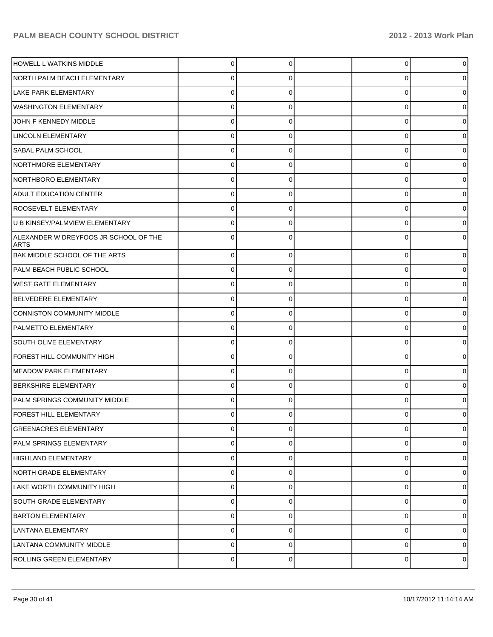| <b>HOWELL L WATKINS MIDDLE</b>                       | 0        | 0 | 0 |  |
|------------------------------------------------------|----------|---|---|--|
| NORTH PALM BEACH ELEMENTARY                          | O        | O | 0 |  |
| LAKE PARK ELEMENTARY                                 |          |   | 0 |  |
| <b>WASHINGTON ELEMENTARY</b>                         | 0        | O | 0 |  |
| JOHN F KENNEDY MIDDLE                                |          |   | 0 |  |
| LINCOLN ELEMENTARY                                   | 0        | C | 0 |  |
| SABAL PALM SCHOOL                                    |          | O | 0 |  |
| NORTHMORE ELEMENTARY                                 | 0        | 0 | 0 |  |
| NORTHBORO ELEMENTARY                                 |          |   | 0 |  |
| <b>ADULT EDUCATION CENTER</b>                        | 0        | 0 | 0 |  |
| <b>ROOSEVELT ELEMENTARY</b>                          | 0        | U | 0 |  |
| U B KINSEY/PALMVIEW ELEMENTARY                       | 0        | 0 | 0 |  |
| ALEXANDER W DREYFOOS JR SCHOOL OF THE<br><b>ARTS</b> |          | U | 0 |  |
| BAK MIDDLE SCHOOL OF THE ARTS                        | 0        | 0 | 0 |  |
| PALM BEACH PUBLIC SCHOOL                             | 0        | 0 | 0 |  |
| <b>WEST GATE ELEMENTARY</b>                          | 0        | 0 | 0 |  |
| BELVEDERE ELEMENTARY                                 | 0        | 0 | 0 |  |
| CONNISTON COMMUNITY MIDDLE                           | 0        | 0 | 0 |  |
| PALMETTO ELEMENTARY                                  | 0        | 0 | 0 |  |
| SOUTH OLIVE ELEMENTARY                               | 0        | 0 | 0 |  |
| FOREST HILL COMMUNITY HIGH                           | 0        | 0 | 0 |  |
| MEADOW PARK ELEMENTARY                               | $\Omega$ | 0 | 0 |  |
| <b>BERKSHIRE ELEMENTARY</b>                          | 0        | 0 | 0 |  |
| PALM SPRINGS COMMUNITY MIDDLE                        | 0        |   | 0 |  |
| FOREST HILL ELEMENTARY                               | $\Omega$ |   | 0 |  |
| <b>GREENACRES ELEMENTARY</b>                         | 0        | 0 | 0 |  |
| PALM SPRINGS ELEMENTARY                              | 0        | 0 | 0 |  |
| <b>HIGHLAND ELEMENTARY</b>                           | 0        | 0 | 0 |  |
| NORTH GRADE ELEMENTARY                               | 0        | 0 | 0 |  |
| LAKE WORTH COMMUNITY HIGH                            | 0        | 0 | 0 |  |
| <b>SOUTH GRADE ELEMENTARY</b>                        | 0        | 0 | 0 |  |
| <b>BARTON ELEMENTARY</b>                             | 0        | 0 | 0 |  |
| LANTANA ELEMENTARY                                   | 0        | 0 | 0 |  |
| LANTANA COMMUNITY MIDDLE                             | 0        | 0 | 0 |  |
| ROLLING GREEN ELEMENTARY                             | $\Omega$ | 0 | 0 |  |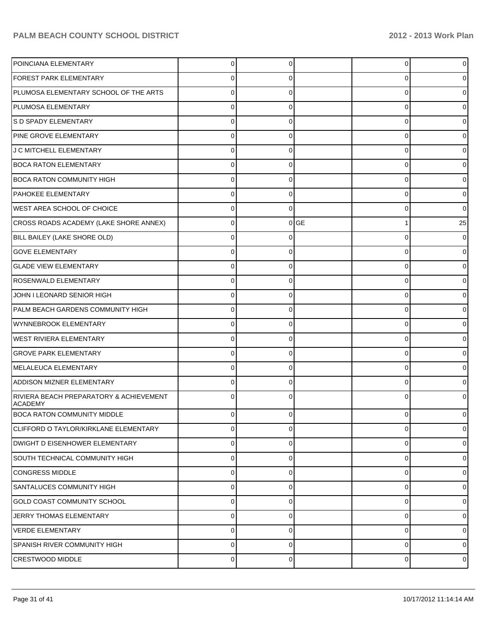| POINCIANA ELEMENTARY                                      | 0            | C        |           | 0           | $\overline{0}$ |
|-----------------------------------------------------------|--------------|----------|-----------|-------------|----------------|
| FOREST PARK ELEMENTARY                                    | 0            |          |           | 0           | 0              |
| PLUMOSA ELEMENTARY SCHOOL OF THE ARTS                     |              |          |           | 0           | 0              |
| PLUMOSA ELEMENTARY                                        | U            |          |           | 0           | 01             |
| S D SPADY ELEMENTARY                                      | U            |          |           | 0           | 0              |
| PINE GROVE ELEMENTARY                                     | 0            |          |           | 0           | 01             |
| J C MITCHELL ELEMENTARY                                   | U            |          |           | 0           | 0              |
| <b>BOCA RATON ELEMENTARY</b>                              | 0            |          |           | 0           | 01             |
| <b>BOCA RATON COMMUNITY HIGH</b>                          | U            |          |           | 0           | 0              |
| PAHOKEE ELEMENTARY                                        | 0            | ∩        |           | 0           | 0              |
| <b>WEST AREA SCHOOL OF CHOICE</b>                         | 0            | $\Omega$ |           | 0           | $\overline{0}$ |
| CROSS ROADS ACADEMY (LAKE SHORE ANNEX)                    | 0            | $\Omega$ | <b>GE</b> |             | 25             |
| BILL BAILEY (LAKE SHORE OLD)                              | U            |          |           | 0           | $\overline{0}$ |
| <b>GOVE ELEMENTARY</b>                                    | 0            | ∩        |           | 0           | 0              |
| <b>GLADE VIEW ELEMENTARY</b>                              | U            |          |           | 0           | 0              |
| ROSENWALD ELEMENTARY                                      | 0            |          |           | 0           | 01             |
| JOHN I LEONARD SENIOR HIGH                                | U            |          |           | 0           | 0              |
| PALM BEACH GARDENS COMMUNITY HIGH                         | 0            |          |           | 0           | 0              |
| WYNNEBROOK ELEMENTARY                                     | 0            |          |           | 0           | 0              |
| <b>WEST RIVIERA ELEMENTARY</b>                            | 0            |          |           | 0           | 01             |
| <b>GROVE PARK ELEMENTARY</b>                              | U            |          |           | 0           | 0              |
| MELALEUCA ELEMENTARY                                      | 0            |          |           | 0           | 0              |
| <b>ADDISON MIZNER ELEMENTARY</b>                          | 0            |          |           | 0           | 01             |
| RIVIERA BEACH PREPARATORY & ACHIEVEMENT<br><b>ACADEMY</b> | 0            |          |           | 0           | 0              |
| <b>BOCA RATON COMMUNITY MIDDLE</b>                        | $\Omega$     | $\Omega$ |           | 0           | $\overline{0}$ |
| CLIFFORD O TAYLOR/KIRKLANE ELEMENTARY                     | 0            | ∩        |           | 0           | 0              |
| DWIGHT D EISENHOWER ELEMENTARY                            | $\mathbf{0}$ | $\Omega$ |           | 0           | 0              |
| SOUTH TECHNICAL COMMUNITY HIGH                            | $\mathbf{0}$ | $\Omega$ |           | $\mathbf 0$ | 01             |
| <b>CONGRESS MIDDLE</b>                                    | $\mathbf{0}$ | $\Omega$ |           | $\mathbf 0$ | 0              |
| <b>SANTALUCES COMMUNITY HIGH</b>                          | $\mathbf{0}$ | $\Omega$ |           | 0           | 01             |
| <b>GOLD COAST COMMUNITY SCHOOL</b>                        | $\mathbf{0}$ | $\Omega$ |           | 0           | 0              |
| JERRY THOMAS ELEMENTARY                                   | $\mathbf{0}$ | $\Omega$ |           | $\mathbf 0$ | 01             |
| <b>VERDE ELEMENTARY</b>                                   | $\mathbf{0}$ | $\Omega$ |           | $\mathbf 0$ | 0              |
| <b>SPANISH RIVER COMMUNITY HIGH</b>                       | $\Omega$     | $\Omega$ |           | 0           | $\overline{0}$ |
| <b>CRESTWOOD MIDDLE</b>                                   | 0            | $\Omega$ |           | 0           | $\overline{0}$ |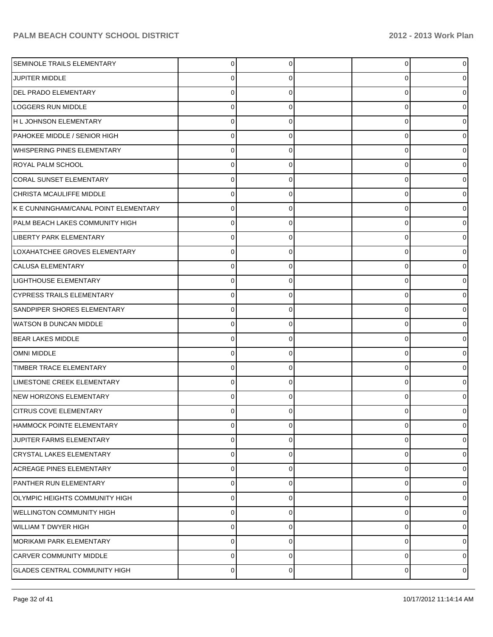| <b>SEMINOLE TRAILS ELEMENTARY</b>     | $\Omega$    | 0 | 0 |   |
|---------------------------------------|-------------|---|---|---|
| <b>JUPITER MIDDLE</b>                 | 0           |   | 0 |   |
| DEL PRADO ELEMENTARY                  |             |   | 0 |   |
| <b>LOGGERS RUN MIDDLE</b>             | 0           | O | 0 |   |
| H L JOHNSON ELEMENTARY                | U           |   | 0 |   |
| PAHOKEE MIDDLE / SENIOR HIGH          | 0           | 0 | 0 |   |
| <b>WHISPERING PINES ELEMENTARY</b>    | U           |   | 0 |   |
| ROYAL PALM SCHOOL                     | 0           | O | 0 |   |
| CORAL SUNSET ELEMENTARY               | $\Omega$    |   | 0 |   |
| CHRISTA MCAULIFFE MIDDLE              | 0           | 0 | 0 |   |
| K E CUNNINGHAM/CANAL POINT ELEMENTARY |             |   | 0 |   |
| PALM BEACH LAKES COMMUNITY HIGH       | 0           | 0 | 0 |   |
| LIBERTY PARK ELEMENTARY               | $\Omega$    |   | 0 |   |
| LOXAHATCHEE GROVES ELEMENTARY         | 0           | 0 | 0 |   |
| <b>CALUSA ELEMENTARY</b>              |             |   | 0 |   |
| <b>LIGHTHOUSE ELEMENTARY</b>          | 0           | 0 | 0 |   |
| <b>CYPRESS TRAILS ELEMENTARY</b>      | U           |   | 0 |   |
| SANDPIPER SHORES ELEMENTARY           | 0           | ŋ | 0 |   |
| <b>WATSON B DUNCAN MIDDLE</b>         | U           |   | 0 |   |
| <b>BEAR LAKES MIDDLE</b>              | $\Omega$    | 0 | 0 |   |
| OMNI MIDDLE                           |             |   | 0 |   |
| <b>TIMBER TRACE ELEMENTARY</b>        | $\Omega$    | U | 0 |   |
| LIMESTONE CREEK ELEMENTARY            | $\Omega$    |   | 0 |   |
| NEW HORIZONS ELEMENTARY               | 0           | n | 0 |   |
| <b>CITRUS COVE ELEMENTARY</b>         |             |   | 0 |   |
| HAMMOCK POINTE ELEMENTARY             | $\mathbf 0$ | 0 | 0 |   |
| JUPITER FARMS ELEMENTARY              | $\mathbf 0$ | 0 | 0 | 0 |
| <b>CRYSTAL LAKES ELEMENTARY</b>       | $\mathbf 0$ | 0 | 0 | 0 |
| <b>ACREAGE PINES ELEMENTARY</b>       | $\mathbf 0$ | 0 | 0 | O |
| PANTHER RUN ELEMENTARY                | $\mathbf 0$ | 0 | 0 | O |
| OLYMPIC HEIGHTS COMMUNITY HIGH        | $\mathbf 0$ | 0 | 0 | 0 |
| <b>WELLINGTON COMMUNITY HIGH</b>      | $\mathbf 0$ | 0 | 0 | O |
| <b>WILLIAM T DWYER HIGH</b>           | $\mathbf 0$ | 0 | 0 | O |
| MORIKAMI PARK ELEMENTARY              | $\mathbf 0$ | 0 | 0 | 0 |
| CARVER COMMUNITY MIDDLE               | $\mathbf 0$ | 0 | 0 | 0 |
| <b>GLADES CENTRAL COMMUNITY HIGH</b>  | $\pmb{0}$   | 0 | 0 | 0 |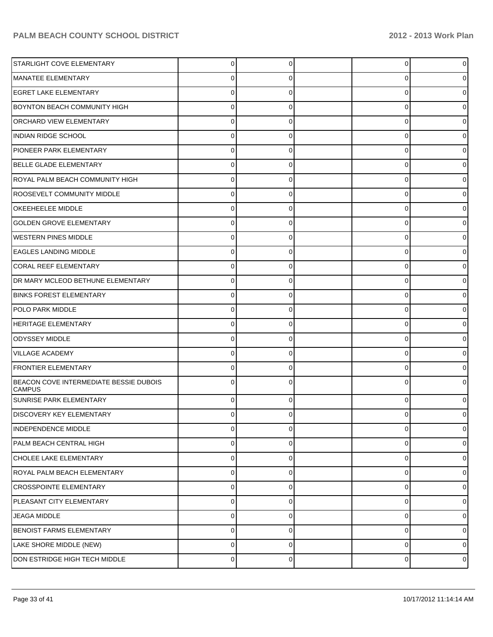| <b>STARLIGHT COVE ELEMENTARY</b>                        | $\Omega$ | $\Omega$ | $\overline{0}$ | $\mathbf 0$ |
|---------------------------------------------------------|----------|----------|----------------|-------------|
|                                                         |          |          |                |             |
| MANATEE ELEMENTARY                                      | 0        | 0        | 0              | 0           |
| <b>EGRET LAKE ELEMENTARY</b>                            | 0        | 0        | 0              | 0           |
| <b>BOYNTON BEACH COMMUNITY HIGH</b>                     | 0        | 0        | 0              | o           |
| ORCHARD VIEW ELEMENTARY                                 | 0        | 0        | 0              | o           |
| <b>INDIAN RIDGE SCHOOL</b>                              | 0        | 0        | 0              | o           |
| PIONEER PARK ELEMENTARY                                 | 0        | 0        | 0              | 0           |
| BELLE GLADE ELEMENTARY                                  | 0        | 0        | 0              | o           |
| ROYAL PALM BEACH COMMUNITY HIGH                         | 0        | 0        | 0              | o           |
| ROOSEVELT COMMUNITY MIDDLE                              | 0        | 0        | 0              | o           |
| OKEEHEELEE MIDDLE                                       | 0        | 0        | 0              | 0           |
| <b>GOLDEN GROVE ELEMENTARY</b>                          | 0        | 0        | 0              | o           |
| <b>WESTERN PINES MIDDLE</b>                             | 0        | 0        | 0              | o           |
| <b>EAGLES LANDING MIDDLE</b>                            | 0        | 0        | 0              |             |
| <b>CORAL REEF ELEMENTARY</b>                            | 0        | ŋ        | 0              | o           |
| DR MARY MCLEOD BETHUNE ELEMENTARY                       | 0        | 0        | 0              | 0           |
| <b>BINKS FOREST ELEMENTARY</b>                          | 0        | 0        | 0              | 0           |
| POLO PARK MIDDLE                                        | 0        | 0        | 0              |             |
| HERITAGE ELEMENTARY                                     | $\Omega$ | 0        | 0              | o           |
| <b>ODYSSEY MIDDLE</b>                                   | 0        | 0        | 0              | o           |
| <b>VILLAGE ACADEMY</b>                                  | $\Omega$ | 0        | 0              | 0           |
| <b>FRONTIER ELEMENTARY</b>                              | 0        | 0        | 0              | 0           |
| BEACON COVE INTERMEDIATE BESSIE DUBOIS<br><b>CAMPUS</b> | $\Omega$ | O        | 0              |             |
| SUNRISE PARK ELEMENTARY                                 | $\Omega$ |          | 0              |             |
| DISCOVERY KEY ELEMENTARY                                | $\Omega$ | 0        | 0              |             |
| <b>INDEPENDENCE MIDDLE</b>                              | 0        | 0        | 0              | 0           |
| PALM BEACH CENTRAL HIGH                                 | 0        | 0        | 0              | 0           |
| CHOLEE LAKE ELEMENTARY                                  | 0        | 0        | 0              | 0           |
| ROYAL PALM BEACH ELEMENTARY                             | 0        | 0        | 0              | 0           |
| <b>CROSSPOINTE ELEMENTARY</b>                           | 0        | 0        | 0              | 0           |
| PLEASANT CITY ELEMENTARY                                | 0        | 0        | 0              | 0           |
| <b>JEAGA MIDDLE</b>                                     | 0        | 0        | 0              | 0           |
| BENOIST FARMS ELEMENTARY                                | 0        | 0        | 0              | 0           |
| LAKE SHORE MIDDLE (NEW)                                 | 0        | 0        | 0              | 0           |
| DON ESTRIDGE HIGH TECH MIDDLE                           | 0        | 0        | 0              | 0           |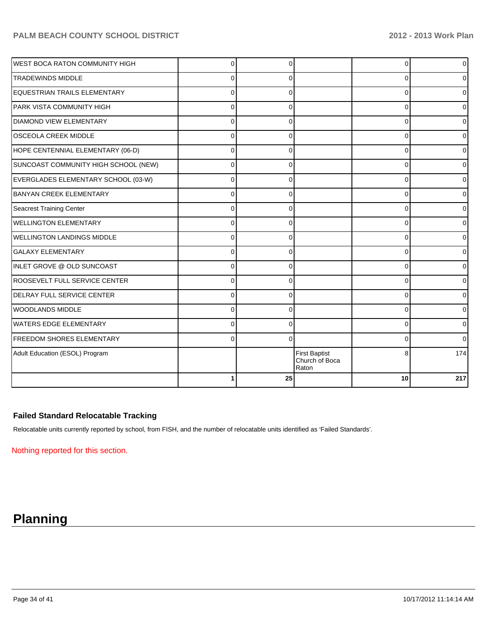| <b>WEST BOCA RATON COMMUNITY HIGH</b> | $\Omega$ | ∩        |                                                 | 0        | $\overline{0}$ |
|---------------------------------------|----------|----------|-------------------------------------------------|----------|----------------|
| <b>TRADEWINDS MIDDLE</b>              | $\Omega$ | 0        |                                                 | 0        | 0l             |
| EQUESTRIAN TRAILS ELEMENTARY          | $\Omega$ | $\Omega$ |                                                 | $\Omega$ | 0              |
| PARK VISTA COMMUNITY HIGH             | $\Omega$ | $\Omega$ |                                                 | $\Omega$ | $\Omega$       |
| <b>DIAMOND VIEW ELEMENTARY</b>        | 0        | 0        |                                                 | 0        | 0              |
| <b>OSCEOLA CREEK MIDDLE</b>           | $\Omega$ | $\Omega$ |                                                 | $\Omega$ | $\overline{0}$ |
| HOPE CENTENNIAL ELEMENTARY (06-D)     | $\Omega$ | $\Omega$ |                                                 | 0        | $\overline{0}$ |
| SUNCOAST COMMUNITY HIGH SCHOOL (NEW)  | $\Omega$ | 0        |                                                 | 0        | 0              |
| EVERGLADES ELEMENTARY SCHOOL (03-W)   | $\Omega$ | 0        |                                                 | $\Omega$ | 0              |
| <b>BANYAN CREEK ELEMENTARY</b>        | $\Omega$ | $\Omega$ |                                                 | $\Omega$ | 0              |
| Seacrest Training Center              | $\Omega$ | 0        |                                                 | $\Omega$ | 0              |
| <b>WELLINGTON ELEMENTARY</b>          | $\Omega$ | ∩        |                                                 | 0        | 0              |
| <b>WELLINGTON LANDINGS MIDDLE</b>     | $\Omega$ | $\Omega$ |                                                 | 0        | 0              |
| <b>GALAXY ELEMENTARY</b>              | $\Omega$ | $\Omega$ |                                                 | $\Omega$ | 0              |
| INLET GROVE @ OLD SUNCOAST            | $\Omega$ | 0        |                                                 | 0        | 01             |
| <b>ROOSEVELT FULL SERVICE CENTER</b>  | $\Omega$ | $\Omega$ |                                                 | 0        | 01             |
| DELRAY FULL SERVICE CENTER            | $\Omega$ | $\Omega$ |                                                 | $\Omega$ | $\overline{0}$ |
| WOODLANDS MIDDLE                      | $\Omega$ | $\Omega$ |                                                 | $\Omega$ | $\overline{0}$ |
| <b>WATERS EDGE ELEMENTARY</b>         | $\Omega$ | $\Omega$ |                                                 | 0        | $\overline{0}$ |
| <b>FREEDOM SHORES ELEMENTARY</b>      | $\Omega$ | $\Omega$ |                                                 | $\Omega$ | $\overline{0}$ |
| Adult Education (ESOL) Program        |          |          | <b>First Baptist</b><br>Church of Boca<br>Raton | 8        | 174            |
|                                       |          | 25       |                                                 | 10       | 217            |

#### **Failed Standard Relocatable Tracking**

Relocatable units currently reported by school, from FISH, and the number of relocatable units identified as 'Failed Standards'.

Nothing reported for this section.

# **Planning**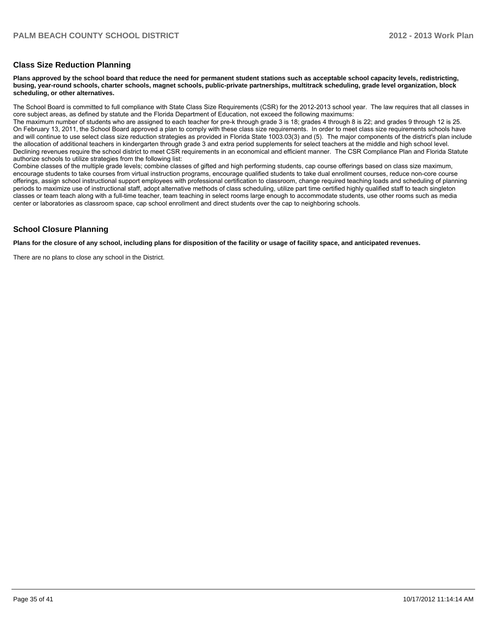#### **Class Size Reduction Planning**

**Plans approved by the school board that reduce the need for permanent student stations such as acceptable school capacity levels, redistricting, busing, year-round schools, charter schools, magnet schools, public-private partnerships, multitrack scheduling, grade level organization, block scheduling, or other alternatives.**

The School Board is committed to full compliance with State Class Size Requirements (CSR) for the 2012-2013 school year. The law requires that all classes in core subject areas, as defined by statute and the Florida Department of Education, not exceed the following maximums:

The maximum number of students who are assigned to each teacher for pre-k through grade 3 is 18; grades 4 through 8 is 22; and grades 9 through 12 is 25. On February 13, 2011, the School Board approved a plan to comply with these class size requirements. In order to meet class size requirements schools have and will continue to use select class size reduction strategies as provided in Florida State 1003.03(3) and (5). The major components of the district's plan include the allocation of additional teachers in kindergarten through grade 3 and extra period supplements for select teachers at the middle and high school level. Declining revenues require the school district to meet CSR requirements in an economical and efficient manner. The CSR Compliance Plan and Florida Statute authorize schools to utilize strategies from the following list:

Combine classes of the multiple grade levels: combine classes of gifted and high performing students, cap course offerings based on class size maximum. encourage students to take courses from virtual instruction programs, encourage qualified students to take dual enrollment courses, reduce non-core course offerings, assign school instructional support employees with professional certification to classroom, change required teaching loads and scheduling of planning periods to maximize use of instructional staff, adopt alternative methods of class scheduling, utilize part time certified highly qualified staff to teach singleton classes or team teach along with a full-time teacher, team teaching in select rooms large enough to accommodate students, use other rooms such as media center or laboratories as classroom space, cap school enrollment and direct students over the cap to neighboring schools.

#### **School Closure Planning**

**Plans for the closure of any school, including plans for disposition of the facility or usage of facility space, and anticipated revenues.**

There are no plans to close any school in the District.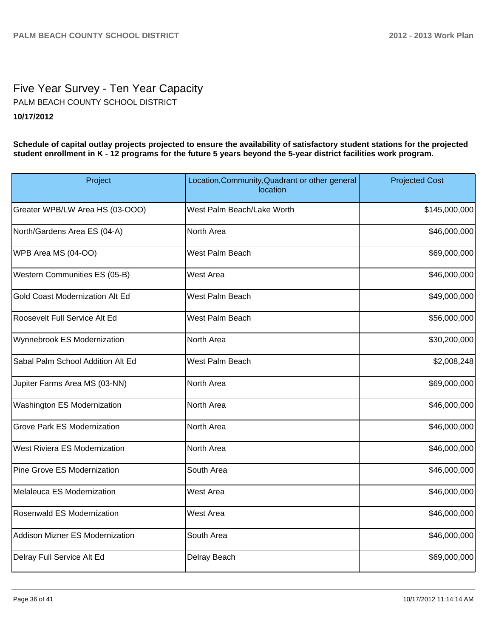## Five Year Survey - Ten Year Capacity **10/17/2012** PALM BEACH COUNTY SCHOOL DISTRICT

**Schedule of capital outlay projects projected to ensure the availability of satisfactory student stations for the projected student enrollment in K - 12 programs for the future 5 years beyond the 5-year district facilities work program.**

| Project                            | Location, Community, Quadrant or other general<br>location |               |
|------------------------------------|------------------------------------------------------------|---------------|
| Greater WPB/LW Area HS (03-OOO)    | West Palm Beach/Lake Worth                                 | \$145,000,000 |
| North/Gardens Area ES (04-A)       | North Area                                                 | \$46,000,000  |
| WPB Area MS (04-OO)                | West Palm Beach                                            | \$69,000,000  |
| Western Communities ES (05-B)      | West Area                                                  | \$46,000,000  |
| Gold Coast Modernization Alt Ed    | West Palm Beach                                            | \$49,000,000  |
| Roosevelt Full Service Alt Ed      | West Palm Beach                                            | \$56,000,000  |
| Wynnebrook ES Modernization        | North Area                                                 | \$30,200,000  |
| Sabal Palm School Addition Alt Ed  | West Palm Beach                                            | \$2,008,248   |
| Jupiter Farms Area MS (03-NN)      | North Area                                                 | \$69,000,000  |
| Washington ES Modernization        | North Area                                                 | \$46,000,000  |
| <b>Grove Park ES Modernization</b> | North Area                                                 | \$46,000,000  |
| West Riviera ES Modernization      | North Area                                                 | \$46,000,000  |
| <b>Pine Grove ES Modernization</b> | South Area                                                 | \$46,000,000  |
| Melaleuca ES Modernization         | West Area                                                  | \$46,000,000  |
| Rosenwald ES Modernization         | West Area                                                  | \$46,000,000  |
| Addison Mizner ES Modernization    | South Area                                                 | \$46,000,000  |
| Delray Full Service Alt Ed         | Delray Beach                                               | \$69,000,000  |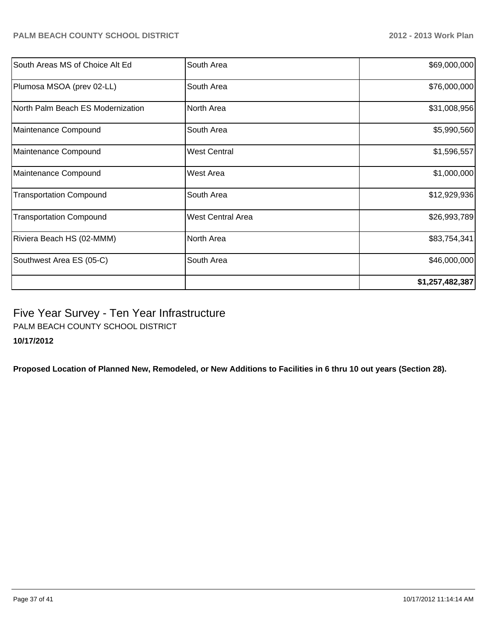| Southwest Area ES (05-C)          | South Area               | \$46,000,000<br>\$1,257,482,387 |
|-----------------------------------|--------------------------|---------------------------------|
| Riviera Beach HS (02-MMM)         | North Area               | \$83,754,341                    |
|                                   |                          |                                 |
| <b>Transportation Compound</b>    | <b>West Central Area</b> | \$26,993,789                    |
| <b>Transportation Compound</b>    | South Area               | \$12,929,936                    |
| Maintenance Compound              | West Area                | \$1,000,000                     |
| Maintenance Compound              | <b>West Central</b>      | \$1,596,557                     |
| Maintenance Compound              | South Area               | \$5,990,560                     |
| North Palm Beach ES Modernization | North Area               | \$31,008,956                    |
| Plumosa MSOA (prev 02-LL)         | South Area               | \$76,000,000                    |
| South Areas MS of Choice Alt Ed   | South Area               | \$69,000,000                    |

Five Year Survey - Ten Year Infrastructure

PALM BEACH COUNTY SCHOOL DISTRICT

**10/17/2012**

**Proposed Location of Planned New, Remodeled, or New Additions to Facilities in 6 thru 10 out years (Section 28).**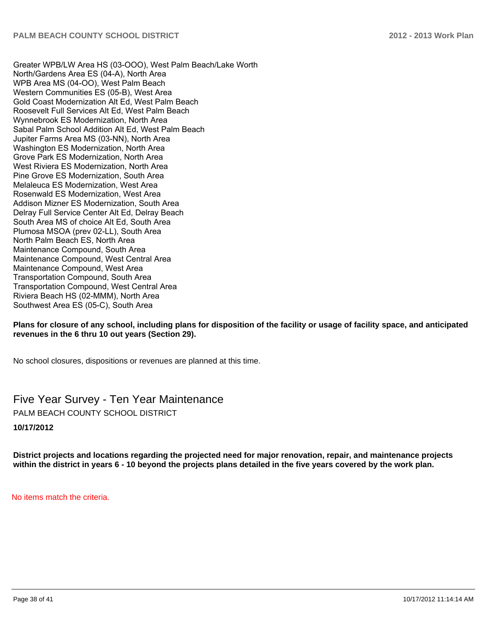Greater WPB/LW Area HS (03-OOO), West Palm Beach/Lake Worth North/Gardens Area ES (04-A). North Area WPB Area MS (04-OO). West Palm Beach Western Communities ES (05-B), West Area Gold Coast Modernization Alt Ed. West Palm Beach Roosevelt Full Services Alt Ed. West Palm Beach Wynnebrook ES Modernization, North Area Sabal Palm School Addition Alt Ed, West Palm Beach Jupiter Farms Area MS (03-NN), North Area Washington ES Modernization, North Area Grove Park ES Modernization. North Area West Riviera FS Modernization North Area Pine Grove ES Modernization, South Area Melaleuca ES Modernization, West Area Rosenwald ES Modernization, West Area Addison Mizner ES Modernization. South Area Delray Full Service Center Alt Ed. Delray Beach South Area MS of choice Alt Ed. South Area Plumosa MSOA (prev 02-LL), South Area North Palm Beach ES. North Area Maintenance Compound, South Area Maintenance Compound, West Central Area Maintenance Compound. West Area Transportation Compound, South Area Transportation Compound, West Central Area Riviera Beach HS (02-MMM), North Area Southwest Area ES (05-C), South Area

#### **Plans for closure of any school, including plans for disposition of the facility or usage of facility space, and anticipated revenues in the 6 thru 10 out years (Section 29).**

No school closures, dispositions or revenues are planned at this time.

Five Year Survey - Ten Year Maintenance PALM BEACH COUNTY SCHOOL DISTRICT

#### **10/17/2012**

**District projects and locations regarding the projected need for major renovation, repair, and maintenance projects within the district in years 6 - 10 beyond the projects plans detailed in the five years covered by the work plan.**

No items match the criteria.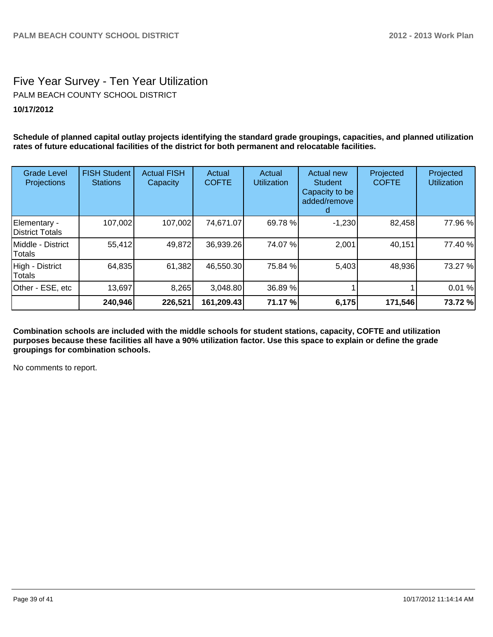## Five Year Survey - Ten Year Utilization **10/17/2012** PALM BEACH COUNTY SCHOOL DISTRICT

**Schedule of planned capital outlay projects identifying the standard grade groupings, capacities, and planned utilization rates of future educational facilities of the district for both permanent and relocatable facilities.**

| <b>Grade Level</b><br>Projections | <b>FISH Student</b><br><b>Stations</b> | <b>Actual FISH</b><br>Capacity | Actual<br><b>COFTE</b> | Actual<br><b>Utilization</b> | <b>Actual new</b><br>Student<br>Capacity to be<br>added/remove | Projected<br><b>COFTE</b> | Projected<br><b>Utilization</b> |
|-----------------------------------|----------------------------------------|--------------------------------|------------------------|------------------------------|----------------------------------------------------------------|---------------------------|---------------------------------|
| Elementary -<br>District Totals   | 107,002                                | 107,002                        | 74,671.07              | 69.78 %                      | $-1,230$                                                       | 82,458                    | 77.96 %                         |
| IMiddle - District<br>Totals      | 55,412                                 | 49,872                         | 36,939.26              | 74.07 %                      | 2,001                                                          | 40,151                    | 77.40 %                         |
| High - District<br>Totals         | 64,835                                 | 61,382                         | 46,550.30              | 75.84 %                      | 5,403                                                          | 48,936                    | 73.27 %                         |
| Other - ESE, etc                  | 13,697                                 | 8,265                          | 3,048.80               | 36.89 %                      |                                                                |                           | 0.01%                           |
|                                   | 240,946                                | 226,521                        | 161,209.43             | 71.17 %                      | 6,175                                                          | 171,546                   | 73.72%                          |

**Combination schools are included with the middle schools for student stations, capacity, COFTE and utilization purposes because these facilities all have a 90% utilization factor. Use this space to explain or define the grade groupings for combination schools.**

No comments to report.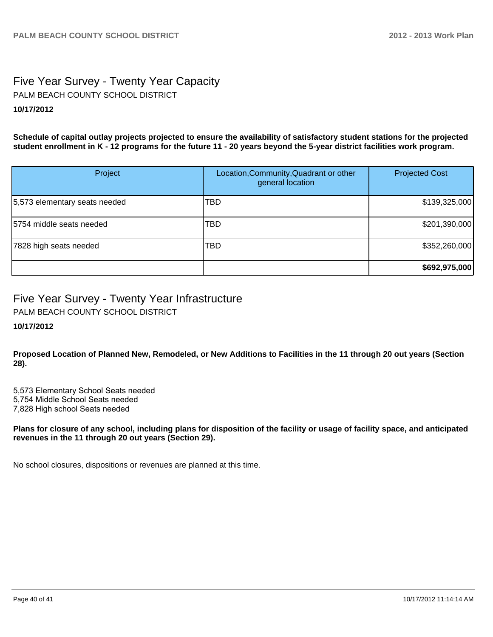## Five Year Survey - Twenty Year Capacity **10/17/2012** PALM BEACH COUNTY SCHOOL DISTRICT

**Schedule of capital outlay projects projected to ensure the availability of satisfactory student stations for the projected student enrollment in K - 12 programs for the future 11 - 20 years beyond the 5-year district facilities work program.**

| Project                       | Location, Community, Quadrant or other<br>general location | <b>Projected Cost</b> |
|-------------------------------|------------------------------------------------------------|-----------------------|
| 5,573 elementary seats needed | TBD                                                        | \$139,325,000         |
| 15754 middle seats needed     | TBD                                                        | \$201,390,000         |
| 7828 high seats needed        | <b>TBD</b>                                                 | \$352,260,000         |
|                               |                                                            | \$692,975,000         |

## Five Year Survey - Twenty Year Infrastructure

PALM BEACH COUNTY SCHOOL DISTRICT

## **10/17/2012**

**Proposed Location of Planned New, Remodeled, or New Additions to Facilities in the 11 through 20 out years (Section 28).**

5,573 Elementary School Seats needed

5,754 Middle School Seats needed

7,828 High school Seats needed

**Plans for closure of any school, including plans for disposition of the facility or usage of facility space, and anticipated revenues in the 11 through 20 out years (Section 29).**

No school closures, dispositions or revenues are planned at this time.